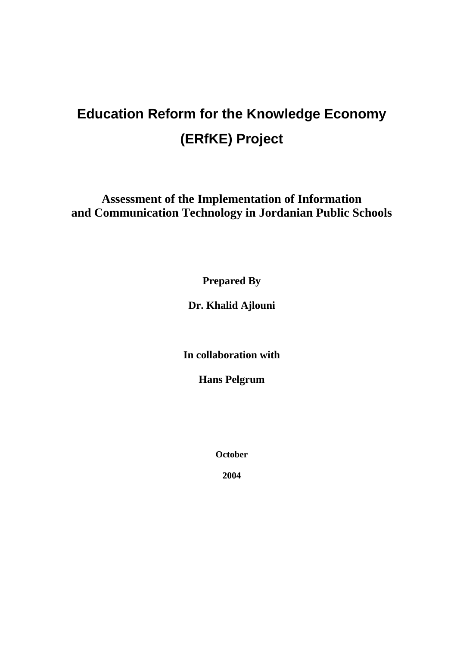# **Education Reform for the Knowledge Economy (ERfKE) Project**

**Assessment of the Implementation of Information and Communication Technology in Jordanian Public Schools**

**Prepared By**

**Dr. Khalid Ajlouni**

**In collaboration with**

**Hans Pelgrum**

**October**

**2004**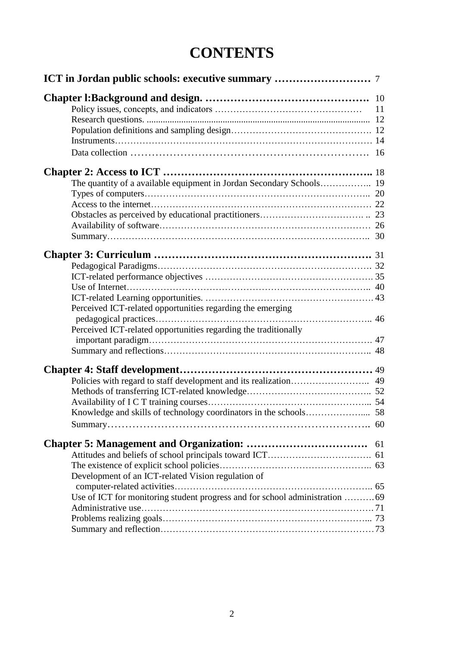# **CONTENTS**

| Perceived ICT-related opportunities regarding the emerging                   |    |
|------------------------------------------------------------------------------|----|
|                                                                              |    |
| Perceived ICT-related opportunities regarding the traditionally              |    |
|                                                                              |    |
|                                                                              |    |
|                                                                              |    |
|                                                                              |    |
|                                                                              |    |
|                                                                              |    |
|                                                                              |    |
|                                                                              |    |
| <b>Chapter 5: Management and Organization: </b>                              | 61 |
|                                                                              |    |
|                                                                              |    |
| Development of an ICT-related Vision regulation of                           |    |
|                                                                              |    |
| Use of ICT for monitoring student progress and for school administration  69 |    |
|                                                                              |    |
|                                                                              |    |
|                                                                              |    |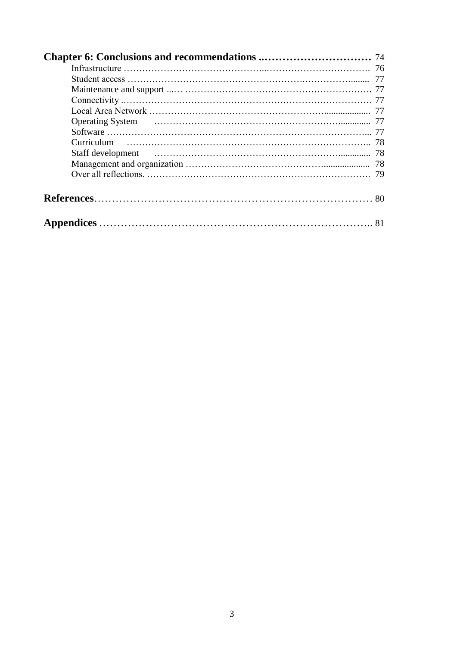| <b>Chapter 6: Conclusions and recommendations </b> 74 |  |
|-------------------------------------------------------|--|
|                                                       |  |
|                                                       |  |
|                                                       |  |
|                                                       |  |
|                                                       |  |
|                                                       |  |
|                                                       |  |
|                                                       |  |
|                                                       |  |
|                                                       |  |
|                                                       |  |
|                                                       |  |
|                                                       |  |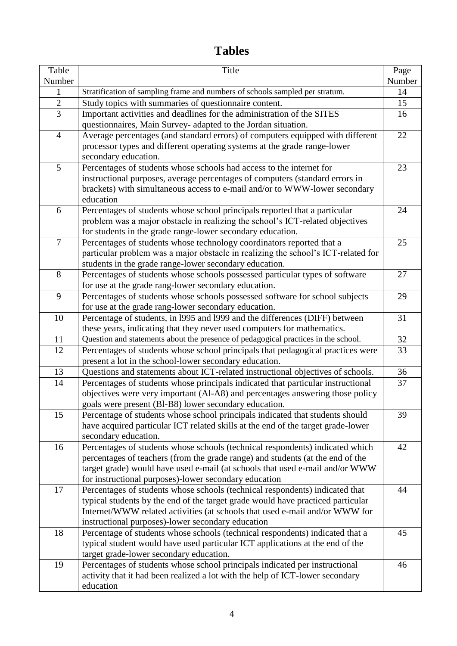# **Tables**

| Table          | Title                                                                                                                                 | Page   |
|----------------|---------------------------------------------------------------------------------------------------------------------------------------|--------|
| Number         |                                                                                                                                       | Number |
| 1              | Stratification of sampling frame and numbers of schools sampled per stratum.                                                          | 14     |
| $\sqrt{2}$     | Study topics with summaries of questionnaire content.                                                                                 | 15     |
| 3              | Important activities and deadlines for the administration of the SITES                                                                | 16     |
|                | questionnaires, Main Survey- adapted to the Jordan situation.                                                                         |        |
| $\overline{4}$ | Average percentages (and standard errors) of computers equipped with different                                                        | 22     |
|                | processor types and different operating systems at the grade range-lower                                                              |        |
|                | secondary education.                                                                                                                  |        |
| 5              | Percentages of students whose schools had access to the internet for                                                                  | 23     |
|                | instructional purposes, average percentages of computers (standard errors in                                                          |        |
|                | brackets) with simultaneous access to e-mail and/or to WWW-lower secondary                                                            |        |
|                | education                                                                                                                             |        |
| 6              | Percentages of students whose school principals reported that a particular                                                            | 24     |
|                | problem was a major obstacle in realizing the school's ICT-related objectives                                                         |        |
| $\overline{7}$ | for students in the grade range-lower secondary education.<br>Percentages of students whose technology coordinators reported that a   | 25     |
|                | particular problem was a major obstacle in realizing the school's ICT-related for                                                     |        |
|                | students in the grade range-lower secondary education.                                                                                |        |
| 8              | Percentages of students whose schools possessed particular types of software                                                          | 27     |
|                | for use at the grade rang-lower secondary education.                                                                                  |        |
| 9              | Percentages of students whose schools possessed software for school subjects                                                          | 29     |
|                | for use at the grade rang-lower secondary education.                                                                                  |        |
| 10             | Percentage of students, in 1995 and 1999 and the differences (DIFF) between                                                           | 31     |
|                | these years, indicating that they never used computers for mathematics.                                                               |        |
| 11             | Question and statements about the presence of pedagogical practices in the school.                                                    | 32     |
| 12             | Percentages of students whose school principals that pedagogical practices were                                                       | 33     |
|                | present a lot in the school-lower secondary education.                                                                                |        |
| 13             | Questions and statements about ICT-related instructional objectives of schools.                                                       | 36     |
| 14             | Percentages of students whose principals indicated that particular instructional                                                      | 37     |
|                | objectives were very important (Al-A8) and percentages answering those policy                                                         |        |
|                | goals were present (Bl-B8) lower secondary education.                                                                                 |        |
| 15             | Percentage of students whose school principals indicated that students should                                                         | 39     |
|                | have acquired particular ICT related skills at the end of the target grade-lower                                                      |        |
|                | secondary education.                                                                                                                  |        |
| 16             | Percentages of students whose schools (technical respondents) indicated which                                                         | 42     |
|                | percentages of teachers (from the grade range) and students (at the end of the                                                        |        |
|                | target grade) would have used e-mail (at schools that used e-mail and/or WWW                                                          |        |
| 17             | for instructional purposes)-lower secondary education<br>Percentages of students whose schools (technical respondents) indicated that | 44     |
|                | typical students by the end of the target grade would have practiced particular                                                       |        |
|                | Internet/WWW related activities (at schools that used e-mail and/or WWW for                                                           |        |
|                | instructional purposes)-lower secondary education                                                                                     |        |
| 18             | Percentage of students whose schools (technical respondents) indicated that a                                                         | 45     |
|                | typical student would have used particular ICT applications at the end of the                                                         |        |
|                | target grade-lower secondary education.                                                                                               |        |
| 19             | Percentages of students whose school principals indicated per instructional                                                           | 46     |
|                | activity that it had been realized a lot with the help of ICT-lower secondary                                                         |        |
|                | education                                                                                                                             |        |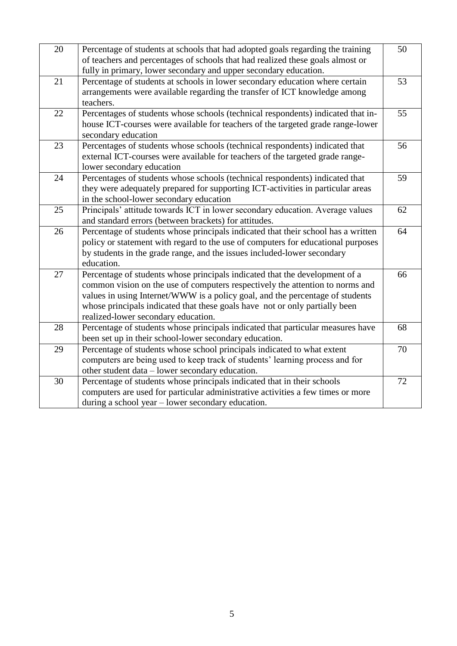| 20 | Percentage of students at schools that had adopted goals regarding the training<br>of teachers and percentages of schools that had realized these goals almost or<br>fully in primary, lower secondary and upper secondary education.                                                                                                                               | 50 |
|----|---------------------------------------------------------------------------------------------------------------------------------------------------------------------------------------------------------------------------------------------------------------------------------------------------------------------------------------------------------------------|----|
| 21 | Percentage of students at schools in lower secondary education where certain<br>arrangements were available regarding the transfer of ICT knowledge among<br>teachers.                                                                                                                                                                                              | 53 |
| 22 | Percentages of students whose schools (technical respondents) indicated that in-<br>house ICT-courses were available for teachers of the targeted grade range-lower<br>secondary education                                                                                                                                                                          | 55 |
| 23 | Percentages of students whose schools (technical respondents) indicated that<br>external ICT-courses were available for teachers of the targeted grade range-<br>lower secondary education                                                                                                                                                                          | 56 |
| 24 | Percentages of students whose schools (technical respondents) indicated that<br>they were adequately prepared for supporting ICT-activities in particular areas<br>in the school-lower secondary education                                                                                                                                                          | 59 |
| 25 | Principals' attitude towards ICT in lower secondary education. Average values<br>and standard errors (between brackets) for attitudes.                                                                                                                                                                                                                              | 62 |
| 26 | Percentage of students whose principals indicated that their school has a written<br>policy or statement with regard to the use of computers for educational purposes<br>by students in the grade range, and the issues included-lower secondary<br>education.                                                                                                      | 64 |
| 27 | Percentage of students whose principals indicated that the development of a<br>common vision on the use of computers respectively the attention to norms and<br>values in using Internet/WWW is a policy goal, and the percentage of students<br>whose principals indicated that these goals have not or only partially been<br>realized-lower secondary education. | 66 |
| 28 | Percentage of students whose principals indicated that particular measures have<br>been set up in their school-lower secondary education.                                                                                                                                                                                                                           | 68 |
| 29 | Percentage of students whose school principals indicated to what extent<br>computers are being used to keep track of students' learning process and for<br>other student data – lower secondary education.                                                                                                                                                          | 70 |
| 30 | Percentage of students whose principals indicated that in their schools<br>computers are used for particular administrative activities a few times or more<br>during a school year – lower secondary education.                                                                                                                                                     | 72 |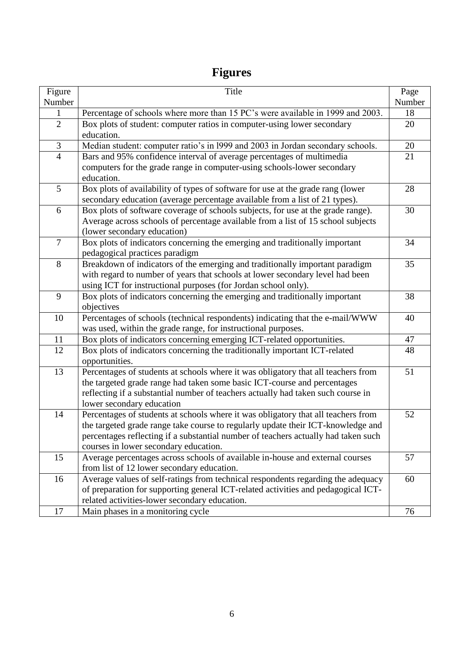# **Figures**

| Figure         | Title                                                                                                                                                                                                                                                                                                | Page   |
|----------------|------------------------------------------------------------------------------------------------------------------------------------------------------------------------------------------------------------------------------------------------------------------------------------------------------|--------|
| Number         |                                                                                                                                                                                                                                                                                                      | Number |
| $\mathbf{1}$   | Percentage of schools where more than 15 PC's were available in 1999 and 2003.                                                                                                                                                                                                                       | 18     |
| $\overline{2}$ | Box plots of student: computer ratios in computer-using lower secondary<br>education.                                                                                                                                                                                                                | 20     |
| $\mathfrak{Z}$ | Median student: computer ratio's in 1999 and 2003 in Jordan secondary schools.                                                                                                                                                                                                                       | 20     |
| $\overline{4}$ | Bars and 95% confidence interval of average percentages of multimedia<br>computers for the grade range in computer-using schools-lower secondary<br>education.                                                                                                                                       | 21     |
| 5              | Box plots of availability of types of software for use at the grade rang (lower<br>secondary education (average percentage available from a list of 21 types).                                                                                                                                       | 28     |
| 6              | Box plots of software coverage of schools subjects, for use at the grade range).<br>Average across schools of percentage available from a list of 15 school subjects<br>(lower secondary education)                                                                                                  | 30     |
| $\overline{7}$ | Box plots of indicators concerning the emerging and traditionally important<br>pedagogical practices paradigm                                                                                                                                                                                        | 34     |
| 8              | Breakdown of indicators of the emerging and traditionally important paradigm<br>with regard to number of years that schools at lower secondary level had been<br>using ICT for instructional purposes (for Jordan school only).                                                                      | 35     |
| 9              | Box plots of indicators concerning the emerging and traditionally important<br>objectives                                                                                                                                                                                                            | 38     |
| 10             | Percentages of schools (technical respondents) indicating that the e-mail/WWW<br>was used, within the grade range, for instructional purposes.                                                                                                                                                       | 40     |
| 11             | Box plots of indicators concerning emerging ICT-related opportunities.                                                                                                                                                                                                                               | 47     |
| 12             | Box plots of indicators concerning the traditionally important ICT-related<br>opportunities.                                                                                                                                                                                                         | 48     |
| 13             | Percentages of students at schools where it was obligatory that all teachers from<br>the targeted grade range had taken some basic ICT-course and percentages<br>reflecting if a substantial number of teachers actually had taken such course in<br>lower secondary education                       | 51     |
| 14             | Percentages of students at schools where it was obligatory that all teachers from<br>the targeted grade range take course to regularly update their ICT-knowledge and<br>percentages reflecting if a substantial number of teachers actually had taken such<br>courses in lower secondary education. | 52     |
| 15             | Average percentages across schools of available in-house and external courses<br>from list of 12 lower secondary education.                                                                                                                                                                          | 57     |
| 16             | Average values of self-ratings from technical respondents regarding the adequacy<br>of preparation for supporting general ICT-related activities and pedagogical ICT-<br>related activities-lower secondary education.                                                                               | 60     |
| 17             | Main phases in a monitoring cycle                                                                                                                                                                                                                                                                    | 76     |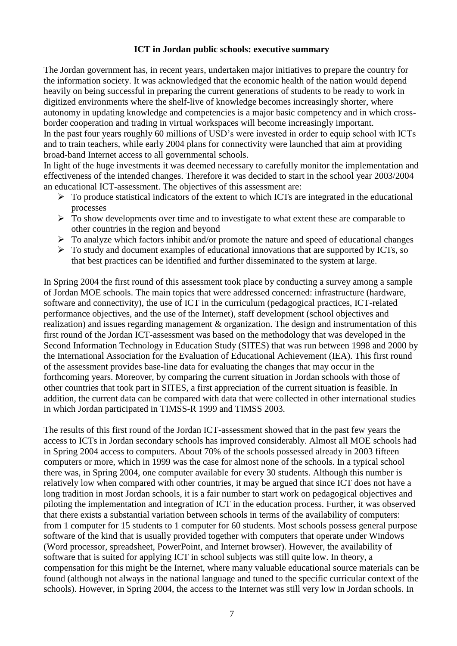### **ICT in Jordan public schools: executive summary**

The Jordan government has, in recent years, undertaken major initiatives to prepare the country for the information society. It was acknowledged that the economic health of the nation would depend heavily on being successful in preparing the current generations of students to be ready to work in digitized environments where the shelf-live of knowledge becomes increasingly shorter, where autonomy in updating knowledge and competencies is a major basic competency and in which crossborder cooperation and trading in virtual workspaces will become increasingly important. In the past four years roughly 60 millions of USD's were invested in order to equip school with ICTs and to train teachers, while early 2004 plans for connectivity were launched that aim at providing broad-band Internet access to all governmental schools.

In light of the huge investments it was deemed necessary to carefully monitor the implementation and effectiveness of the intended changes. Therefore it was decided to start in the school year 2003/2004 an educational ICT-assessment. The objectives of this assessment are:

- $\triangleright$  To produce statistical indicators of the extent to which ICTs are integrated in the educational processes
- $\triangleright$  To show developments over time and to investigate to what extent these are comparable to other countries in the region and beyond
- $\triangleright$  To analyze which factors inhibit and/or promote the nature and speed of educational changes
- $\triangleright$  To study and document examples of educational innovations that are supported by ICTs, so that best practices can be identified and further disseminated to the system at large.

In Spring 2004 the first round of this assessment took place by conducting a survey among a sample of Jordan MOE schools. The main topics that were addressed concerned: infrastructure (hardware, software and connectivity), the use of ICT in the curriculum (pedagogical practices, ICT-related performance objectives, and the use of the Internet), staff development (school objectives and realization) and issues regarding management & organization. The design and instrumentation of this first round of the Jordan ICT-assessment was based on the methodology that was developed in the Second Information Technology in Education Study (SITES) that was run between 1998 and 2000 by the International Association for the Evaluation of Educational Achievement (IEA). This first round of the assessment provides base-line data for evaluating the changes that may occur in the forthcoming years. Moreover, by comparing the current situation in Jordan schools with those of other countries that took part in SITES, a first appreciation of the current situation is feasible. In addition, the current data can be compared with data that were collected in other international studies in which Jordan participated in TIMSS-R 1999 and TIMSS 2003.

The results of this first round of the Jordan ICT-assessment showed that in the past few years the access to ICTs in Jordan secondary schools has improved considerably. Almost all MOE schools had in Spring 2004 access to computers. About 70% of the schools possessed already in 2003 fifteen computers or more, which in 1999 was the case for almost none of the schools. In a typical school there was, in Spring 2004, one computer available for every 30 students. Although this number is relatively low when compared with other countries, it may be argued that since ICT does not have a long tradition in most Jordan schools, it is a fair number to start work on pedagogical objectives and piloting the implementation and integration of ICT in the education process. Further, it was observed that there exists a substantial variation between schools in terms of the availability of computers: from 1 computer for 15 students to 1 computer for 60 students. Most schools possess general purpose software of the kind that is usually provided together with computers that operate under Windows (Word processor, spreadsheet, PowerPoint, and Internet browser). However, the availability of software that is suited for applying ICT in school subjects was still quite low. In theory, a compensation for this might be the Internet, where many valuable educational source materials can be found (although not always in the national language and tuned to the specific curricular context of the schools). However, in Spring 2004, the access to the Internet was still very low in Jordan schools. In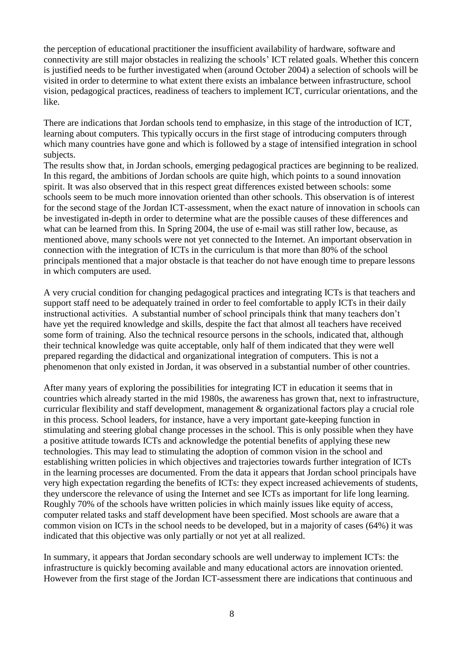the perception of educational practitioner the insufficient availability of hardware, software and connectivity are still major obstacles in realizing the schools' ICT related goals. Whether this concern is justified needs to be further investigated when (around October 2004) a selection of schools will be visited in order to determine to what extent there exists an imbalance between infrastructure, school vision, pedagogical practices, readiness of teachers to implement ICT, curricular orientations, and the like.

There are indications that Jordan schools tend to emphasize, in this stage of the introduction of ICT, learning about computers. This typically occurs in the first stage of introducing computers through which many countries have gone and which is followed by a stage of intensified integration in school subjects.

The results show that, in Jordan schools, emerging pedagogical practices are beginning to be realized. In this regard, the ambitions of Jordan schools are quite high, which points to a sound innovation spirit. It was also observed that in this respect great differences existed between schools: some schools seem to be much more innovation oriented than other schools. This observation is of interest for the second stage of the Jordan ICT-assessment, when the exact nature of innovation in schools can be investigated in-depth in order to determine what are the possible causes of these differences and what can be learned from this. In Spring 2004, the use of e-mail was still rather low, because, as mentioned above, many schools were not yet connected to the Internet. An important observation in connection with the integration of ICTs in the curriculum is that more than 80% of the school principals mentioned that a major obstacle is that teacher do not have enough time to prepare lessons in which computers are used.

A very crucial condition for changing pedagogical practices and integrating ICTs is that teachers and support staff need to be adequately trained in order to feel comfortable to apply ICTs in their daily instructional activities. A substantial number of school principals think that many teachers don't have yet the required knowledge and skills, despite the fact that almost all teachers have received some form of training. Also the technical resource persons in the schools, indicated that, although their technical knowledge was quite acceptable, only half of them indicated that they were well prepared regarding the didactical and organizational integration of computers. This is not a phenomenon that only existed in Jordan, it was observed in a substantial number of other countries.

After many years of exploring the possibilities for integrating ICT in education it seems that in countries which already started in the mid 1980s, the awareness has grown that, next to infrastructure, curricular flexibility and staff development, management & organizational factors play a crucial role in this process. School leaders, for instance, have a very important gate-keeping function in stimulating and steering global change processes in the school. This is only possible when they have a positive attitude towards ICTs and acknowledge the potential benefits of applying these new technologies. This may lead to stimulating the adoption of common vision in the school and establishing written policies in which objectives and trajectories towards further integration of ICTs in the learning processes are documented. From the data it appears that Jordan school principals have very high expectation regarding the benefits of ICTs: they expect increased achievements of students, they underscore the relevance of using the Internet and see ICTs as important for life long learning. Roughly 70% of the schools have written policies in which mainly issues like equity of access, computer related tasks and staff development have been specified. Most schools are aware that a common vision on ICTs in the school needs to be developed, but in a majority of cases (64%) it was indicated that this objective was only partially or not yet at all realized.

In summary, it appears that Jordan secondary schools are well underway to implement ICTs: the infrastructure is quickly becoming available and many educational actors are innovation oriented. However from the first stage of the Jordan ICT-assessment there are indications that continuous and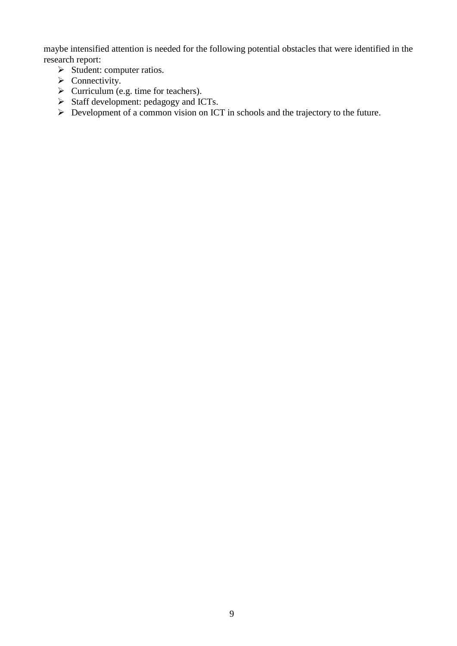maybe intensified attention is needed for the following potential obstacles that were identified in the research report:

- $\triangleright$  Student: computer ratios.
- $\triangleright$  Connectivity.
- $\triangleright$  Curriculum (e.g. time for teachers).
- Staff development:  $pedagogy$  and ICTs.
- Development of a common vision on ICT in schools and the trajectory to the future.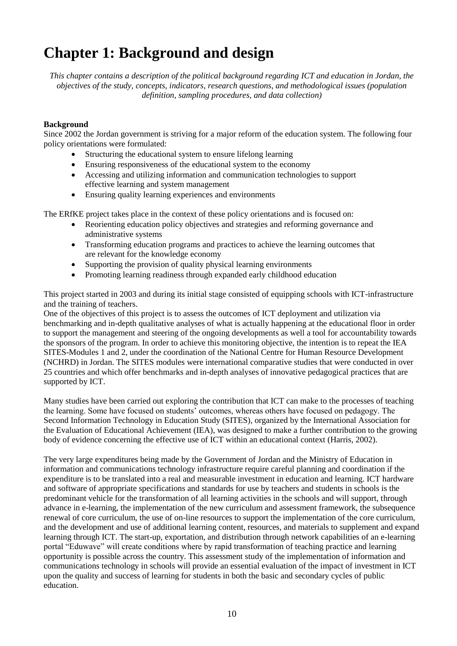# **Chapter 1: Background and design**

*This chapter contains a description of the political background regarding ICT and education in Jordan, the objectives of the study, concepts, indicators, research questions, and methodological issues (population definition, sampling procedures, and data collection)*

### **Background**

Since 2002 the Jordan government is striving for a major reform of the education system. The following four policy orientations were formulated:

- Structuring the educational system to ensure lifelong learning
- Ensuring responsiveness of the educational system to the economy
- Accessing and utilizing information and communication technologies to support effective learning and system management
- Ensuring quality learning experiences and environments

The ERfKE project takes place in the context of these policy orientations and is focused on:

- Reorienting education policy objectives and strategies and reforming governance and administrative systems
- Transforming education programs and practices to achieve the learning outcomes that are relevant for the knowledge economy
- Supporting the provision of quality physical learning environments
- Promoting learning readiness through expanded early childhood education

This project started in 2003 and during its initial stage consisted of equipping schools with ICT-infrastructure and the training of teachers.

One of the objectives of this project is to assess the outcomes of ICT deployment and utilization via benchmarking and in-depth qualitative analyses of what is actually happening at the educational floor in order to support the management and steering of the ongoing developments as well a tool for accountability towards the sponsors of the program. In order to achieve this monitoring objective, the intention is to repeat the IEA SITES-Modules 1 and 2, under the coordination of the National Centre for Human Resource Development (NCHRD) in Jordan. The SITES modules were international comparative studies that were conducted in over 25 countries and which offer benchmarks and in-depth analyses of innovative pedagogical practices that are supported by ICT.

Many studies have been carried out exploring the contribution that ICT can make to the processes of teaching the learning. Some have focused on students' outcomes, whereas others have focused on pedagogy. The Second Information Technology in Education Study (SITES), organized by the International Association for the Evaluation of Educational Achievement (IEA), was designed to make a further contribution to the growing body of evidence concerning the effective use of ICT within an educational context (Harris, 2002).

The very large expenditures being made by the Government of Jordan and the Ministry of Education in information and communications technology infrastructure require careful planning and coordination if the expenditure is to be translated into a real and measurable investment in education and learning. ICT hardware and software of appropriate specifications and standards for use by teachers and students in schools is the predominant vehicle for the transformation of all learning activities in the schools and will support, through advance in e-learning, the implementation of the new curriculum and assessment framework, the subsequence renewal of core curriculum, the use of on-line resources to support the implementation of the core curriculum, and the development and use of additional learning content, resources, and materials to supplement and expand learning through ICT. The start-up, exportation, and distribution through network capabilities of an e-learning portal "Eduwave" will create conditions where by rapid transformation of teaching practice and learning opportunity is possible across the country. This assessment study of the implementation of information and communications technology in schools will provide an essential evaluation of the impact of investment in ICT upon the quality and success of learning for students in both the basic and secondary cycles of public education.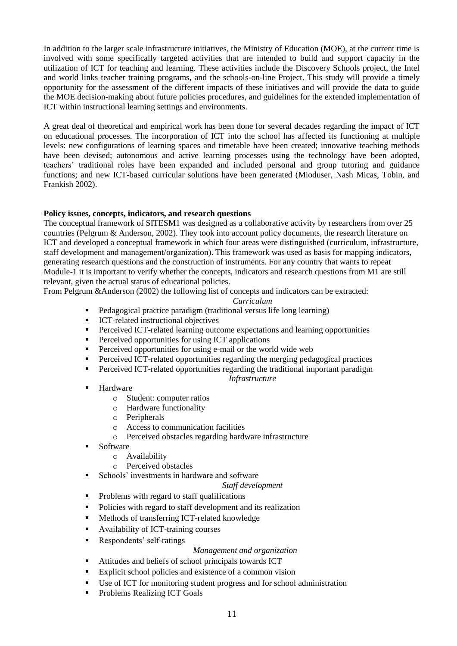In addition to the larger scale infrastructure initiatives, the Ministry of Education (MOE), at the current time is involved with some specifically targeted activities that are intended to build and support capacity in the utilization of ICT for teaching and learning. These activities include the Discovery Schools project, the Intel and world links teacher training programs, and the schools-on-line Project. This study will provide a timely opportunity for the assessment of the different impacts of these initiatives and will provide the data to guide the MOE decision-making about future policies procedures, and guidelines for the extended implementation of ICT within instructional learning settings and environments.

A great deal of theoretical and empirical work has been done for several decades regarding the impact of ICT on educational processes. The incorporation of ICT into the school has affected its functioning at multiple levels: new configurations of learning spaces and timetable have been created; innovative teaching methods have been devised; autonomous and active learning processes using the technology have been adopted, teachers' traditional roles have been expanded and included personal and group tutoring and guidance functions; and new ICT-based curricular solutions have been generated (Mioduser, Nash Micas, Tobin, and Frankish 2002).

### **Policy issues, concepts, indicators, and research questions**

The conceptual framework of SITESM1 was designed as a collaborative activity by researchers from over 25 countries (Pelgrum & Anderson, 2002). They took into account policy documents, the research literature on ICT and developed a conceptual framework in which four areas were distinguished (curriculum, infrastructure, staff development and management/organization). This framework was used as basis for mapping indicators, generating research questions and the construction of instruments. For any country that wants to repeat Module-1 it is important to verify whether the concepts, indicators and research questions from M1 are still relevant, given the actual status of educational policies.

From Pelgrum &Anderson (2002) the following list of concepts and indicators can be extracted:

### *Curriculum*

- Pedagogical practice paradigm (traditional versus life long learning)
- **ICT-related instructional objectives**
- Perceived ICT-related learning outcome expectations and learning opportunities
- Perceived opportunities for using ICT applications
- Perceived opportunities for using e-mail or the world wide web
- Perceived ICT-related opportunities regarding the merging pedagogical practices
- Perceived ICT-related opportunities regarding the traditional important paradigm

### *Infrastructure*

- Hardware
	- o Student: computer ratios
	- o Hardware functionality
	- o Peripherals
	- o Access to communication facilities
	- o Perceived obstacles regarding hardware infrastructure
- Software
	- o Availability
	- o Perceived obstacles
- Schools' investments in hardware and software

### *Staff development*

- Problems with regard to staff qualifications
- Policies with regard to staff development and its realization
- Methods of transferring ICT-related knowledge
- Availability of ICT-training courses
- **Respondents' self-ratings**

### *Management and organization*

- Attitudes and beliefs of school principals towards ICT
- Explicit school policies and existence of a common vision
- Use of ICT for monitoring student progress and for school administration
- Problems Realizing ICT Goals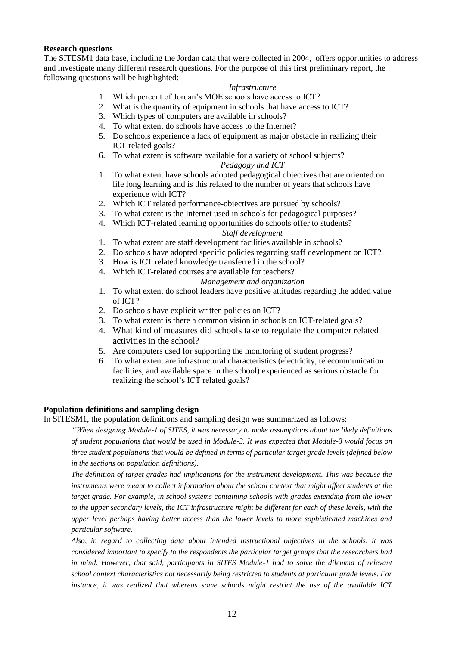### **Research questions**

The SITESM1 data base, including the Jordan data that were collected in 2004, offers opportunities to address and investigate many different research questions. For the purpose of this first preliminary report, the following questions will be highlighted:

### *Infrastructure*

- 1. Which percent of Jordan's MOE schools have access to ICT?
- 2. What is the quantity of equipment in schools that have access to ICT?
- 3. Which types of computers are available in schools?
- 4. To what extent do schools have access to the Internet?
- 5. Do schools experience a lack of equipment as major obstacle in realizing their ICT related goals?
- 6. To what extent is software available for a variety of school subjects?

### *Pedagogy and ICT*

- 1. To what extent have schools adopted pedagogical objectives that are oriented on life long learning and is this related to the number of years that schools have experience with ICT?
- 2. Which ICT related performance-objectives are pursued by schools?
- 3. To what extent is the Internet used in schools for pedagogical purposes?
- 4. Which ICT-related learning opportunities do schools offer to students?

#### *Staff development*

- 1. To what extent are staff development facilities available in schools?
- 2. Do schools have adopted specific policies regarding staff development on ICT?
- 3. How is ICT related knowledge transferred in the school?
- 4. Which ICT-related courses are available for teachers?

#### *Management and organization*

- 1. To what extent do school leaders have positive attitudes regarding the added value of ICT?
- 2. Do schools have explicit written policies on ICT?
- 3. To what extent is there a common vision in schools on ICT-related goals?
- 4. What kind of measures did schools take to regulate the computer related activities in the school?
- 5. Are computers used for supporting the monitoring of student progress?
- 6. To what extent are infrastructural characteristics (electricity, telecommunication facilities, and available space in the school) experienced as serious obstacle for realizing the school's ICT related goals?

### **Population definitions and sampling design**

In SITESM1, the population definitions and sampling design was summarized as follows:

*''When designing Module-1 of SITES, it was necessary to make assumptions about the likely definitions of student populations that would be used in Module-3. It was expected that Module-3 would focus on three student populations that would be defined in terms of particular target grade levels (defined below in the sections on population definitions).* 

*The definition of target grades had implications for the instrument development. This was because the instruments were meant to collect information about the school context that might affect students at the target grade. For example, in school systems containing schools with grades extending from the lower to the upper secondary levels, the ICT infrastructure might be different for each of these levels, with the upper level perhaps having better access than the lower levels to more sophisticated machines and particular software.* 

*Also, in regard to collecting data about intended instructional objectives in the schools, it was considered important to specify to the respondents the particular target groups that the researchers had*  in mind. However, that said, participants in SITES Module-1 had to solve the dilemma of relevant *school context characteristics not necessarily being restricted to students at particular grade levels. For instance, it was realized that whereas some schools might restrict the use of the available ICT*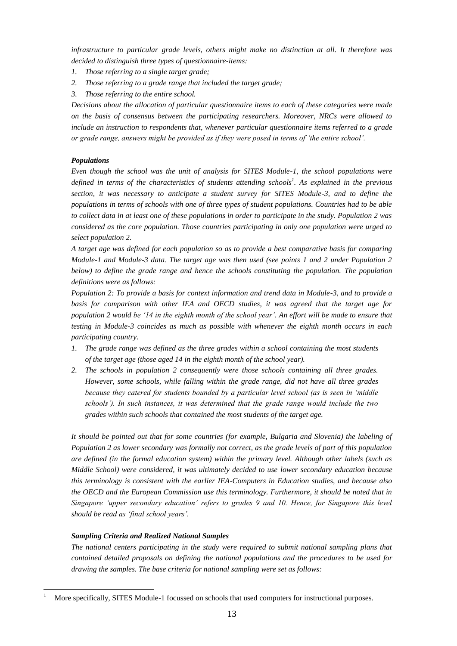*infrastructure to particular grade levels, others might make no distinction at all. It therefore was decided to distinguish three types of questionnaire-items:*

- *1. Those referring to a single target grade;*
- *2. Those referring to a grade range that included the target grade;*
- *3. Those referring to the entire school.*

*Decisions about the allocation of particular questionnaire items to each of these categories were made on the basis of consensus between the participating researchers. Moreover, NRCs were allowed to include an instruction to respondents that, whenever particular questionnaire items referred to a grade or grade range, answers might be provided as if they were posed in terms of 'the entire school'.*

### *Populations*

*Even though the school was the unit of analysis for SITES Module-1, the school populations were defined in terms of the characteristics of students attending schools<sup>1</sup> . As explained in the previous section, it was necessary to anticipate a student survey for SITES Module-3, and to define the populations in terms of schools with one of three types of student populations. Countries had to be able to collect data in at least one of these populations in order to participate in the study. Population 2 was considered as the core population. Those countries participating in only one population were urged to select population 2.* 

*A target age was defined for each population so as to provide a best comparative basis for comparing Module-1 and Module-3 data. The target age was then used (see points 1 and 2 under Population 2 below) to define the grade range and hence the schools constituting the population. The population definitions were as follows:*

*Population 2: To provide a basis for context information and trend data in Module-3, and to provide a basis for comparison with other IEA and OECD studies, it was agreed that the target age for population 2 would be '14 in the eighth month of the school year'. An effort will be made to ensure that testing in Module-3 coincides as much as possible with whenever the eighth month occurs in each participating country.*

- *1. The grade range was defined as the three grades within a school containing the most students of the target age (those aged 14 in the eighth month of the school year).*
- *2. The schools in population 2 consequently were those schools containing all three grades. However, some schools, while falling within the grade range, did not have all three grades because they catered for students bounded by a particular level school (as is seen in 'middle schools'). In such instances, it was determined that the grade range would include the two grades within such schools that contained the most students of the target age.*

*It should be pointed out that for some countries (for example, Bulgaria and Slovenia) the labeling of Population 2 as lower secondary was formally not correct, as the grade levels of part of this population are defined (in the formal education system) within the primary level. Although other labels (such as Middle School) were considered, it was ultimately decided to use lower secondary education because this terminology is consistent with the earlier IEA-Computers in Education studies, and because also the OECD and the European Commission use this terminology. Furthermore, it should be noted that in Singapore 'upper secondary education' refers to grades 9 and 10. Hence, for Singapore this level should be read as 'final school years'.*

#### *Sampling Criteria and Realized National Samples*

 $\overline{a}$ 

*The national centers participating in the study were required to submit national sampling plans that contained detailed proposals on defining the national populations and the procedures to be used for drawing the samples. The base criteria for national sampling were set as follows:*

<sup>1</sup> More specifically, SITES Module-1 focussed on schools that used computers for instructional purposes.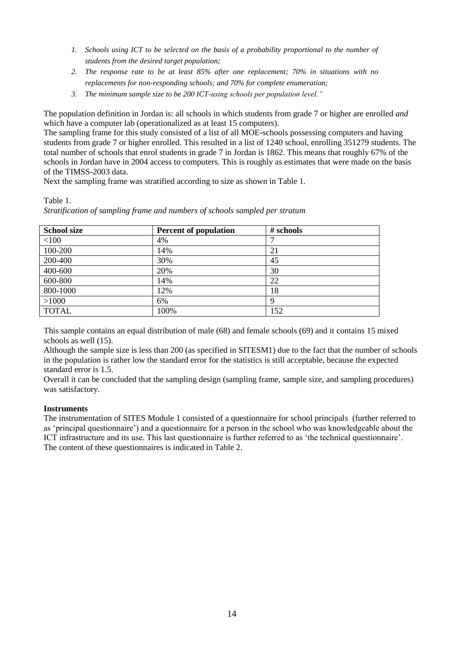- *1. Schools using ICT to be selected on the basis of a probability proportional to the number of students from the desired target population;*
- *2. The response rate to be at least 85% after one replacement; 70% in situations with no replacements for non-responding schools; and 70% for complete enumeration;*
- *3. The minimum sample size to be 200 ICT-using schools per population level."*

The population definition in Jordan is: all schools in which students from grade 7 or higher are enrolled *and* which have a computer lab (operationalized as at least 15 computers).

The sampling frame for this study consisted of a list of all MOE-schools possessing computers and having students from grade 7 or higher enrolled. This resulted in a list of 1240 school, enrolling 351279 students. The total number of schools that enrol students in grade 7 in Jordan is 1862. This means that roughly 67% of the schools in Jordan have in 2004 access to computers. This is roughly as estimates that were made on the basis of the TIMSS-2003 data.

Next the sampling frame was stratified according to size as shown in Table 1.

# Table 1.

*Stratification of sampling frame and numbers of schools sampled per stratum*

| <b>School size</b> | <b>Percent of population</b> | # schools |
|--------------------|------------------------------|-----------|
| < 100              | 4%                           |           |
| 100-200            | 14%                          | 21        |
| 200-400            | 30%                          | 45        |
| 400-600            | 20%                          | 30        |
| 600-800            | 14%                          | 22        |
| 800-1000           | 12%                          | 18        |
| >1000              | 6%                           | Ч         |
| <b>TOTAL</b>       | 100%                         | 152       |

This sample contains an equal distribution of male (68) and female schools (69) and it contains 15 mixed schools as well (15).

Although the sample size is less than 200 (as specified in SITESM1) due to the fact that the number of schools in the population is rather low the standard error for the statistics is still acceptable, because the expected standard error is 1.5.

Overall it can be concluded that the sampling design (sampling frame, sample size, and sampling procedures) was satisfactory.

### **Instruments**

The instrumentation of SITES Module 1 consisted of a questionnaire for school principals (further referred to as 'principal questionnaire') and a questionnaire for a person in the school who was knowledgeable about the ICT infrastructure and its use. This last questionnaire is further referred to as 'the technical questionnaire'. The content of these questionnaires is indicated in Table 2.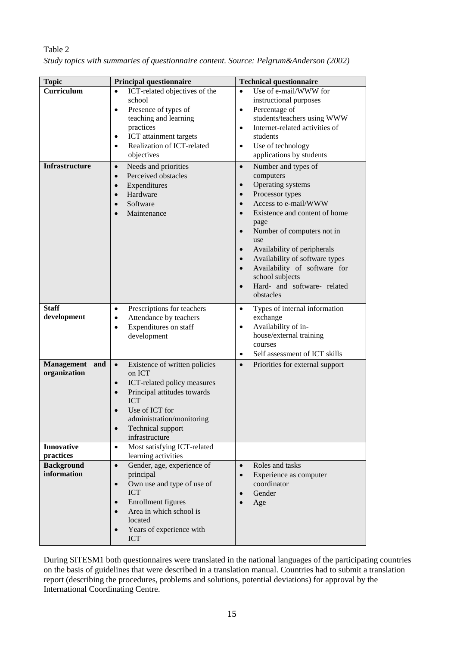| <b>Topic</b>                             | <b>Principal questionnaire</b>                                                                                                                                                                                                                                | <b>Technical questionnaire</b>                                                                                                                                                                                                                                                                                                                                                                                                                                      |  |  |  |  |  |
|------------------------------------------|---------------------------------------------------------------------------------------------------------------------------------------------------------------------------------------------------------------------------------------------------------------|---------------------------------------------------------------------------------------------------------------------------------------------------------------------------------------------------------------------------------------------------------------------------------------------------------------------------------------------------------------------------------------------------------------------------------------------------------------------|--|--|--|--|--|
| Curriculum                               | ICT-related objectives of the<br>$\bullet$<br>school<br>Presence of types of<br>$\bullet$<br>teaching and learning<br>practices<br>ICT attainment targets<br>$\bullet$<br>Realization of ICT-related<br>$\bullet$<br>objectives                               | Use of e-mail/WWW for<br>$\bullet$<br>instructional purposes<br>Percentage of<br>$\bullet$<br>students/teachers using WWW<br>Internet-related activities of<br>$\bullet$<br>students<br>Use of technology<br>$\bullet$<br>applications by students                                                                                                                                                                                                                  |  |  |  |  |  |
| <b>Infrastructure</b>                    | Needs and priorities<br>$\bullet$<br>Perceived obstacles<br>$\bullet$<br>Expenditures<br>$\bullet$<br>Hardware<br>$\bullet$<br>Software<br>$\bullet$<br>Maintenance<br>$\bullet$                                                                              | Number and types of<br>$\bullet$<br>computers<br>Operating systems<br>$\bullet$<br>Processor types<br>$\bullet$<br>Access to e-mail/WWW<br>$\bullet$<br>Existence and content of home<br>$\bullet$<br>page<br>Number of computers not in<br>$\bullet$<br>use<br>Availability of peripherals<br>$\bullet$<br>Availability of software types<br>$\bullet$<br>Availability of software for<br>$\bullet$<br>school subjects<br>Hard- and software- related<br>obstacles |  |  |  |  |  |
| <b>Staff</b><br>development              | Prescriptions for teachers<br>$\bullet$<br>Attendance by teachers<br>$\bullet$<br>Expenditures on staff<br>$\bullet$<br>development                                                                                                                           | Types of internal information<br>$\bullet$<br>exchange<br>Availability of in-<br>$\bullet$<br>house/external training<br>courses<br>Self assessment of ICT skills<br>$\bullet$                                                                                                                                                                                                                                                                                      |  |  |  |  |  |
| and<br><b>Management</b><br>organization | Existence of written policies<br>$\bullet$<br>on ICT<br>ICT-related policy measures<br>$\bullet$<br>Principal attitudes towards<br>$\bullet$<br><b>ICT</b><br>Use of ICT for<br>administration/monitoring<br>Technical support<br>$\bullet$<br>infrastructure | Priorities for external support<br>$\bullet$                                                                                                                                                                                                                                                                                                                                                                                                                        |  |  |  |  |  |
| <b>Innovative</b><br>practices           | Most satisfying ICT-related<br>$\bullet$<br>learning activities                                                                                                                                                                                               |                                                                                                                                                                                                                                                                                                                                                                                                                                                                     |  |  |  |  |  |
| <b>Background</b><br>information         | Gender, age, experience of<br>$\bullet$<br>principal<br>Own use and type of use of<br>$\bullet$<br><b>ICT</b><br>Enrollment figures<br>$\bullet$<br>Area in which school is<br>$\bullet$<br>located<br>Years of experience with<br><b>ICT</b>                 | Roles and tasks<br>$\bullet$<br>Experience as computer<br>$\bullet$<br>coordinator<br>Gender<br>$\bullet$<br>Age                                                                                                                                                                                                                                                                                                                                                    |  |  |  |  |  |

| Table 2                                                                               |  |
|---------------------------------------------------------------------------------------|--|
| Study topics with summaries of questionnaire content. Source: Pelgrum&Anderson (2002) |  |

During SITESM1 both questionnaires were translated in the national languages of the participating countries on the basis of guidelines that were described in a translation manual. Countries had to submit a translation report (describing the procedures, problems and solutions, potential deviations) for approval by the International Coordinating Centre.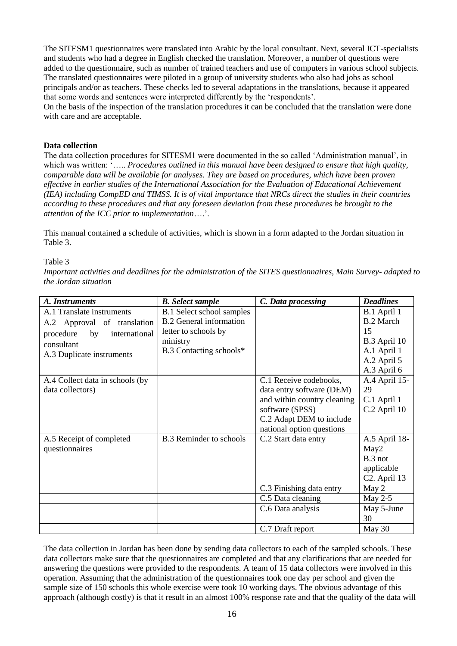The SITESM1 questionnaires were translated into Arabic by the local consultant. Next, several ICT-specialists and students who had a degree in English checked the translation. Moreover, a number of questions were added to the questionnaire, such as number of trained teachers and use of computers in various school subjects. The translated questionnaires were piloted in a group of university students who also had jobs as school principals and/or as teachers. These checks led to several adaptations in the translations, because it appeared that some words and sentences were interpreted differently by the 'respondents'.

On the basis of the inspection of the translation procedures it can be concluded that the translation were done with care and are acceptable.

### **Data collection**

The data collection procedures for SITESM1 were documented in the so called 'Administration manual', in which was written: '..... *Procedures outlined in this manual have been designed to ensure that high quality, comparable data will be available for analyses. They are based on procedures, which have been proven effective in earlier studies of the International Association for the Evaluation of Educational Achievement (IEA) including CompED and TIMSS. It is of vital importance that NRCs direct the studies in their countries according to these procedures and that any foreseen deviation from these procedures be brought to the attention of the ICC prior to implementation*….'.

This manual contained a schedule of activities, which is shown in a form adapted to the Jordan situation in Table 3.

### Table 3

*Important activities and deadlines for the administration of the SITES questionnaires, Main Survey- adapted to the Jordan situation*

| A. Instruments                   | <b>B.</b> Select sample          | C. Data processing          | <b>Deadlines</b>                        |  |  |  |
|----------------------------------|----------------------------------|-----------------------------|-----------------------------------------|--|--|--|
| A.1 Translate instruments        | <b>B.1 Select school samples</b> |                             | B.1 April 1                             |  |  |  |
| A.2 Approval of translation      | <b>B.2</b> General information   |                             | <b>B.2 March</b>                        |  |  |  |
| procedure<br>international<br>by | letter to schools by             |                             | 15                                      |  |  |  |
| consultant                       | ministry                         |                             | B.3 April 10                            |  |  |  |
| A.3 Duplicate instruments        | B.3 Contacting schools*          |                             | A.1 April 1                             |  |  |  |
|                                  |                                  |                             | A.2 April 5                             |  |  |  |
|                                  |                                  |                             | A.3 April 6                             |  |  |  |
| A.4 Collect data in schools (by  |                                  | C.1 Receive codebooks,      | A.4 April 15-                           |  |  |  |
| data collectors)                 |                                  | data entry software (DEM)   | 29                                      |  |  |  |
|                                  |                                  | and within country cleaning | C.1 April 1                             |  |  |  |
|                                  |                                  | software (SPSS)             | C.2 April 10                            |  |  |  |
|                                  |                                  | C.2 Adapt DEM to include    |                                         |  |  |  |
|                                  |                                  | national option questions   |                                         |  |  |  |
| A.5 Receipt of completed         | <b>B.3</b> Reminder to schools   | C.2 Start data entry        | A.5 April 18-                           |  |  |  |
| questionnaires                   |                                  |                             | May2<br>B.3 not                         |  |  |  |
|                                  |                                  |                             |                                         |  |  |  |
|                                  |                                  |                             | applicable<br>C <sub>2</sub> . April 13 |  |  |  |
|                                  |                                  | C.3 Finishing data entry    | May 2                                   |  |  |  |
|                                  |                                  | C.5 Data cleaning           | May $2-5$                               |  |  |  |
|                                  |                                  |                             |                                         |  |  |  |
|                                  |                                  | C.6 Data analysis           | May 5-June<br>30                        |  |  |  |
|                                  |                                  | C.7 Draft report            | May 30                                  |  |  |  |
|                                  |                                  |                             |                                         |  |  |  |

The data collection in Jordan has been done by sending data collectors to each of the sampled schools. These data collectors make sure that the questionnaires are completed and that any clarifications that are needed for answering the questions were provided to the respondents. A team of 15 data collectors were involved in this operation. Assuming that the administration of the questionnaires took one day per school and given the sample size of 150 schools this whole exercise were took 10 working days. The obvious advantage of this approach (although costly) is that it result in an almost 100% response rate and that the quality of the data will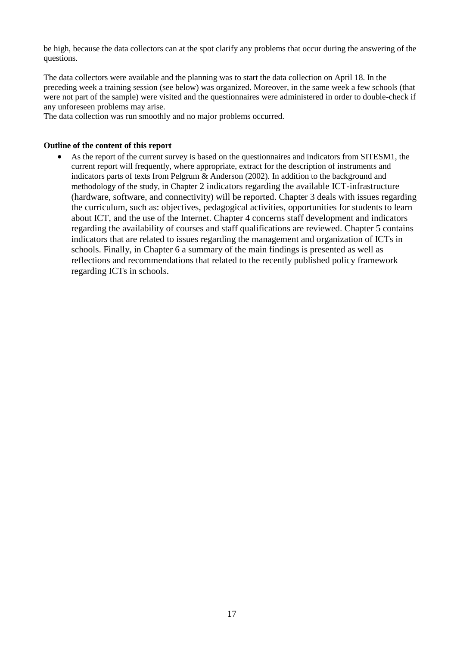be high, because the data collectors can at the spot clarify any problems that occur during the answering of the questions.

The data collectors were available and the planning was to start the data collection on April 18. In the preceding week a training session (see below) was organized. Moreover, in the same week a few schools (that were not part of the sample) were visited and the questionnaires were administered in order to double-check if any unforeseen problems may arise.

The data collection was run smoothly and no major problems occurred.

### **Outline of the content of this report**

 As the report of the current survey is based on the questionnaires and indicators from SITESM1, the current report will frequently, where appropriate, extract for the description of instruments and indicators parts of texts from Pelgrum & Anderson (2002). In addition to the background and methodology of the study, in Chapter 2 indicators regarding the available ICT-infrastructure (hardware, software, and connectivity) will be reported. Chapter 3 deals with issues regarding the curriculum, such as: objectives, pedagogical activities, opportunities for students to learn about ICT, and the use of the Internet. Chapter 4 concerns staff development and indicators regarding the availability of courses and staff qualifications are reviewed. Chapter 5 contains indicators that are related to issues regarding the management and organization of ICTs in schools. Finally, in Chapter 6 a summary of the main findings is presented as well as reflections and recommendations that related to the recently published policy framework regarding ICTs in schools.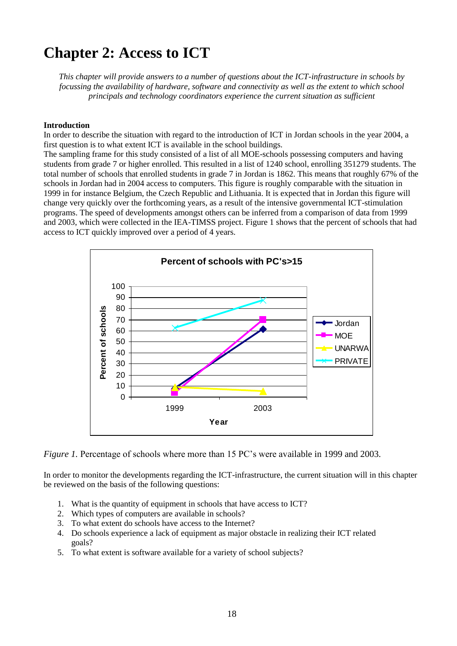# **Chapter 2: Access to ICT**

*This chapter will provide answers to a number of questions about the ICT-infrastructure in schools by focussing the availability of hardware, software and connectivity as well as the extent to which school principals and technology coordinators experience the current situation as sufficient*

### **Introduction**

In order to describe the situation with regard to the introduction of ICT in Jordan schools in the year 2004, a first question is to what extent ICT is available in the school buildings.

The sampling frame for this study consisted of a list of all MOE-schools possessing computers and having students from grade 7 or higher enrolled. This resulted in a list of 1240 school, enrolling 351279 students. The total number of schools that enrolled students in grade 7 in Jordan is 1862. This means that roughly 67% of the schools in Jordan had in 2004 access to computers. This figure is roughly comparable with the situation in 1999 in for instance Belgium, the Czech Republic and Lithuania. It is expected that in Jordan this figure will change very quickly over the forthcoming years, as a result of the intensive governmental ICT-stimulation programs. The speed of developments amongst others can be inferred from a comparison of data from 1999 and 2003, which were collected in the IEA-TIMSS project. Figure 1 shows that the percent of schools that had access to ICT quickly improved over a period of 4 years.



*Figure 1.* Percentage of schools where more than 15 PC's were available in 1999 and 2003.

In order to monitor the developments regarding the ICT-infrastructure, the current situation will in this chapter be reviewed on the basis of the following questions:

- 1. What is the quantity of equipment in schools that have access to ICT?
- 2. Which types of computers are available in schools?
- 3. To what extent do schools have access to the Internet?
- 4. Do schools experience a lack of equipment as major obstacle in realizing their ICT related goals?
- 5. To what extent is software available for a variety of school subjects?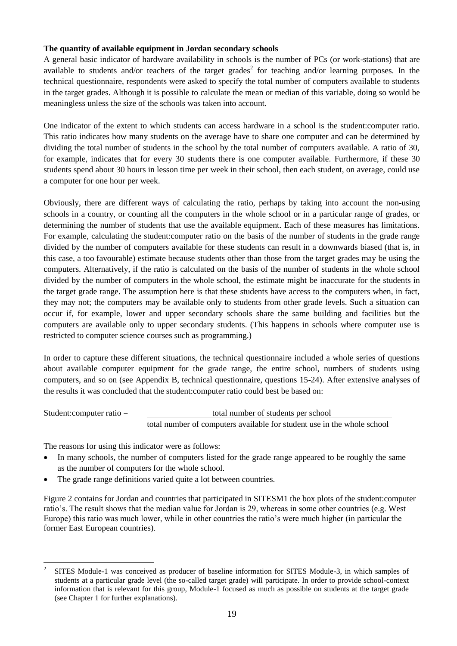### **The quantity of available equipment in Jordan secondary schools**

A general basic indicator of hardware availability in schools is the number of PCs (or work-stations) that are available to students and/or teachers of the target grades<sup>2</sup> for teaching and/or learning purposes. In the technical questionnaire, respondents were asked to specify the total number of computers available to students in the target grades. Although it is possible to calculate the mean or median of this variable, doing so would be meaningless unless the size of the schools was taken into account.

One indicator of the extent to which students can access hardware in a school is the student:computer ratio. This ratio indicates how many students on the average have to share one computer and can be determined by dividing the total number of students in the school by the total number of computers available. A ratio of 30, for example, indicates that for every 30 students there is one computer available. Furthermore, if these 30 students spend about 30 hours in lesson time per week in their school, then each student, on average, could use a computer for one hour per week.

Obviously, there are different ways of calculating the ratio, perhaps by taking into account the non-using schools in a country, or counting all the computers in the whole school or in a particular range of grades, or determining the number of students that use the available equipment. Each of these measures has limitations. For example, calculating the student:computer ratio on the basis of the number of students in the grade range divided by the number of computers available for these students can result in a downwards biased (that is, in this case, a too favourable) estimate because students other than those from the target grades may be using the computers. Alternatively, if the ratio is calculated on the basis of the number of students in the whole school divided by the number of computers in the whole school, the estimate might be inaccurate for the students in the target grade range. The assumption here is that these students have access to the computers when, in fact, they may not; the computers may be available only to students from other grade levels. Such a situation can occur if, for example, lower and upper secondary schools share the same building and facilities but the computers are available only to upper secondary students. (This happens in schools where computer use is restricted to computer science courses such as programming.)

In order to capture these different situations, the technical questionnaire included a whole series of questions about available computer equipment for the grade range, the entire school, numbers of students using computers, and so on (see Appendix B, technical questionnaire, questions 15-24). After extensive analyses of the results it was concluded that the student:computer ratio could best be based on:

Student:computer ratio = total number of students per school total number of computers available for student use in the whole school

The reasons for using this indicator were as follows:

- In many schools, the number of computers listed for the grade range appeared to be roughly the same as the number of computers for the whole school.
- The grade range definitions varied quite a lot between countries.

Figure 2 contains for Jordan and countries that participated in SITESM1 the box plots of the student:computer ratio's. The result shows that the median value for Jordan is 29, whereas in some other countries (e.g. West Europe) this ratio was much lower, while in other countries the ratio's were much higher (in particular the former East European countries).

 $\frac{1}{2}$ SITES Module-1 was conceived as producer of baseline information for SITES Module-3, in which samples of students at a particular grade level (the so-called target grade) will participate. In order to provide school-context information that is relevant for this group, Module-1 focused as much as possible on students at the target grade (see Chapter 1 for further explanations).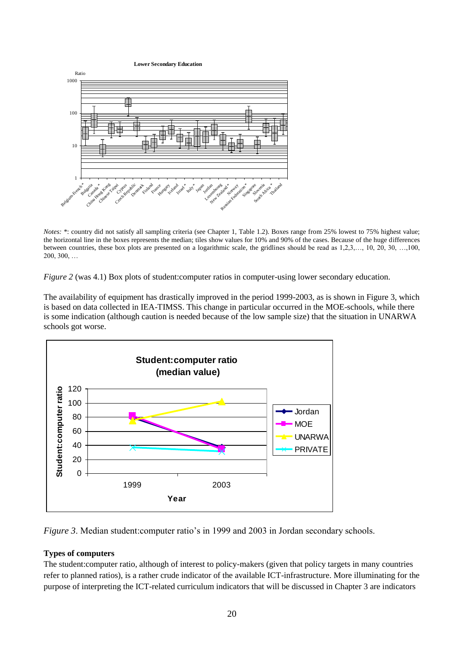**Lower Secondary Education**



*Notes:* \*: country did not satisfy all sampling criteria (see Chapter 1, Table 1.2). Boxes range from 25% lowest to 75% highest value; the horizontal line in the boxes represents the median; tiles show values for 10% and 90% of the cases. Because of the huge differences between countries, these box plots are presented on a logarithmic scale, the gridlines should be read as 1,2,3,…, 10, 20, 30, …,100, 200, 300, …

*Figure 2* (was 4.1) Box plots of student: computer ratios in computer-using lower secondary education.

The availability of equipment has drastically improved in the period 1999-2003, as is shown in Figure 3, which is based on data collected in IEA-TIMSS. This change in particular occurred in the MOE-schools, while there is some indication (although caution is needed because of the low sample size) that the situation in UNARWA schools got worse.



*Figure 3*. Median student:computer ratio's in 1999 and 2003 in Jordan secondary schools.

### **Types of computers**

The student:computer ratio, although of interest to policy-makers (given that policy targets in many countries refer to planned ratios), is a rather crude indicator of the available ICT-infrastructure. More illuminating for the purpose of interpreting the ICT-related curriculum indicators that will be discussed in Chapter 3 are indicators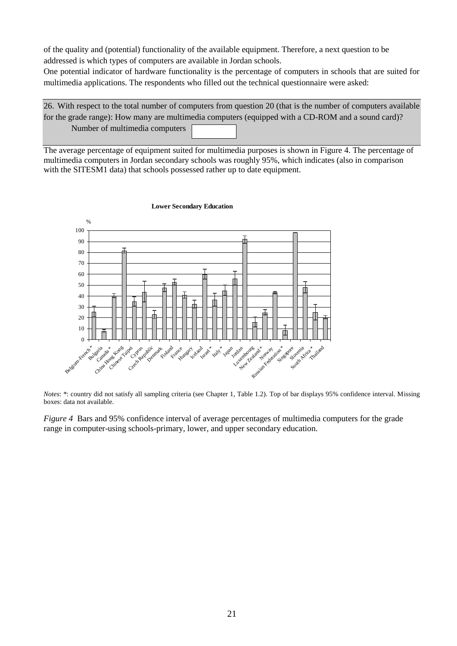of the quality and (potential) functionality of the available equipment. Therefore, a next question to be addressed is which types of computers are available in Jordan schools.

One potential indicator of hardware functionality is the percentage of computers in schools that are suited for multimedia applications. The respondents who filled out the technical questionnaire were asked:

26. With respect to the total number of computers from question 20 (that is the number of computers available for the grade range): How many are multimedia computers (equipped with a CD-ROM and a sound card)? Number of multimedia computers

The average percentage of equipment suited for multimedia purposes is shown in Figure 4. The percentage of multimedia computers in Jordan secondary schools was roughly 95%, which indicates (also in comparison with the SITESM1 data) that schools possessed rather up to date equipment.



#### **Lower Secondary Education**

*Notes*: \*: country did not satisfy all sampling criteria (see Chapter 1, Table 1.2). Top of bar displays 95% confidence interval. Missing boxes: data not available.

*Figure 4* Bars and 95% confidence interval of average percentages of multimedia computers for the grade range in computer-using schools-primary, lower, and upper secondary education.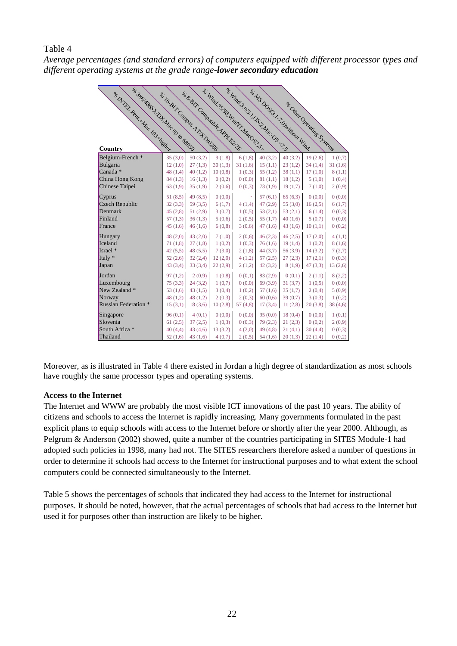# Table 4

*Average percentages (and standard errors) of computers equipped with different processor types and different operating systems at the grade range-lower secondary education*

| & 386 HRGSH D.H. Mac up to GR30 S<br>se NYRL Penr * Mac 103 History | & la Bir Commu Ar HRO385 |         | & & BIT Communication PRE | <b>SE Wind 3031 OS 3. Mac OS C. S. S.</b><br>SE Wind 95 98 WinN1. MacOS1. S.X. |         | as MS DOSG ! ! ? Dwillow Wind |                            |         |
|---------------------------------------------------------------------|--------------------------|---------|---------------------------|--------------------------------------------------------------------------------|---------|-------------------------------|----------------------------|---------|
|                                                                     |                          |         |                           |                                                                                |         |                               | st Oliver Orenting Systems |         |
|                                                                     |                          |         |                           |                                                                                |         |                               |                            |         |
|                                                                     |                          |         |                           |                                                                                |         |                               |                            |         |
|                                                                     |                          |         |                           |                                                                                |         |                               |                            |         |
|                                                                     |                          |         |                           |                                                                                |         |                               |                            |         |
|                                                                     |                          |         |                           |                                                                                |         |                               |                            |         |
| Country                                                             |                          |         |                           |                                                                                |         |                               |                            |         |
| Belgium-French*                                                     | 35(3,0)                  | 50(3,2) | 9(1,8)                    | 6(1,8)                                                                         | 40(3,2) | 40(3,2)                       | 19(2,6)                    | 1(0,7)  |
| Bulgaria                                                            | 12(1,0)                  | 27(1,3) | 30(1,3)                   | 31(1,6)                                                                        | 15(1,1) | 23(1,2)                       | 34(1,4)                    | 31(1,6) |
| Canada <sup>*</sup>                                                 | 48(1,4)                  | 40(1,2) | 10(0,8)                   | 1(0,3)                                                                         | 55(1,2) | 38(1,1)                       | 17(1,0)                    | 8(1,1)  |
| China Hong Kong                                                     | 84(1,3)                  | 16(1,3) | 0(0,2)                    | 0(0,0)                                                                         | 81(1,1) | 18(1,2)                       | 5(1,0)                     | 1(0,4)  |
| Chinese Taipei                                                      | 63(1,9)                  | 35(1,9) | 2(0,6)                    | 0(0,3)                                                                         | 73(1,9) | 19(1,7)                       | 7(1,0)                     | 2(0,9)  |
| Cyprus                                                              | 51(8,5)                  | 49(8,5) | (0,0)                     |                                                                                | 57(6,1) | 65(6,3)                       | 0(0,0)                     | 0(0,0)  |
| Czech Republic                                                      | 32(3,3)                  | 59(3,5) | 6(1,7)                    | 4(1,4)                                                                         | 47(2,9) | 55 $(3,0)$                    | 16(2,5)                    | 6(1,7)  |
| Denmark                                                             | 45(2,8)                  | 51(2,9) | 3(0,7)                    | 1(0,5)                                                                         | 53(2,1) | 53(2,1)                       | 6(1,4)                     | 0(0,3)  |
| Finland                                                             | 57(1,3)                  | 36(1,3) | 5(0,6)                    | 2(0,5)                                                                         | 55(1,7) | 40(1,6)                       | 5(0,7)                     | 0(0,0)  |
| France                                                              | 45(1,6)                  | 46(1,6) | 6(0,8)                    | 3(0,6)                                                                         | 47(1,6) | 43(1,6)                       | 10(1,1)                    | 0(0,2)  |
| Hungary                                                             | 48(2,0)                  | 43(2,0) | 7(1,0)                    | 2(0,6)                                                                         | 46(2,3) | 46(2,5)                       | 17(2,0)                    | 4(1,1)  |
| Iceland                                                             | 71(1,8)                  | 27(1,8) | 1(0,2)                    | 1(0,3)                                                                         | 76(1,6) | 19(1,4)                       | 1(0,2)                     | 8(1,6)  |
| Israel *                                                            | 42(5,5)                  | 48(5,5) | 7(3,0)                    | 2(1,8)                                                                         | 44(3,7) | 56(3,9)                       | 14(3,2)                    | 7(2,7)  |
| Italy *                                                             | 52(2,6)                  | 32(2,4) | 12(2,0)                   | 4(1,2)                                                                         | 57(2,5) | 27(2,3)                       | 17(2,1)                    | 0(0,3)  |
| Japan                                                               | 43(3,4)                  | 33(3,4) | 22(2,9)                   | 2(1,2)                                                                         | 42(3,2) | 8(1,9)                        | 47(3,3)                    | 13(2,6) |
| Jordan                                                              | 97(1,2)                  | 2(0,9)  | 1(0,8)                    | 0(0,1)                                                                         | 83(2,9) | 0(0,1)                        | 2(1,1)                     | 8(2,2)  |
| Luxembourg                                                          | 75(3,3)                  | 24(3,2) | 1(0,7)                    | 0(0,0)                                                                         | 69(3,9) | 31(3,7)                       | 1(0,5)                     | 0(0,0)  |
| New Zealand *                                                       | 53 $(1,6)$               | 43(1,5) | 3(0,4)                    | 1(0,2)                                                                         | 57(1,6) | 35(1,7)                       | 2(0,4)                     | 5(0,9)  |
| Norway                                                              | 48(1,2)                  | 48(1,2) | 2(0,3)                    | 2(0,3)                                                                         | 60(0,6) | 39(0,7)                       | 3(0,3)                     | 1(0,2)  |
| <b>Russian Federation *</b>                                         | 15(3,1)                  | 18(3,6) | 10(2,8)                   | 57 $(4,8)$                                                                     | 17(3,4) | 11(2,8)                       | 20(3,8)                    | 38(4,6) |
| Singapore                                                           | 96(0,1)                  | 4(0,1)  | 0(0,0)                    | 0(0,0)                                                                         | 95(0,0) | 18(0,4)                       | 0(0,0)                     | 1(0,1)  |
| Slovenia                                                            | 61(2,5)                  | 37(2,5) | 1(0,3)                    | 0(0,3)                                                                         | 79(2,3) | 21(2,3)                       | 0(0,2)                     | 2(0,9)  |
| South Africa *                                                      | 40(4,4)                  | 43(4,6) | 13(3,2)                   | 4(2,0)                                                                         | 49(4,8) | 21(4,1)                       | 30(4,4)                    | 0(0,3)  |
| Thailand                                                            | 52(1,6)                  | 43(1,6) | 4(0,7)                    | 2(0,5)                                                                         | 54(1,6) | 20(1,3)                       | 22(1,4)                    | 0(0,2)  |

Moreover, as is illustrated in Table 4 there existed in Jordan a high degree of standardization as most schools have roughly the same processor types and operating systems.

### **Access to the Internet**

The Internet and WWW are probably the most visible ICT innovations of the past 10 years. The ability of citizens and schools to access the Internet is rapidly increasing. Many governments formulated in the past explicit plans to equip schools with access to the Internet before or shortly after the year 2000. Although, as Pelgrum & Anderson (2002) showed, quite a number of the countries participating in SITES Module-1 had adopted such policies in 1998, many had not. The SITES researchers therefore asked a number of questions in order to determine if schools had *access* to the Internet for instructional purposes and to what extent the school computers could be connected simultaneously to the Internet.

Table 5 shows the percentages of schools that indicated they had access to the Internet for instructional purposes. It should be noted, however, that the actual percentages of schools that had access to the Internet but used it for purposes other than instruction are likely to be higher.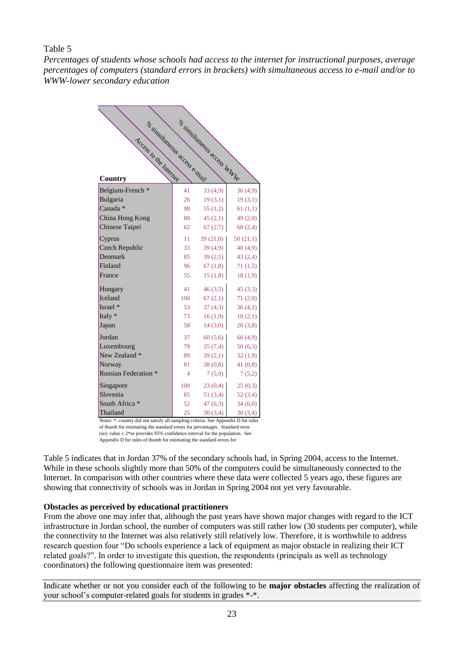### Table 5

*Percentages of students whose schools had access to the internet for instructional purposes, average percentages of computers (standard errors in brackets) with simultaneous access to e-mail and/or to WWW-lower secondary education*

| se simultaneous access e main                                                                 |     | ar simultaneous access WWW |          |
|-----------------------------------------------------------------------------------------------|-----|----------------------------|----------|
| Access to the Milenet                                                                         |     |                            |          |
|                                                                                               |     |                            |          |
|                                                                                               |     |                            |          |
|                                                                                               |     |                            |          |
| Country                                                                                       |     |                            |          |
| Belgium-French*                                                                               | 41  | 33(4,9)                    | 36(4,9)  |
| Bulgaria                                                                                      | 26  | 19(3,1)                    | 19(3,1)  |
| Canada *                                                                                      | 98  | 55(1,2)                    | 61(1,1)  |
| China Hong Kong                                                                               | 80  | 45(2,1)                    | 49(2,0)  |
| Chinese Taipei                                                                                | 62  | 67(2,7)                    | 68(2,4)  |
| Cyprus                                                                                        | 11  | 39(21,0)                   | 50(21,1) |
| Czech Republic                                                                                | 33  | 39(4,9)                    | 40(4,9)  |
| Denmark                                                                                       | 85  | 39(2,5)                    | 43(2,4)  |
| Finland                                                                                       | 96  | 67(1,8)                    | 71(1,5)  |
| France                                                                                        | 55  | 15(1,8)                    | 18(1,9)  |
| Hungary                                                                                       | 41  | 46(3,5)                    | 45(3,3)  |
| Iceland                                                                                       | 100 | 67(2,1)                    | 71(2,0)  |
| Israel *                                                                                      | 53  | 37(4,3)                    | 36(4,1)  |
| Italy *                                                                                       | 73  | 16(1,9)                    | 18(2,1)  |
| Japan                                                                                         | 58  | 14(3,0)                    | 20(3,8)  |
| Jordan                                                                                        | 37  | 60(5,6)                    | 66(4,9)  |
| Luxembourg                                                                                    | 79  | 35(7,4)                    | 50(6,3)  |
| New Zealand *                                                                                 | 89  | 39(2,1)                    | 32(1,9)  |
| Norway                                                                                        | 81  | 38(0,8)                    | 41(0,8)  |
| <b>Russian Federation *</b>                                                                   | 4   | 7(5,9)                     | 7(5,2)   |
| Singapore                                                                                     | 100 | 23(0,4)                    | 25(0,3)  |
| Slovenia                                                                                      | 85  | 51(3,4)                    | 52(3,4)  |
| South Africa *                                                                                | 52  | 47(6,3)                    | 34(6,0)  |
| Thailand<br>Notes: *: country did not satisfy all sampling criteria. See Appendix D for rules | 25  | 30(3,4)                    | 30(3,4)  |

of thumb for estimating the standard errors for percentages. Standard error (se): value  $\pm 2^*$ se provides 95% confidence interval for the population. See Appendix D for rules of thumb for estimating the standard errors for

Table 5 indicates that in Jordan 37% of the secondary schools had, in Spring 2004, access to the Internet. While in these schools slightly more than 50% of the computers could be simultaneously connected to the Internet. In comparison with other countries where these data were collected 5 years ago, these figures are showing that connectivity of schools was in Jordan in Spring 2004 not yet very favourable.

### **Obstacles as perceived by educational practitioners**

From the above one may infer that, although the past years have shown major changes with regard to the ICT infrastructure in Jordan school, the number of computers was still rather low (30 students per computer), while the connectivity to the Internet was also relatively still relatively low. Therefore, it is worthwhile to address research question four "Do schools experience a lack of equipment as major obstacle in realizing their ICT related goals?". In order to investigate this question, the respondents (principals as well as technology coordinators) the following questionnaire item was presented:

Indicate whether or not you consider each of the following to be **major obstacles** affecting the realization of your school's computer-related goals for students in grades \*-\*.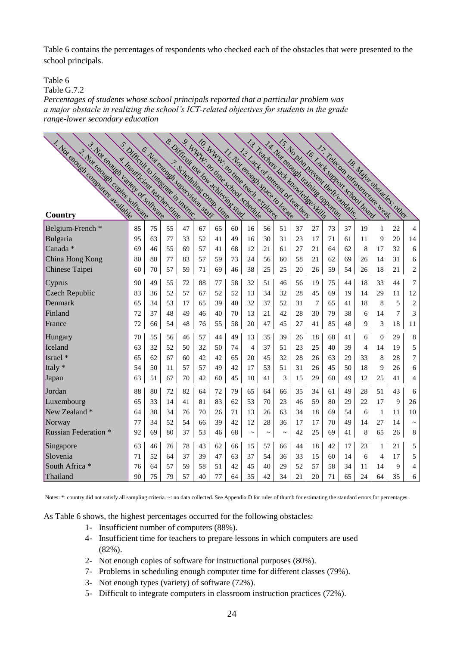Table 6 contains the percentages of respondents who checked each of the obstacles that were presented to the school principals.

Table 6

Table G.7.2

*Percentages of students whose school principals reported that a particular problem was a major obstacle in realizing the school's ICT-related objectives for students in the grade range-lower secondary education*

| 1. Not chough computers available<br>3. Not choulent variety or sommare<br>3. Not endured copies sortiuate | s. Difficult to integrate in instruc- | 5. Not chough subcrition state |    |                         |    |    | s. Difficult use low achieving stude<br>S. WWW.illouine school schedule<br>IO. WWW. no line leads explores<br>11. Not clouds pace to locate |                | 13. Teachers Lack knowledge skills<br>12 Lack of interest of leadings |             |    |    | 15. No plan prevent their vandable.<br>14 Notenwell training Sportage<br>17. Telecom infrastructure weat<br>I. C. Lack support school board |    |                           |                |    |                |
|------------------------------------------------------------------------------------------------------------|---------------------------------------|--------------------------------|----|-------------------------|----|----|---------------------------------------------------------------------------------------------------------------------------------------------|----------------|-----------------------------------------------------------------------|-------------|----|----|---------------------------------------------------------------------------------------------------------------------------------------------|----|---------------------------|----------------|----|----------------|
|                                                                                                            | A. Insuficient leader. The            |                                |    | >> Scheduling Comp Line |    |    |                                                                                                                                             |                |                                                                       |             |    |    |                                                                                                                                             |    | 18 Major Obstacles: other |                |    |                |
|                                                                                                            |                                       |                                |    |                         |    |    |                                                                                                                                             |                |                                                                       |             |    |    |                                                                                                                                             |    |                           |                |    |                |
|                                                                                                            |                                       |                                |    |                         |    |    |                                                                                                                                             |                |                                                                       |             |    |    |                                                                                                                                             |    |                           |                |    |                |
| Belgium-French <sup>*</sup>                                                                                | 85                                    | 75                             | 55 | 47                      | 67 | 65 | 60                                                                                                                                          | 16             | 56                                                                    | 51          | 37 | 27 | 73                                                                                                                                          | 37 | 19                        | 1              | 22 | $\overline{4}$ |
| Bulgaria                                                                                                   | 95                                    | 63                             | 77 | 33                      | 52 | 41 | 49                                                                                                                                          | 16             | 30                                                                    | 31          | 23 | 17 | 71                                                                                                                                          | 61 | 11                        | 9              | 20 | 14             |
| Canada <sup>*</sup>                                                                                        | 69                                    | 46                             | 55 | 69                      | 57 | 41 | 68                                                                                                                                          | 12             | 21                                                                    | 61          | 27 | 21 | 64                                                                                                                                          | 62 | 8                         | 17             | 32 | 6              |
| China Hong Kong                                                                                            | 80                                    | 88                             | 77 | 83                      | 57 | 59 | 73                                                                                                                                          | 24             | 56                                                                    | 60          | 58 | 21 | 62                                                                                                                                          | 69 | 26                        | 14             | 31 | 6              |
| Chinese Taipei                                                                                             | 60                                    | 70                             | 57 | 59                      | 71 | 69 | 46                                                                                                                                          | 38             | 25                                                                    | 25          | 20 | 26 | 59                                                                                                                                          | 54 | 26                        | 18             | 21 | $\overline{c}$ |
| Cyprus                                                                                                     | 90                                    | 49                             | 55 | 72                      | 88 | 77 | 58                                                                                                                                          | 32             | 51                                                                    | 46          | 56 | 19 | 75                                                                                                                                          | 44 | 18                        | 33             | 44 | 7              |
| Czech Republic                                                                                             | 83                                    | 36                             | 52 | 57                      | 67 | 52 | 52                                                                                                                                          | 13             | 34                                                                    | 32          | 28 | 45 | 69                                                                                                                                          | 19 | 14                        | 29             | 11 | 12             |
| Denmark                                                                                                    | 65                                    | 34                             | 53 | 17                      | 65 | 39 | 40                                                                                                                                          | 32             | 37                                                                    | 52          | 31 | 7  | 65                                                                                                                                          | 41 | 18                        | 8              | 5  | $\sqrt{2}$     |
| Finland                                                                                                    | 72                                    | 37                             | 48 | 49                      | 46 | 40 | 70                                                                                                                                          | 13             | 21                                                                    | 42          | 28 | 30 | 79                                                                                                                                          | 38 | 6                         | 14             | 7  | 3              |
| France                                                                                                     | 72                                    | 66                             | 54 | 48                      | 76 | 55 | 58                                                                                                                                          | 20             | 47                                                                    | 45          | 27 | 41 | 85                                                                                                                                          | 48 | 9                         | 3              | 18 | 11             |
| Hungary                                                                                                    | 70                                    | 55                             | 56 | 46                      | 57 | 44 | 49                                                                                                                                          | 13             | 35                                                                    | 39          | 26 | 18 | 68                                                                                                                                          | 41 | 6                         | $\overline{0}$ | 29 | $\,8\,$        |
| Iceland                                                                                                    | 63                                    | 32                             | 52 | 50                      | 32 | 50 | 74                                                                                                                                          | $\overline{4}$ | 37                                                                    | 51          | 23 | 25 | 40                                                                                                                                          | 39 | 4                         | 14             | 19 | 5              |
| Israel *                                                                                                   | 65                                    | 62                             | 67 | 60                      | 42 | 42 | 65                                                                                                                                          | 20             | 45                                                                    | 32          | 28 | 26 | 63                                                                                                                                          | 29 | 33                        | 8              | 28 | $\overline{7}$ |
| Italy *                                                                                                    | 54                                    | 50                             | 11 | 57                      | 57 | 49 | 42                                                                                                                                          | 17             | 53                                                                    | 51          | 31 | 26 | 45                                                                                                                                          | 50 | 18                        | 9              | 26 | 6              |
| Japan                                                                                                      | 63                                    | 51                             | 67 | $70\,$                  | 42 | 60 | 45                                                                                                                                          | 10             | 41                                                                    | 3           | 15 | 29 | 60                                                                                                                                          | 49 | 12                        | 25             | 41 | $\overline{4}$ |
| Jordan                                                                                                     | 88                                    | 80                             | 72 | 82                      | 64 | 72 | 79                                                                                                                                          | 65             | 64                                                                    | 66          | 35 | 34 | 61                                                                                                                                          | 49 | 28                        | 51             | 43 | 6              |
| Luxembourg                                                                                                 | 65                                    | 33                             | 14 | 41                      | 81 | 83 | 62                                                                                                                                          | 53             | 70                                                                    | 23          | 46 | 59 | 80                                                                                                                                          | 29 | 22                        | 17             | 9  | 26             |
| New Zealand *                                                                                              | 64                                    | 38                             | 34 | 76                      | 70 | 26 | 71                                                                                                                                          | 13             | 26                                                                    | 63          | 34 | 18 | 69                                                                                                                                          | 54 | 6                         | 1              | 11 | 10             |
| Norway                                                                                                     | 77                                    | 34                             | 52 | 54                      | 66 | 39 | 42                                                                                                                                          | 12             | 28                                                                    | 36          | 17 | 17 | 70                                                                                                                                          | 49 | 14                        | 27             | 14 | $\tilde{}$     |
| <b>Russian Federation *</b>                                                                                | 92                                    | 69                             | 80 | 37                      | 53 | 46 | 68                                                                                                                                          | $\thicksim$    | $\thicksim$                                                           | $\thicksim$ | 42 | 25 | 69                                                                                                                                          | 41 | 8                         | 65             | 26 | $\,$ 8 $\,$    |
| Singapore                                                                                                  | 63                                    | 46                             | 76 | 78                      | 43 | 62 | 66                                                                                                                                          | 15             | 57                                                                    | 66          | 44 | 18 | 42                                                                                                                                          | 17 | 23                        | 1              | 21 | 5              |
| Slovenia                                                                                                   | 71                                    | 52                             | 64 | 37                      | 39 | 47 | 63                                                                                                                                          | 37             | 54                                                                    | 36          | 33 | 15 | 60                                                                                                                                          | 14 | 6                         | 4              | 17 | 5              |
| South Africa *                                                                                             | 76                                    | 64                             | 57 | 59                      | 58 | 51 | 42                                                                                                                                          | 45             | 40                                                                    | 29          | 52 | 57 | 58                                                                                                                                          | 34 | 11                        | 14             | 9  | 4              |
| Thailand                                                                                                   | 90                                    | 75                             | 79 | 57                      | 40 | 77 | 64                                                                                                                                          | 35             | 42                                                                    | 34          | 21 | 20 | 71                                                                                                                                          | 65 | 24                        | 64             | 35 | 6              |

Notes: \*: country did not satisfy all sampling criteria. ~: no data collected. See Appendix D for rules of thumb for estimating the standard errors for percentages.

As Table 6 shows, the highest percentages occurred for the following obstacles:

- 1- Insufficient number of computers (88%).
- 4- Insufficient time for teachers to prepare lessons in which computers are used (82%).
- 2- Not enough copies of software for instructional purposes (80%).
- 7- Problems in scheduling enough computer time for different classes (79%).
- 3- Not enough types (variety) of software (72%).
- 5- Difficult to integrate computers in classroom instruction practices (72%).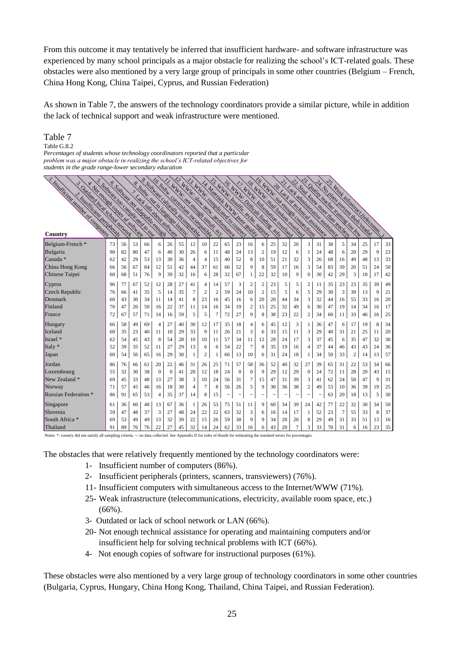From this outcome it may tentatively be inferred that insufficient hardware- and software infrastructure was experienced by many school principals as a major obstacle for realizing the school's ICT-related goals. These obstacles were also mentioned by a very large group of principals in some other countries (Belgium – French, China Hong Kong, China Taipei, Cyprus, and Russian Federation)

As shown in Table 7, the answers of the technology coordinators provide a similar picture, while in addition the lack of technical support and weak infrastructure were mentioned.

### Table 7

~ *students in the grade range-lower secondary education* Table G.8.2 *Percentages of students whose technology coordinators reported that a particular problem was a major obstacle in realizing the school's ICT-related objectives for*

| T. Faulticien numeror community<br>s sunuale loc communication des<br>y Nor environmental constant and<br>s Quanahan keduduan harusak<br>s : Limithician Reinham | e. Scriusic nd adminite enough |    |    |    | TO Settive Curriculum Incommutibility<br>S. Solutate Cultural incompanies<br>e Sonne non in tauture instruc-<br>Tud inc. akun sommer | THE WIND WAS DRIVING WINDOW AND |    | I.2. WWW. story ledge Decision of the Communities<br>T3 WWW.commed.commed. |    |                |            |              | is www.iowitte.cedu.wpp.com<br>14 WWW. mill bankers overlead<br>Is WWW.Different lineties und<br>17 WWW. Internation overload<br>14 Materials WWW Police Blaistic |                  |        |            |                           | Art Quality Leader Entimated Co Low<br><b>Syllut knowledge they lead less</b><br>21 Lack a duministrative distribution<br>G WWW.iongound.com<br>20. Lack or localities assistance |                      | 37. No Dunis Desert Health States |    |    |    | 23. Weat information of the community |    |
|------------------------------------------------------------------------------------------------------------------------------------------------------------------|--------------------------------|----|----|----|--------------------------------------------------------------------------------------------------------------------------------------|---------------------------------|----|----------------------------------------------------------------------------|----|----------------|------------|--------------|-------------------------------------------------------------------------------------------------------------------------------------------------------------------|------------------|--------|------------|---------------------------|-----------------------------------------------------------------------------------------------------------------------------------------------------------------------------------|----------------------|-----------------------------------|----|----|----|---------------------------------------|----|
|                                                                                                                                                                  |                                |    |    |    |                                                                                                                                      |                                 |    |                                                                            |    |                |            |              |                                                                                                                                                                   |                  |        |            |                           |                                                                                                                                                                                   |                      |                                   |    |    |    |                                       |    |
| Belgium-French *                                                                                                                                                 | 73                             | 56 | 53 | 66 | 6                                                                                                                                    | 26                              | 55 | 12                                                                         | 10 | 22             | 65         | 23           | 16                                                                                                                                                                | 6                | 25     | 32         | 20                        | 3                                                                                                                                                                                 | 31                   | 38                                | 5  | 34 | 25 | 17                                    | 33 |
| Bulgaria                                                                                                                                                         | 90                             | 82 | 80 | 47 | 6                                                                                                                                    | 40                              | 30 | 26                                                                         | 6  | -11            | 48         | 24           | 13                                                                                                                                                                | 2                | 19     | 12         | 6                         | 1                                                                                                                                                                                 | 24                   | 48                                | 6  | 20 | 29 | 9                                     | 23 |
| Canada *                                                                                                                                                         | 62                             | 42 | 29 | 53 | 13                                                                                                                                   | 30                              | 36 | 4                                                                          | 4  | 15             | 40         | 52           | 8                                                                                                                                                                 | 10               | 51     | 21         | 32                        | 3                                                                                                                                                                                 | 26                   | 68                                | 16 | 49 | 48 | 13                                    | 33 |
| China Hong Kong                                                                                                                                                  | 66                             | 56 | 67 | 84 | 12                                                                                                                                   | 51                              | 42 | 44                                                                         | 37 | 61             | 66         | 52           | 9                                                                                                                                                                 | 8                | 59     | 17         | 16                        | 3                                                                                                                                                                                 | 54                   | 83                                | 39 | 20 | 51 | 24                                    | 50 |
| Chinese Taipei                                                                                                                                                   | 60                             | 68 | 51 | 76 | 9                                                                                                                                    | 39                              | 32 | 16                                                                         | 6  | 28             | 32         | 67           | 1                                                                                                                                                                 | 22               | 32     | 10         | 9                         | $\mathbf{0}$                                                                                                                                                                      | 30                   | 42                                | 29 | 3  | 18 | 17                                    | 42 |
| Cyprus                                                                                                                                                           | 96                             | 77 | 67 | 52 | 12                                                                                                                                   | 28                              | 27 | 41                                                                         | 4  | 14             | 57         | 3            | 2                                                                                                                                                                 | 2                | 23     | 5          | 5                         | 2                                                                                                                                                                                 | 11                   | 35                                | 23 | 23 | 35 | 39                                    | 49 |
| Czech Republic                                                                                                                                                   | 76                             | 66 | 41 | 35 | 5                                                                                                                                    | 14                              | 35 | 7                                                                          | 2  | $\overline{2}$ | 59         | 24           | 10                                                                                                                                                                | $\boldsymbol{2}$ | 15     | 5          | 6                         | 5                                                                                                                                                                                 | 29                   | 30                                | 3  | 39 | 13 | 9                                     | 21 |
| Denmark                                                                                                                                                          | 60                             | 43 | 30 | 34 | 11                                                                                                                                   | 14                              | 41 | 8                                                                          | 23 | 16             | 45         | 16           | 6                                                                                                                                                                 | 20               | 20     | 44         | 34                        | 3                                                                                                                                                                                 | 32                   | 44                                | 16 | 55 | 33 | 16                                    | 20 |
| Finland                                                                                                                                                          | 70                             | 47 | 20 | 50 | 16                                                                                                                                   | 22                              | 37 | 11                                                                         | 14 | 16             | 34         | 19           | $\overline{c}$                                                                                                                                                    | 15               | 25     | 32         | 49                        | 6                                                                                                                                                                                 | 30                   | 47                                | 19 | 14 | 34 | 16                                    | 17 |
| France                                                                                                                                                           | 72                             | 67 | 57 | 71 | 14                                                                                                                                   | 16                              | 59 | 5                                                                          | 5  | 7              | 72         | 27           | 9                                                                                                                                                                 | 8                | 38     | 23         | 22                        | 2                                                                                                                                                                                 | 34                   | 60                                | 11 | 33 | 46 | 16                                    | 25 |
| Hungary                                                                                                                                                          | 66                             | 58 | 49 | 69 | 4                                                                                                                                    | 27                              | 40 | 30                                                                         | 12 | 17             | 35         | 18           | 4                                                                                                                                                                 | 6                | 45     | 12         | 3                         |                                                                                                                                                                                   | 36                   | 47                                | 6  | 17 | 19 | 8                                     | 34 |
| Iceland                                                                                                                                                          | 60                             | 35 | 23 | 40 | 11                                                                                                                                   | 10                              | 29 | 33                                                                         | 9  | 11             | 26         | 21           | 3                                                                                                                                                                 | 6                | 33     | 15         | 11                        | 3                                                                                                                                                                                 | 29                   | 40                                | 31 | 21 | 25 | 11                                    | 20 |
| Israel *                                                                                                                                                         | 62                             | 54 | 45 | 43 | 8                                                                                                                                    | 54                              | 28 | 10                                                                         | 10 | 11             | 57         | 34           | 11                                                                                                                                                                | 12               | 28     | 24         | 17                        | 3                                                                                                                                                                                 | 37                   | 45                                | 6  | 35 | 47 | 32                                    | 30 |
| Italy *                                                                                                                                                          | 52                             | 39 | 35 | 52 | 11                                                                                                                                   | 27                              | 29 | 13                                                                         | 6  | 6              | 54         | 22           | 7                                                                                                                                                                 | 8                | 35     | 19         | 16                        | 4                                                                                                                                                                                 | 37                   | 44                                | 46 | 43 | 43 | 24                                    | 36 |
| Japan                                                                                                                                                            | 60                             | 54 | 56 | 65 | 16                                                                                                                                   | 29                              | 30 | 1                                                                          | 2  |                | 66         | 13           | 10                                                                                                                                                                | 6                | 31     | 24         | 18                        | 1                                                                                                                                                                                 | 34                   | 50                                | 33 | 2  | 14 | 13                                    | 57 |
| Jordan                                                                                                                                                           | 86                             | 76 | 66 | 61 | 20                                                                                                                                   | 22                              | 46 | 31                                                                         | 26 | 25             | 71         | 57           | 58                                                                                                                                                                | 36               | 52     | 40         | 32                        | 27                                                                                                                                                                                | 39                   | 65                                | 31 | 22 | 53 | 34                                    | 66 |
| Luxembourg                                                                                                                                                       | 55                             | 32 | 30 | 38 | $\mathbf{0}$                                                                                                                         | $\mathbf{0}$                    | 41 | 20                                                                         | 12 | 18             | 24         | $\mathbf{0}$ | $\mathbf{0}$                                                                                                                                                      | 9                | 29     | 12         | 29                        | 0                                                                                                                                                                                 | 24                   | 72                                | 11 | 28 | 20 | 43                                    | 15 |
| New Zealand *                                                                                                                                                    | 69                             | 45 | 33 | 48 | 13                                                                                                                                   | 27                              | 38 | 3                                                                          | 10 | 24             | 56         | 31           | 7                                                                                                                                                                 | 15               | 47     | 31         | 39                        | 3                                                                                                                                                                                 | 41                   | 62                                | 24 | 50 | 47 | 9                                     | 31 |
| Norway                                                                                                                                                           | 71                             | 57 | 45 | 46 | 16                                                                                                                                   | 18                              | 30 | 4                                                                          | 7  | 8              | 56         | 26           | 5                                                                                                                                                                 | 9                | 30     | 36         | 38                        | 2                                                                                                                                                                                 | 49                   | 53                                | 10 | 36 | 39 | 19                                    | 25 |
| <b>Russian Federation</b> *                                                                                                                                      | 86                             | 91 | 65 | 53 | 4                                                                                                                                    | 35                              | 37 | 14                                                                         | 8  | 15             | $\tilde{}$ | $\tilde{}$   | $\tilde{}$                                                                                                                                                        | $\tilde{}$       | $\sim$ | $\tilde{}$ | $\widetilde{\phantom{m}}$ | $\tilde{}$                                                                                                                                                                        | $\ddot{\phantom{1}}$ | 63                                | 20 | 18 | 13 | 5                                     | 30 |
| Singapore                                                                                                                                                        | 61                             | 36 | 60 | 48 | 13                                                                                                                                   | 67                              | 36 | 1                                                                          | 26 | 53             | 75         | 51           | 11                                                                                                                                                                | 9                | 60     | 34         | 39                        | 24                                                                                                                                                                                | 42                   | 77                                | 22 | 32 | 30 | 34                                    | 50 |
| Slovenia                                                                                                                                                         | 59                             | 47 | 48 | 37 | 3                                                                                                                                    | 27                              | 48 | 24                                                                         | 22 | 22             | 63         | 32           | 3                                                                                                                                                                 | 6                | 16     | 14         | 17                        | 1                                                                                                                                                                                 | 52                   | 23                                | 7  | 55 | 33 | 8                                     | 37 |
| South Africa <sup>*</sup>                                                                                                                                        | 69                             | 53 | 49 | 49 | 13                                                                                                                                   | 32                              | 39 | 22                                                                         | 15 | 26             | 59         | 30           | 9                                                                                                                                                                 | 9                | 34     | 20         | 20                        | 8                                                                                                                                                                                 | 29                   | 49                                | 31 | 33 | 51 | 13                                    | 16 |
| Thailand                                                                                                                                                         | 91                             | 89 | 76 | 76 | 22                                                                                                                                   | 27                              | 45 | 32                                                                         | 14 | 24             | 62         | 33           | 16                                                                                                                                                                | 6                | 43     | 20         | 7                         | 3                                                                                                                                                                                 | 33                   | 70                                | 31 | 6  | 16 | 23                                    | 35 |

Notes: \*: country did not satisfy all sampling criteria. ~: no data collected. See Appendix D for rules of thumb for estimating the standard errors for percentages.

The obstacles that were relatively frequently mentioned by the technology coordinators were:

- 1- Insufficient number of computers (86%).
- 2- Insufficient peripherals (printers, scanners, transviewers) (76%).
- 11- Insufficient computers with simultaneous access to the Internet/WWW (71%).
- 25- Weak infrastructure (telecommunications, electricity, available room space, etc.)  $(66\%)$ .
- 3- Outdated or lack of school network or LAN (66%).
- 20- Not enough technical assistance for operating and maintaining computers and/or insufficient help for solving technical problems with ICT (66%).
- 4- Not enough copies of software for instructional purposes (61%).

These obstacles were also mentioned by a very large group of technology coordinators in some other countries (Bulgaria, Cyprus, Hungary, China Hong Kong, Thailand, China Taipei, and Russian Federation).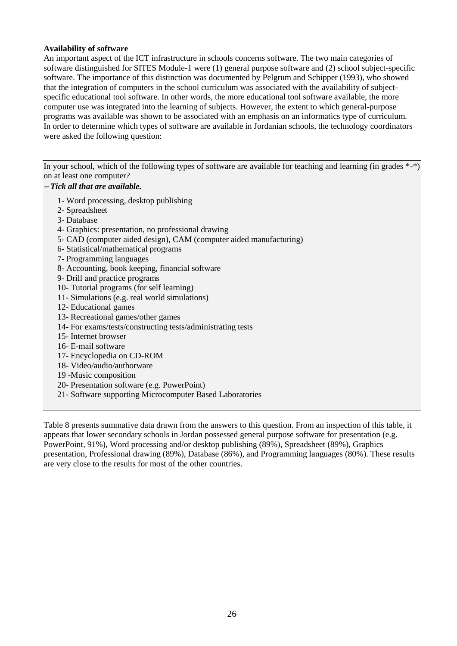### **Availability of software**

An important aspect of the ICT infrastructure in schools concerns software. The two main categories of software distinguished for SITES Module-1 were (1) general purpose software and (2) school subject-specific software. The importance of this distinction was documented by Pelgrum and Schipper (1993), who showed that the integration of computers in the school curriculum was associated with the availability of subjectspecific educational tool software. In other words, the more educational tool software available, the more computer use was integrated into the learning of subjects. However, the extent to which general-purpose programs was available was shown to be associated with an emphasis on an informatics type of curriculum. In order to determine which types of software are available in Jordanian schools, the technology coordinators were asked the following question:

In your school, which of the following types of software are available for teaching and learning (in grades \*-\*) on at least one computer?

# *Tick all that are available.*

- 1- Word processing, desktop publishing
- 2- Spreadsheet
- 3- Database
- 4- Graphics: presentation, no professional drawing
- 5- CAD (computer aided design), CAM (computer aided manufacturing)
- 6- Statistical/mathematical programs
- 7- Programming languages
- 8- Accounting, book keeping, financial software
- 9- Drill and practice programs
- 10- Tutorial programs (for self learning)
- 11- Simulations (e.g. real world simulations)
- 12- Educational games
- 13- Recreational games/other games
- 14- For exams/tests/constructing tests/administrating tests
- 15- Internet browser
- 16- E-mail software
- 17- Encyclopedia on CD-ROM
- 18- Video/audio/authorware
- 19 -Music composition
- 20- Presentation software (e.g. PowerPoint)
- 21- Software supporting Microcomputer Based Laboratories

Table 8 presents summative data drawn from the answers to this question. From an inspection of this table, it appears that lower secondary schools in Jordan possessed general purpose software for presentation (e.g. PowerPoint, 91%), Word processing and/or desktop publishing (89%), Spreadsheet (89%), Graphics presentation, Professional drawing (89%), Database (86%), and Programming languages (80%). These results are very close to the results for most of the other countries.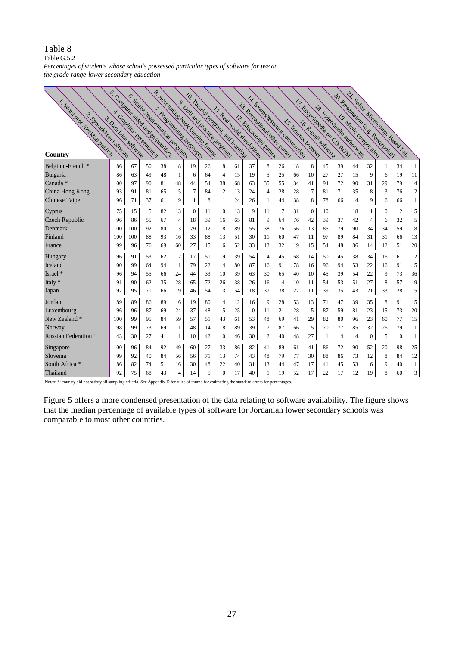### Table 8

Table  $G.5.2$ 

*Percentages of students whose schools possessed particular types of software for use at the grade range-lower secondary education*

| 1. Word Brec'desktop Dubling<br>2 Spreadhleas software<br>Country | s. Computer dided designment rec.<br>3 Data base converge |     |    |    | E. Satisf Indianation programs | 10. Tutarial program self communic<br>F Accommittee book keeping Linguist<br>s Drill and Inscrice Discharge<br>1. Angelamming language |    |                  |    | 11. Real world simulations | LA Literature Lead Construction<br>13. Recreation United Earnes<br>12. Educational Earned |    | I.s. Internet browser. |              | 17. Encyclopedia on O. ROW |    | 18. Videoraudio authorizate |                  | 21. Somu. Microcomp. Based Lan.<br>A. Bresentation (e.s. Powerpolin) |    |                  |
|-------------------------------------------------------------------|-----------------------------------------------------------|-----|----|----|--------------------------------|----------------------------------------------------------------------------------------------------------------------------------------|----|------------------|----|----------------------------|-------------------------------------------------------------------------------------------|----|------------------------|--------------|----------------------------|----|-----------------------------|------------------|----------------------------------------------------------------------|----|------------------|
| Belgium-French*                                                   | 86                                                        | 67  | 50 | 38 | 8                              | 19                                                                                                                                     | 26 | 8                | 61 | 37                         | 8                                                                                         | 26 | 18                     | 8            | 45                         | 39 | 44                          | 32               | 1                                                                    | 34 | 1                |
| Bulgaria                                                          | 86                                                        | 63  | 49 | 48 | 1                              | 6                                                                                                                                      | 64 | 4                | 15 | 19                         | 5                                                                                         | 25 | 66                     | 10           | 27                         | 27 | 15                          | 9                | 6                                                                    | 19 | 11               |
| Canada <sup>*</sup>                                               | 100                                                       | 97  | 90 | 81 | 48                             | 44                                                                                                                                     | 54 | 38               | 68 | 63                         | 35                                                                                        | 55 | 34                     | 41           | 94                         | 72 | 90                          | 31               | 29                                                                   | 79 | 14               |
| China Hong Kong                                                   | 93                                                        | 91  | 81 | 65 | 5                              | $\overline{7}$                                                                                                                         | 84 | $\overline{2}$   | 13 | 24                         | $\overline{4}$                                                                            | 28 | 28                     | 7            | 81                         | 71 | 35                          | 8                | 3                                                                    | 76 | $\mathfrak{2}$   |
| Chinese Taipei                                                    | 96                                                        | 71  | 37 | 61 | 9                              | 1                                                                                                                                      | 8  | 1                | 24 | 26                         | 1                                                                                         | 44 | 38                     | 8            | 78                         | 66 | 4                           | 9                | 6                                                                    | 66 | 1                |
| Cyprus                                                            | 75                                                        | 15  | 5  | 82 | 13                             | $\boldsymbol{0}$                                                                                                                       | 11 | $\mathbf{0}$     | 13 | 9                          | 11                                                                                        | 17 | 31                     | $\mathbf{0}$ | 10                         | 11 | 18                          | 1                | 0                                                                    | 12 | 5                |
| Czech Republic                                                    | 96                                                        | 86  | 55 | 67 | $\overline{4}$                 | 18                                                                                                                                     | 39 | 16               | 65 | 81                         | 9                                                                                         | 64 | 76                     | 42           | 39                         | 37 | 42                          | 4                | 6                                                                    | 32 | 5                |
| Denmark                                                           | 100                                                       | 100 | 92 | 80 | 3                              | 79                                                                                                                                     | 12 | 18               | 89 | 55                         | 38                                                                                        | 76 | 56                     | 13           | 85                         | 79 | 90                          | 34               | 34                                                                   | 59 | 18               |
| Finland                                                           | 100                                                       | 100 | 88 | 93 | 16                             | 33                                                                                                                                     | 88 | 13               | 51 | 30                         | 11                                                                                        | 60 | 47                     | 11           | 97                         | 89 | 84                          | 31               | 31                                                                   | 66 | 13               |
| France                                                            | 99                                                        | 96  | 76 | 69 | 60                             | 27                                                                                                                                     | 15 | 6                | 52 | 33                         | 13                                                                                        | 32 | 19                     | 15           | 54                         | 48 | 86                          | 14               | 12                                                                   | 51 | 20               |
| Hungary                                                           | 96                                                        | 91  | 53 | 62 | 2                              | 17                                                                                                                                     | 51 | 9                | 39 | 54                         | 4                                                                                         | 45 | 68                     | 14           | 50                         | 45 | 38                          | 34               | 16                                                                   | 61 | $\boldsymbol{2}$ |
| Iceland                                                           | 100                                                       | 99  | 64 | 94 | 1                              | 79                                                                                                                                     | 22 | 4                | 80 | 87                         | 16                                                                                        | 91 | 78                     | 16           | 96                         | 94 | 53                          | 22               | 16                                                                   | 91 | 5                |
| Israel *                                                          | 96                                                        | 94  | 55 | 66 | 24                             | 44                                                                                                                                     | 33 | 10               | 39 | 63                         | 30                                                                                        | 65 | 40                     | 10           | 45                         | 39 | 54                          | 22               | 9                                                                    | 73 | 36               |
| Italy *                                                           | 91                                                        | 90  | 62 | 35 | 28                             | 65                                                                                                                                     | 72 | 26               | 38 | 26                         | 16                                                                                        | 14 | 10                     | 11           | 54                         | 53 | 51                          | 27               | 8                                                                    | 57 | 19               |
| Japan                                                             | 97                                                        | 95  | 71 | 66 | 9                              | 46                                                                                                                                     | 54 | 3                | 54 | 18                         | 37                                                                                        | 38 | 27                     | 11           | 39                         | 35 | 43                          | 21               | 33                                                                   | 28 | 5                |
| Jordan                                                            | 89                                                        | 89  | 86 | 89 | 6                              | 19                                                                                                                                     | 80 | 14               | 12 | 16                         | 9                                                                                         | 28 | 53                     | 13           | 71                         | 47 | 39                          | 35               | 8                                                                    | 91 | 15               |
| Luxembourg                                                        | 96                                                        | 96  | 87 | 69 | 24                             | 37                                                                                                                                     | 48 | 15               | 25 | $\boldsymbol{0}$           | 11                                                                                        | 21 | 28                     | 5            | 87                         | 59 | 81                          | 23               | 15                                                                   | 73 | 20               |
| New Zealand *                                                     | 100                                                       | 99  | 95 | 84 | 59                             | 57                                                                                                                                     | 51 | 43               | 61 | 53                         | 48                                                                                        | 69 | 41                     | 29           | 82                         | 80 | 96                          | 23               | 60                                                                   | 77 | 15               |
| Norway                                                            | 98                                                        | 99  | 73 | 69 | 1                              | 48                                                                                                                                     | 14 | 8                | 89 | 39                         | $\overline{7}$                                                                            | 87 | 66                     | 5            | 70                         | 77 | 85                          | 32               | 26                                                                   | 79 | 1                |
| <b>Russian Federation</b> *                                       | 43                                                        | 30  | 27 | 41 | 1                              | 10                                                                                                                                     | 42 | $\boldsymbol{0}$ | 46 | 30                         | $\boldsymbol{2}$                                                                          | 40 | 48                     | 27           | 1                          | 4  | $\overline{4}$              | $\boldsymbol{0}$ | 5                                                                    | 10 | 1                |
| Singapore                                                         | 100                                                       | 96  | 84 | 92 | 49                             | 60                                                                                                                                     | 27 | 33               | 86 | 82                         | 41                                                                                        | 89 | 61                     | 41           | 86                         | 72 | 90                          | 52               | 20                                                                   | 98 | 25               |
| Slovenia                                                          | 99                                                        | 92  | 40 | 84 | 56                             | 56                                                                                                                                     | 71 | 13               | 74 | 43                         | 48                                                                                        | 79 | 77                     | 30           | 88                         | 86 | 73                          | 12               | 8                                                                    | 84 | 12               |
| South Africa *                                                    | 86                                                        | 82  | 74 | 51 | 16                             | 30                                                                                                                                     | 48 | 22               | 40 | 31                         | 13                                                                                        | 44 | 47                     | 17           | 41                         | 45 | 53                          | 6                | 9                                                                    | 40 | 1                |
| Thailand                                                          | 92                                                        | 75  | 68 | 43 | 4                              | 14                                                                                                                                     | 5  | $\mathbf{0}$     | 17 | 40                         |                                                                                           | 19 | 52                     | 17           | 22                         | 17 | 12                          | 19               | 8                                                                    | 60 | 3                |

Notes: \*: country did not satisfy all sampling criteria. See Appendix D for rules of thumb for estimating the standard errors for percentages.

Figure 5 offers a more condensed presentation of the data relating to software availability. The figure shows that the median percentage of available types of software for Jordanian lower secondary schools was comparable to most other countries.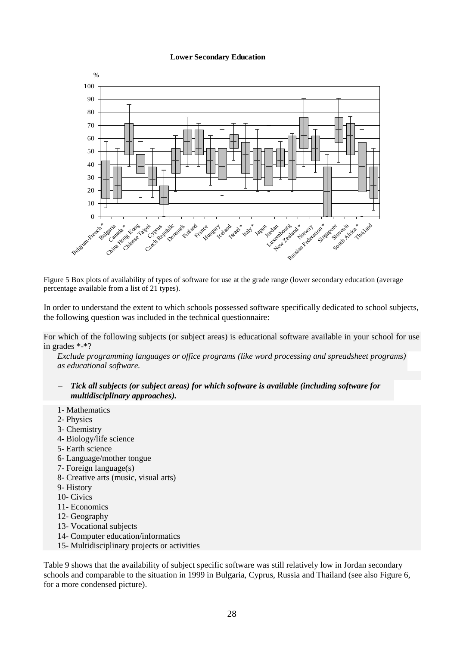#### **Lower Secondary Education**



Figure 5 Box plots of availability of types of software for use at the grade range (lower secondary education (average percentage available from a list of 21 types).

In order to understand the extent to which schools possessed software specifically dedicated to school subjects, the following question was included in the technical questionnaire:

For which of the following subjects (or subject areas) is educational software available in your school for use in grades \*-\*?

*Exclude programming languages or office programs (like word processing and spreadsheet programs) as educational software.* 

- *Tick all subjects (or subject areas) for which software is available (including software for multidisciplinary approaches).*
- 1- Mathematics
- 2- Physics
- 3- Chemistry
- 4- Biology/life science
- 5- Earth science
- 6- Language/mother tongue
- 7- Foreign language(s)
- 8- Creative arts (music, visual arts)
- 9- History
- 10- Civics
- 11- Economics
- 12- Geography
- 13- Vocational subjects
- 14- Computer education/informatics
- 15- Multidisciplinary projects or activities

Table 9 shows that the availability of subject specific software was still relatively low in Jordan secondary schools and comparable to the situation in 1999 in Bulgaria, Cyprus, Russia and Thailand (see also Figure 6, for a more condensed picture).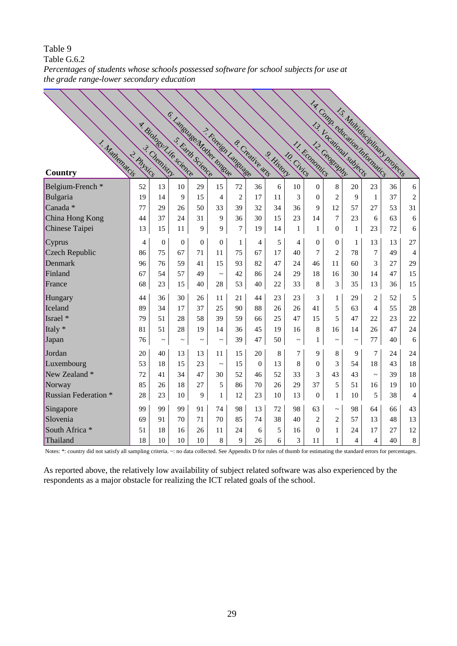# Table 9 ~ *the grade range-lower secondary education* Table G.6.2 *Percentages of students whose schools possessed software for school subjects for use at*

|                             |            |                         |                            |                |                |                     |                 |            |              |                  |                  |              | 14. Comm. education Internation |    |                |
|-----------------------------|------------|-------------------------|----------------------------|----------------|----------------|---------------------|-----------------|------------|--------------|------------------|------------------|--------------|---------------------------------|----|----------------|
|                             |            | y. Biology Life science | C. Language Mother Longine |                |                |                     |                 |            |              |                  |                  |              | 15 Multipscinlings projects     |    |                |
|                             |            |                         |                            |                |                |                     |                 |            |              |                  |                  |              |                                 |    |                |
|                             |            |                         |                            |                |                |                     |                 |            |              |                  |                  |              |                                 |    |                |
| 1. Malhematcis<br>Country   | 2. Physics |                         |                            |                |                | T. Foreign Language | & Creative atts | 9. History | 10. Civics   | 11. Rconomics    |                  |              |                                 |    |                |
| Belgium-French <sup>*</sup> | 52         | 13                      | 10                         | 29             | 15             | 72                  | 36              | 6          | 10           | $\boldsymbol{0}$ | 8                | 20           | 23                              | 36 | 6              |
| Bulgaria                    | 19         | 14                      | 9                          | 15             | $\overline{4}$ | $\overline{2}$      | 17              | 11         | 3            | $\overline{0}$   | $\overline{2}$   | 9            | 1                               | 37 | $\overline{2}$ |
| Canada <sup>*</sup>         | 77         | 29                      | 26                         | 50             | 33             | 39                  | 32              | 34         | 36           | 9                | 12               | 57           | 27                              | 53 | 31             |
| China Hong Kong             | 44         | 37                      | 24                         | 31             | 9              | 36                  | 30              | 15         | 23           | 14               | $\overline{7}$   | 23           | 6                               | 63 | 6              |
| Chinese Taipei              | 13         | 15                      | 11                         | 9              | 9              | $\tau$              | 19              | 14         | $\mathbf{1}$ | $\mathbf{1}$     | $\boldsymbol{0}$ | $\mathbf{1}$ | 23                              | 72 | 6              |
| Cyprus                      | 4          | $\overline{0}$          | $\mathbf{0}$               | $\overline{0}$ | $\overline{0}$ | $\mathbf{1}$        | 4               | 5          | 4            | $\boldsymbol{0}$ | $\boldsymbol{0}$ | $\mathbf{1}$ | 13                              | 13 | 27             |
| Czech Republic              | 86         | 75                      | 67                         | 71             | 11             | 75                  | 67              | 17         | 40           | 7                | $\overline{c}$   | 78           | 7                               | 49 | 4              |
| Denmark                     | 96         | 76                      | 59                         | 41             | 15             | 93                  | 82              | 47         | 24           | 46               | 11               | 60           | 3                               | 27 | 29             |
| Finland                     | 67         | 54                      | 57                         | 49             | $\sim$         | 42                  | 86              | 24         | 29           | 18               | 16               | 30           | 14                              | 47 | 15             |
| France                      | 68         | 23                      | 15                         | 40             | 28             | 53                  | 40              | 22         | 33           | 8                | 3                | 35           | 13                              | 36 | 15             |
| Hungary                     | 44         | 36                      | 30                         | 26             | 11             | 21                  | 44              | 23         | 23           | 3                | $\mathbf{1}$     | 29           | $\overline{c}$                  | 52 | 5              |
| Iceland                     | 89         | 34                      | 17                         | 37             | 25             | 90                  | 88              | 26         | 26           | 41               | 5                | 63           | $\overline{\mathcal{L}}$        | 55 | 28             |
| Israel *                    | 79         | 51                      | 28                         | 58             | 39             | 59                  | 66              | 25         | 47           | 15               | 5                | 47           | 22                              | 23 | 22             |
| Italy *                     | 81         | 51                      | 28                         | 19             | 14             | 36                  | 45              | 19         | 16           | 8                | 16               | 14           | 26                              | 47 | 24             |
| Japan                       | 76         | $\thicksim$             | $\thicksim$                | $\thicksim$    | $\thicksim$    | 39                  | 47              | 50         | $\thicksim$  | 1                | $\thicksim$      | $\thicksim$  | 77                              | 40 | 6              |
| Jordan                      | 20         | 40                      | 13                         | 13             | 11             | 15                  | 20              | 8          | 7            | 9                | 8                | 9            | 7                               | 24 | 24             |
| Luxembourg                  | 53         | 18                      | 15                         | 23             | $\sim$         | 15                  | $\Omega$        | 13         | 8            | $\overline{0}$   | 3                | 54           | 18                              | 43 | 18             |
| New Zealand *               | 72         | 41                      | 34                         | 47             | 30             | 52                  | 46              | 52         | 33           | 3                | 43               | 43           | $\tilde{\phantom{a}}$           | 39 | 18             |
| Norway                      | 85         | 26                      | 18                         | 27             | 5              | 86                  | 70              | 26         | 29           | 37               | 5                | 51           | 16                              | 19 | 10             |
| <b>Russian Federation *</b> | 28         | 23                      | 10                         | 9              | $\mathbf{1}$   | 12                  | 23              | 10         | 13           | $\boldsymbol{0}$ | $\mathbf{1}$     | 10           | 5                               | 38 | $\overline{4}$ |
| Singapore                   | 99         | 99                      | 99                         | 91             | 74             | 98                  | 13              | 72         | 98           | 63               | $\sim$           | 98           | 64                              | 66 | 43             |
| Slovenia                    | 69         | 91                      | 70                         | 71             | 70             | 85                  | 74              | 38         | 40           | $\overline{2}$   | $\overline{c}$   | 57           | 13                              | 48 | 13             |
| South Africa <sup>*</sup>   | 51         | 18                      | 16                         | 26             | 11             | 24                  | 6               | 5          | 16           | $\overline{0}$   | $\mathbf{1}$     | 24           | 17                              | 27 | 12             |
| Thailand                    | 18         | 10                      | 10                         | 10             | 8              | 9                   | 26              | 6          | 3            | 11               | $\mathbf{1}$     | 4            | $\overline{4}$                  | 40 | $\,8\,$        |

Notes: \*: country did not satisfy all sampling criteria. ~: no data collected. See Appendix D for rules of thumb for estimating the standard errors for percentages.

As reported above, the relatively low availability of subject related software was also experienced by the respondents as a major obstacle for realizing the ICT related goals of the school.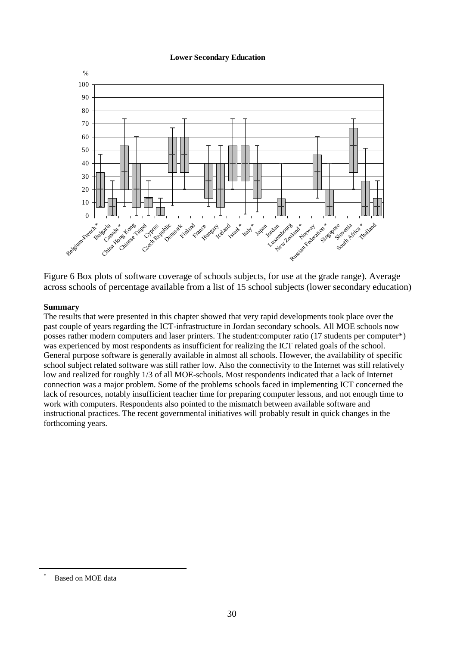### **Lower Secondary Education**



Figure 6 Box plots of software coverage of schools subjects, for use at the grade range). Average across schools of percentage available from a list of 15 school subjects (lower secondary education)

### **Summary**

The results that were presented in this chapter showed that very rapid developments took place over the past couple of years regarding the ICT-infrastructure in Jordan secondary schools. All MOE schools now posses rather modern computers and laser printers. The student:computer ratio (17 students per computer\*) was experienced by most respondents as insufficient for realizing the ICT related goals of the school. General purpose software is generally available in almost all schools. However, the availability of specific school subject related software was still rather low. Also the connectivity to the Internet was still relatively low and realized for roughly 1/3 of all MOE-schools. Most respondents indicated that a lack of Internet connection was a major problem. Some of the problems schools faced in implementing ICT concerned the lack of resources, notably insufficient teacher time for preparing computer lessons, and not enough time to work with computers. Respondents also pointed to the mismatch between available software and instructional practices. The recent governmental initiatives will probably result in quick changes in the forthcoming years.

Based on MOE data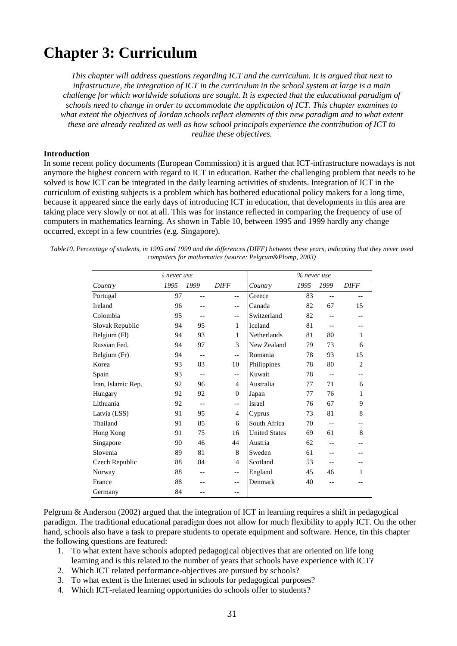# **Chapter 3: Curriculum**

*This chapter will address questions regarding ICT and the curriculum. It is argued that next to infrastructure, the integration of ICT in the curriculum in the school system at large is a main challenge for which worldwide solutions are sought. It is expected that the educational paradigm of schools need to change in order to accommodate the application of ICT. This chapter examines to what extent the objectives of Jordan schools reflect elements of this new paradigm and to what extent these are already realized as well as how school principals experience the contribution of ICT to realize these objectives.*

#### **Introduction**

In some recent policy documents (European Commission) it is argued that ICT-infrastructure nowadays is not anymore the highest concern with regard to ICT in education. Rather the challenging problem that needs to be solved is how ICT can be integrated in the daily learning activities of students. Integration of ICT in the curriculum of existing subjects is a problem which has bothered educational policy makers for a long time, because it appeared since the early days of introducing ICT in education, that developments in this area are taking place very slowly or not at all. This was for instance reflected in comparing the frequency of use of computers in mathematics learning. As shown in Table 10, between 1995 and 1999 hardly any change occurred, except in a few countries (e.g. Singapore).

*Table10. Percentage of students, in 1995 and 1999 and the differences (DIFF) between these years, indicating that they never used computers for mathematics (source: Pelgrum&Plomp, 2003)*

|                    | <i>'o</i> never use |       | % never use |                      |      |                   |                |  |  |  |  |
|--------------------|---------------------|-------|-------------|----------------------|------|-------------------|----------------|--|--|--|--|
| Country            | 1995                | 1999  | <b>DIFF</b> | Country              | 1995 | 1999              | <b>DIFF</b>    |  |  |  |  |
| Portugal           | 97                  | $-$   | $-$         | Greece               | 83   | $-$               | $-$            |  |  |  |  |
| Ireland            | 96                  |       | $-$         | Canada               | 82   | 67                | 15             |  |  |  |  |
| Colombia           | 95                  | $-$   | $-$         | Switzerland          | 82   |                   |                |  |  |  |  |
| Slovak Republic    | 94                  | 95    | 1           | Iceland              | 81   | $-$               |                |  |  |  |  |
| Belgium (Fl)       | 94                  | 93    | 1           | Netherlands          | 81   | 80                | 1              |  |  |  |  |
| Russian Fed.       | 94                  | 97    | 3           | New Zealand          | 79   | 73                | 6              |  |  |  |  |
| Belgium (Fr)       | 94                  | $-$   | --          | Romania              | 78   | 93                | 15             |  |  |  |  |
| Korea              | 93                  | 83    | 10          | Philippines          | 78   | 80                | $\overline{2}$ |  |  |  |  |
| Spain              | 93                  | $-$   | --          | Kuwait               | 78   | $\qquad \qquad -$ | --             |  |  |  |  |
| Iran, Islamic Rep. | 92                  | 96    | 4           | Australia            | 77   | 71                | 6              |  |  |  |  |
| Hungary            | 92                  | 92    | $\Omega$    | Japan                | 77   | 76                | 1              |  |  |  |  |
| Lithuania          | 92                  | $-$   | --          | Israel               | 76   | 67                | 9              |  |  |  |  |
| Latvia (LSS)       | 91                  | 95    | 4           | Cyprus               | 73   | 81                | 8              |  |  |  |  |
| Thailand           | 91                  | 85    | 6           | South Africa         | 70   | $-$               |                |  |  |  |  |
| Hong Kong          | 91                  | 75    | 16          | <b>United States</b> | 69   | 61                | 8              |  |  |  |  |
| Singapore          | 90                  | 46    | 44          | Austria              | 62   | --                |                |  |  |  |  |
| Slovenia           | 89                  | 81    | 8           | Sweden               | 61   | --                |                |  |  |  |  |
| Czech Republic     | 88                  | 84    | 4           | Scotland             | 53   |                   |                |  |  |  |  |
| Norway             | 88                  | $- -$ | --          | England              | 45   | 46                | 1              |  |  |  |  |
| France             | 88                  |       | --          | Denmark              | 40   |                   |                |  |  |  |  |
| Germany            | 84                  |       | --          |                      |      |                   |                |  |  |  |  |

Pelgrum & Anderson (2002) argued that the integration of ICT in learning requires a shift in pedagogical paradigm. The traditional educational paradigm does not allow for much flexibility to apply ICT. On the other hand, schools also have a task to prepare students to operate equipment and software. Hence, tin this chapter the following questions are featured:

- 1. To what extent have schools adopted pedagogical objectives that are oriented on life long learning and is this related to the number of years that schools have experience with ICT?
- 2. Which ICT related performance-objectives are pursued by schools?
- 3. To what extent is the Internet used in schools for pedagogical purposes?
- 4. Which ICT-related learning opportunities do schools offer to students?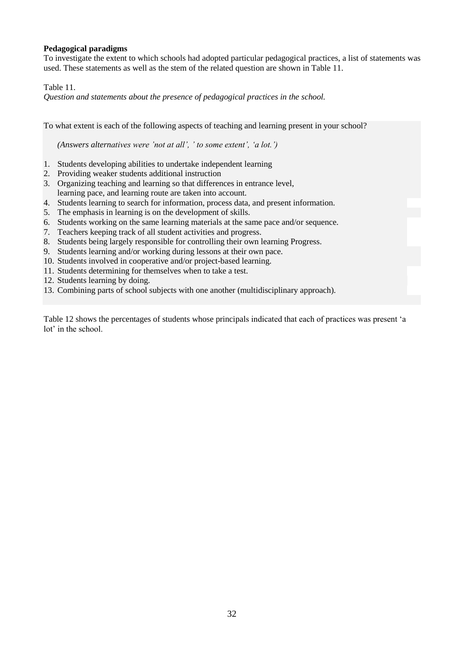### **Pedagogical paradigms**

To investigate the extent to which schools had adopted particular pedagogical practices, a list of statements was used. These statements as well as the stem of the related question are shown in Table 11.

Table 11.

*Question and statements about the presence of pedagogical practices in the school.*

To what extent is each of the following aspects of teaching and learning present in your school?

*(Answers alternatives were 'not at all', ' to some extent', 'a lot.')*

- 1. Students developing abilities to undertake independent learning
- 2. Providing weaker students additional instruction
- 3. Organizing teaching and learning so that differences in entrance level, learning pace, and learning route are taken into account.
- 4. Students learning to search for information, process data, and present information.
- 5. The emphasis in learning is on the development of skills.
- 6. Students working on the same learning materials at the same pace and/or sequence.
- 7. Teachers keeping track of all student activities and progress.
- 8. Students being largely responsible for controlling their own learning Progress.
- 9. Students learning and/or working during lessons at their own pace.
- 10. Students involved in cooperative and/or project-based learning.
- 11. Students determining for themselves when to take a test.
- 12. Students learning by doing.
- 13. Combining parts of school subjects with one another (multidisciplinary approach).

Table 12 shows the percentages of students whose principals indicated that each of practices was present 'a lot' in the school.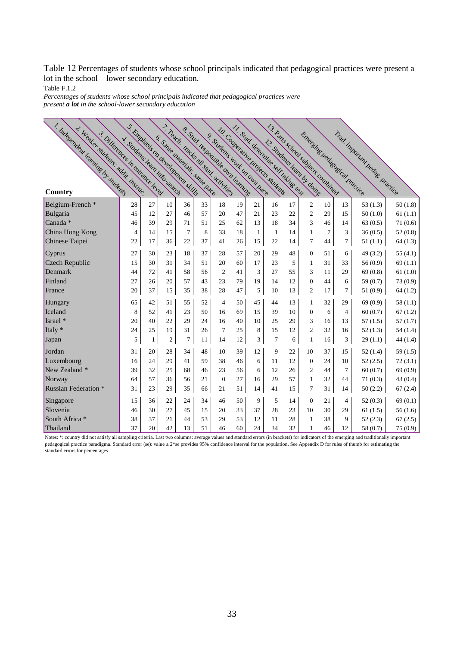Table 12 Percentages of students whose school principals indicated that pedagogical practices were present a lot in the school – lower secondary education.

Table F.1.2

Percentages of students whose school principals indicated that pedagogical practices were *present a lot in the school-lower secondary education*

| 1. Independent learning by students<br>2. Wedker students: addit. Instruc-<br>3. Differences in entrance level | s Emplasis on development skills |    |    |                              |    | 7. Teach. Gads all study activities<br>& Suul tehmisike own learning<br>S. Sudents work on own Bace |    | 11- Stud determine self taking less.<br>10. Comercini e proiects students |                | 13 Patis scholl subjects combined  |                |                |                | Trad inportant pedag Pradice<br>Emerging Redagasical Practice |            |
|----------------------------------------------------------------------------------------------------------------|----------------------------------|----|----|------------------------------|----|-----------------------------------------------------------------------------------------------------|----|---------------------------------------------------------------------------|----------------|------------------------------------|----------------|----------------|----------------|---------------------------------------------------------------|------------|
|                                                                                                                | 4. Students learn info.segrets   |    |    | E. Same materials, same hace |    |                                                                                                     |    |                                                                           |                | <b>L2- Students Learn by doing</b> |                |                |                |                                                               |            |
|                                                                                                                |                                  |    |    |                              |    |                                                                                                     |    |                                                                           |                |                                    |                |                |                |                                                               |            |
| Country                                                                                                        |                                  |    |    |                              |    |                                                                                                     |    |                                                                           |                |                                    |                |                |                |                                                               |            |
| Belgium-French *                                                                                               | 28                               | 27 | 10 | 36                           | 33 | 18                                                                                                  | 19 | 21                                                                        | 16             | 17                                 | $\mathbf{2}$   | 10             | 13             | 53 $(1.3)$                                                    | 50(1.8)    |
| Bulgaria                                                                                                       | 45                               | 12 | 27 | 46                           | 57 | 20                                                                                                  | 47 | 21                                                                        | 23             | 22                                 | $\overline{2}$ | 29             | 15             | 50(1.0)                                                       | 61(1.1)    |
| Canada <sup>*</sup>                                                                                            | 46                               | 39 | 29 | 71                           | 51 | 25                                                                                                  | 62 | 13                                                                        | 18             | 34                                 | 3              | 46             | 14             | 63(0.5)                                                       | 71(0.6)    |
| China Hong Kong                                                                                                | 4                                | 14 | 15 | $\overline{7}$               | 8  | 33                                                                                                  | 18 | $\mathbf{1}$                                                              | 1              | 14                                 | $\mathbf{1}$   | $\overline{7}$ | 3              | 36(0.5)                                                       | 52(0.8)    |
| Chinese Taipei                                                                                                 | 22                               | 17 | 36 | 22                           | 37 | 41                                                                                                  | 26 | 15                                                                        | 22             | 14                                 | 7              | 44             | $\tau$         | 51(1.1)                                                       | 64(1.3)    |
| Cyprus                                                                                                         | 27                               | 30 | 23 | 18                           | 37 | 28                                                                                                  | 57 | 20                                                                        | 29             | 48                                 | $\overline{0}$ | 51             | 6              | 49(3.2)                                                       | 55 $(4.1)$ |
| Czech Republic                                                                                                 | 15                               | 30 | 31 | 34                           | 51 | 20                                                                                                  | 60 | 17                                                                        | 23             | 5                                  | 1              | 31             | 33             | 56(0.9)                                                       | 69(1.1)    |
| Denmark                                                                                                        | 44                               | 72 | 41 | 58                           | 56 | $\overline{2}$                                                                                      | 41 | 3                                                                         | 27             | 55                                 | 3              | 11             | 29             | 69(0.8)                                                       | 61(1.0)    |
| Finland                                                                                                        | 27                               | 26 | 20 | 57                           | 43 | 23                                                                                                  | 79 | 19                                                                        | 14             | 12                                 | $\mathbf{0}$   | 44             | 6              | 59 (0.7)                                                      | 73 (0.9)   |
| France                                                                                                         | 20                               | 37 | 15 | 35                           | 38 | 28                                                                                                  | 47 | 5                                                                         | 10             | 13                                 | $\mathfrak{2}$ | 17             | $\tau$         | 51(0.9)                                                       | 64(1.2)    |
| Hungary                                                                                                        | 65                               | 42 | 51 | 55                           | 52 | $\overline{4}$                                                                                      | 50 | 45                                                                        | 44             | 13                                 | $\mathbf{1}$   | 32             | 29             | 69(0.9)                                                       | 58(1.1)    |
| Iceland                                                                                                        | 8                                | 52 | 41 | 23                           | 50 | 16                                                                                                  | 69 | 15                                                                        | 39             | 10                                 | $\mathbf{0}$   | 6              | $\overline{4}$ | 60(0.7)                                                       | 67(1.2)    |
| Israel *                                                                                                       | 20                               | 40 | 22 | 29                           | 24 | 16                                                                                                  | 40 | 10                                                                        | 25             | 29                                 | 3              | 16             | 13             | 57(1.5)                                                       | 57(1.7)    |
| Italy *                                                                                                        | 24                               | 25 | 19 | 31                           | 26 | $\overline{7}$                                                                                      | 25 | 8                                                                         | 15             | 12                                 | $\overline{c}$ | 32             | 16             | 52(1.3)                                                       | 54(1.4)    |
| Japan                                                                                                          | 5                                | 1  | 2  | 7                            | 11 | 14                                                                                                  | 12 | 3                                                                         | $\overline{7}$ | 6                                  | $\mathbf{1}$   | 16             | 3              | 29(1.1)                                                       | 44(1.4)    |
| Jordan                                                                                                         | 31                               | 20 | 28 | 34                           | 48 | 10                                                                                                  | 39 | 12                                                                        | 9              | 22                                 | 10             | 37             | 15             | 52(1.4)                                                       | 59(1.5)    |
| Luxembourg                                                                                                     | 16                               | 24 | 29 | 41                           | 59 | 38                                                                                                  | 46 | 6                                                                         | 11             | 12                                 | $\overline{0}$ | 24             | 10             | 52(2.5)                                                       | 72(3.1)    |
| New Zealand *                                                                                                  | 39                               | 32 | 25 | 68                           | 46 | 23                                                                                                  | 56 | 6                                                                         | 12             | 26                                 | $\overline{2}$ | 44             | $\overline{7}$ | 60(0.7)                                                       | 69(0.9)    |
| Norway                                                                                                         | 64                               | 57 | 36 | 56                           | 21 | $\overline{0}$                                                                                      | 27 | 16                                                                        | 29             | 57                                 | $\mathbf{1}$   | 32             | 44             | 71(0.3)                                                       | 43 (0.4)   |
| <b>Russian Federation</b> *                                                                                    | 31                               | 23 | 29 | 35                           | 66 | 21                                                                                                  | 51 | 14                                                                        | 41             | 15                                 | $\overline{7}$ | 31             | 14             | 50(2.2)                                                       | 67(2.4)    |
| Singapore                                                                                                      | 15                               | 36 | 22 | 24                           | 34 | 46                                                                                                  | 50 | 9                                                                         | 5              | 14                                 | $\theta$       | 21             | $\overline{4}$ | 52 $(0.3)$                                                    | 69(0.1)    |
| Slovenia                                                                                                       | 46                               | 30 | 27 | 45                           | 15 | 20                                                                                                  | 33 | 37                                                                        | 28             | 23                                 | 10             | 30             | 29             | 61(1.5)                                                       | 56(1.6)    |
| South Africa *                                                                                                 | 38                               | 37 | 21 | 44                           | 53 | 29                                                                                                  | 53 | 12                                                                        | 11             | 28                                 | $\mathbf{1}$   | 38             | 9              | 52(2.3)                                                       | 67(2.5)    |
| Thailand                                                                                                       | 37                               | 20 | 42 | 13                           | 51 | 46                                                                                                  | 60 | 24                                                                        | 34             | 32                                 | 1              | 46             | 12             | 58 (0.7)                                                      | 75 (0.9)   |

Notes: \*: country did not satisfy all sampling criteria. Last two columns: average values and standard errors (in brackets) for indicators of the emerging and traditionally important pedagogical practice paradigma. Standard error (se): value  $\pm 2*$ se provides 95% confidence interval for the population. See Appendix D for rules of thumb for estimating the standard errors for percentages.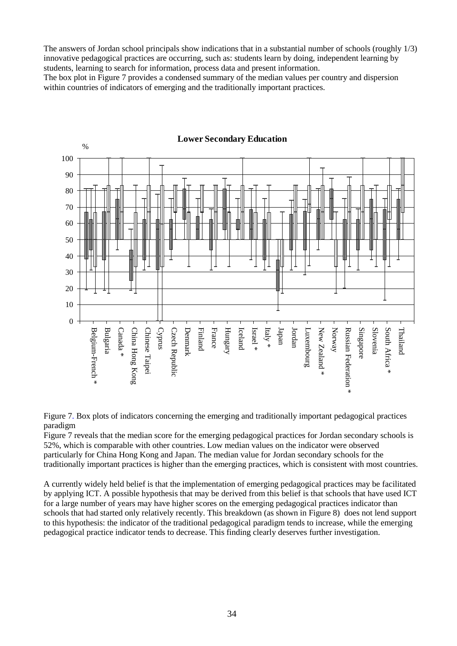The answers of Jordan school principals show indications that in a substantial number of schools (roughly 1/3) innovative pedagogical practices are occurring, such as: students learn by doing, independent learning by students, learning to search for information, process data and present information.

The box plot in Figure 7 provides a condensed summary of the median values per country and dispersion within countries of indicators of emerging and the traditionally important practices.



**Lower Secondary Education**

Figure 7. Box plots of indicators concerning the emerging and traditionally important pedagogical practices paradigm

Figure 7 reveals that the median score for the emerging pedagogical practices for Jordan secondary schools is 52%, which is comparable with other countries. Low median values on the indicator were observed particularly for China Hong Kong and Japan. The median value for Jordan secondary schools for the traditionally important practices is higher than the emerging practices, which is consistent with most countries.

A currently widely held belief is that the implementation of emerging pedagogical practices may be facilitated by applying ICT. A possible hypothesis that may be derived from this belief is that schools that have used ICT for a large number of years may have higher scores on the emerging pedagogical practices indicator than schools that had started only relatively recently. This breakdown (as shown in Figure 8) does not lend support to this hypothesis: the indicator of the traditional pedagogical paradigm tends to increase, while the emerging pedagogical practice indicator tends to decrease. This finding clearly deserves further investigation.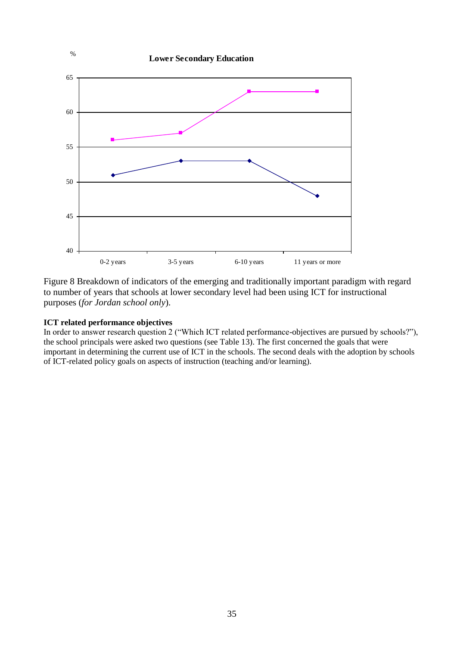

Figure 8 Breakdown of indicators of the emerging and traditionally important paradigm with regard to number of years that schools at lower secondary level had been using ICT for instructional purposes (*for Jordan school only*).

### **ICT related performance objectives**

In order to answer research question 2 ("Which ICT related performance-objectives are pursued by schools?"), the school principals were asked two questions (see Table 13). The first concerned the goals that were important in determining the current use of ICT in the schools. The second deals with the adoption by schools of ICT-related policy goals on aspects of instruction (teaching and/or learning).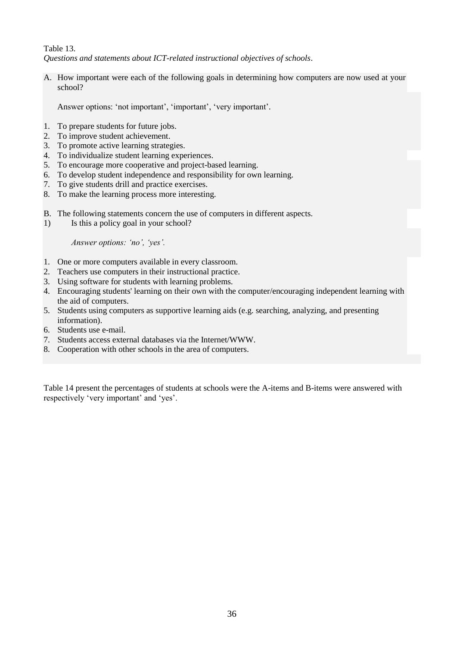Table 13. *Questions and statements about ICT-related instructional objectives of schools*.

A. How important were each of the following goals in determining how computers are now used at your school?

Answer options: 'not important', 'important', 'very important'*.*

- 1. To prepare students for future jobs.
- 2. To improve student achievement.
- 3. To promote active learning strategies.
- 4. To individualize student learning experiences.
- 5. To encourage more cooperative and project-based learning.
- 6. To develop student independence and responsibility for own learning.
- 7. To give students drill and practice exercises.
- 8. To make the learning process more interesting.
- B. The following statements concern the use of computers in different aspects.
- 1) Is this a policy goal in your school?

*Answer options: 'no', 'yes'.*

- 1. One or more computers available in every classroom.
- 2. Teachers use computers in their instructional practice.
- 3. Using software for students with learning problems.
- 4. Encouraging students' learning on their own with the computer/encouraging independent learning with the aid of computers.
- 5. Students using computers as supportive learning aids (e.g. searching, analyzing, and presenting information).
- 6. Students use e-mail.
- 7. Students access external databases via the Internet/WWW.
- 8. Cooperation with other schools in the area of computers.

Table 14 present the percentages of students at schools were the A-items and B-items were answered with respectively 'very important' and 'yes'.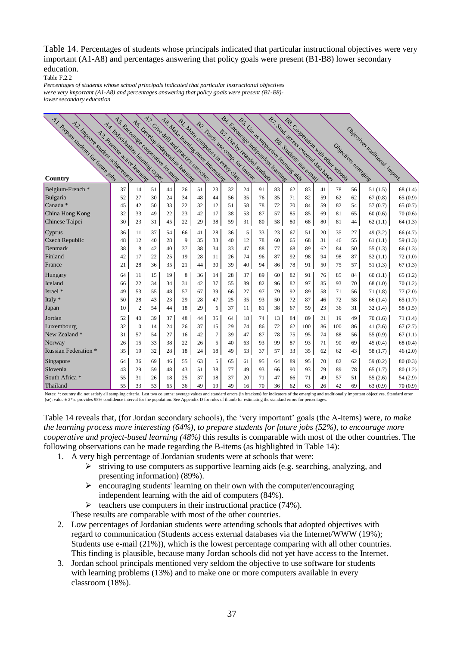Table 14. Percentages of students whose principals indicated that particular instructional objectives were very important (A1-A8) and percentages answering that policy goals were present (B1-B8) lower secondary education.

Table F.2.2

were very important (A1-A8) and percentages answering that policy goals were present (B1-B8)-*Percentages of students whose school principals indicated that particular instructional objectives lower secondary education*

| A1. Prepare students for Timure Folls<br>A2 Inprove student adjustment | A.S. Encourage connecting leading<br>Az Individualize leaming expe- |              |    |    | AG Develop independent learning | A). Give dillead particule e del des<br>A & Male learning more interesting<br><b>B1. More Commuters in event Clars</b> |                |    | ber Encourage independent learning<br>B55 Use as supporting learning aids<br>B2 Teach Me Comm For instruction |    |    |    | B7 . Sudd access of channal data balley<br><b>BAS Connectition with other schools</b> |    |     |    |                                |          |
|------------------------------------------------------------------------|---------------------------------------------------------------------|--------------|----|----|---------------------------------|------------------------------------------------------------------------------------------------------------------------|----------------|----|---------------------------------------------------------------------------------------------------------------|----|----|----|---------------------------------------------------------------------------------------|----|-----|----|--------------------------------|----------|
|                                                                        | A3 Promote active learning                                          |              |    |    |                                 |                                                                                                                        |                |    | B.3. Use by retainded studieds                                                                                |    |    |    |                                                                                       |    |     |    | Objectives traditional inport. |          |
|                                                                        |                                                                     |              |    |    |                                 |                                                                                                                        |                |    |                                                                                                               |    |    |    |                                                                                       |    |     |    | Objectives energing            |          |
| Country                                                                |                                                                     |              |    |    |                                 |                                                                                                                        |                |    |                                                                                                               |    |    |    |                                                                                       |    |     |    |                                |          |
| Belgium-French <sup>*</sup>                                            | 37                                                                  | 14           | 51 | 44 | 26                              | 51                                                                                                                     | 23             | 32 | 24                                                                                                            | 91 | 83 | 62 | 83                                                                                    | 41 | 78  | 56 | 51(1.5)                        | 68(1.4)  |
| Bulgaria                                                               | 52                                                                  | 27           | 30 | 24 | 34                              | 48                                                                                                                     | 44             | 56 | 35                                                                                                            | 76 | 35 | 71 | 82                                                                                    | 59 | 62  | 62 | 67(0.8)                        | 65(0.9)  |
| Canada *                                                               | 45                                                                  | 42           | 50 | 33 | 22                              | 32                                                                                                                     | 12             | 51 | 58                                                                                                            | 78 | 72 | 70 | 84                                                                                    | 59 | 82  | 54 | 57(0.7)                        | 65(0.7)  |
| China Hong Kong                                                        | 32                                                                  | 33           | 49 | 22 | 23                              | 42                                                                                                                     | 17             | 38 | 53                                                                                                            | 87 | 57 | 85 | 85                                                                                    | 69 | 81  | 65 | 60(0.6)                        | 70(0.6)  |
| Chinese Taipei                                                         | 30                                                                  | 23           | 31 | 45 | 22                              | 29                                                                                                                     | 38             | 59 | 31                                                                                                            | 80 | 58 | 80 | 68                                                                                    | 80 | 81  | 44 | 62(1.1)                        | 64(1.3)  |
| Cyprus                                                                 | 36                                                                  | 11           | 37 | 54 | 66                              | 41                                                                                                                     | 28             | 36 | 5                                                                                                             | 33 | 23 | 67 | 51                                                                                    | 20 | 35  | 27 | 49 (3.2)                       | 66 (4.7) |
| Czech Republic                                                         | 48                                                                  | 12           | 40 | 28 | 9                               | 35                                                                                                                     | 33             | 40 | 12                                                                                                            | 78 | 60 | 65 | 68                                                                                    | 31 | 46  | 55 | 61(1.1)                        | 59(1.3)  |
| Denmark                                                                | 38                                                                  | 8            | 42 | 40 | 37                              | 38                                                                                                                     | 34             | 33 | 47                                                                                                            | 88 | 77 | 68 | 89                                                                                    | 62 | 84  | 50 | 55(1.3)                        | 66(1.3)  |
| Finland                                                                | 42                                                                  | 17           | 22 | 25 | 19                              | 28                                                                                                                     | 11             | 26 | 74                                                                                                            | 96 | 87 | 92 | 98                                                                                    | 94 | 98  | 87 | 52(1.1)                        | 72(1.0)  |
| France                                                                 | 21                                                                  | 28           | 36 | 35 | 21                              | 44                                                                                                                     | 30             | 39 | 40                                                                                                            | 94 | 86 | 78 | 91                                                                                    | 50 | 75  | 57 | 51(1.3)                        | 67(1.3)  |
| Hungary                                                                | 64                                                                  | 11           | 15 | 19 | 8                               | 36                                                                                                                     | 14             | 28 | 37                                                                                                            | 89 | 60 | 82 | 91                                                                                    | 76 | 85  | 84 | 60(1.1)                        | 65(1.2)  |
| Iceland                                                                | 66                                                                  | 22           | 34 | 34 | 31                              | 42                                                                                                                     | 37             | 55 | 89                                                                                                            | 82 | 96 | 82 | 97                                                                                    | 85 | 93  | 70 | 68(1.0)                        | 70(1.2)  |
| Israel *                                                               | 49                                                                  | 53           | 55 | 48 | 57                              | 67                                                                                                                     | 39             | 66 | 27                                                                                                            | 97 | 79 | 92 | 89                                                                                    | 58 | 71  | 56 | 71(1.8)                        | 77(2.0)  |
| Italy *                                                                | 50                                                                  | 28           | 43 | 23 | 29                              | 28                                                                                                                     | 47             | 25 | 35                                                                                                            | 93 | 50 | 72 | 87                                                                                    | 46 | 72  | 58 | 66(1.4)                        | 65(1.7)  |
| Japan                                                                  | 10                                                                  | $\mathbf{2}$ | 54 | 44 | 18                              | 29                                                                                                                     | 6              | 37 | 11                                                                                                            | 81 | 38 | 67 | 59                                                                                    | 23 | 36  | 31 | 32(1.4)                        | 58(1.5)  |
| Jordan                                                                 | 52                                                                  | 40           | 39 | 37 | 48                              | 44                                                                                                                     | 35             | 64 | 18                                                                                                            | 74 | 13 | 84 | 89                                                                                    | 21 | 19  | 49 | 70(1.6)                        | 71(1.4)  |
| Luxembourg                                                             | 32                                                                  | $\Omega$     | 14 | 24 | 26                              | 37                                                                                                                     | 15             | 29 | 74                                                                                                            | 86 | 72 | 62 | 100                                                                                   | 86 | 100 | 86 | 41 $(3.6)$                     | 67(2.7)  |
| New Zealand *                                                          | 31                                                                  | 57           | 54 | 27 | 16                              | 42                                                                                                                     | $\overline{7}$ | 39 | 47                                                                                                            | 87 | 78 | 75 | 95                                                                                    | 74 | 88  | 56 | 55 (0.9)                       | 67(1.1)  |
| Norway                                                                 | 26                                                                  | 15           | 33 | 38 | 22                              | 26                                                                                                                     | 5              | 40 | 63                                                                                                            | 93 | 99 | 87 | 93                                                                                    | 71 | 90  | 69 | 45(0.4)                        | 68(0.4)  |
| <b>Russian Federation</b> *                                            | 35                                                                  | 19           | 32 | 28 | 18                              | 24                                                                                                                     | 18             | 49 | 53                                                                                                            | 37 | 57 | 33 | 35                                                                                    | 62 | 62  | 43 | 58(1.7)                        | 46(2.0)  |
| Singapore                                                              | 64                                                                  | 36           | 69 | 46 | 55                              | 63                                                                                                                     | 5              | 65 | 61                                                                                                            | 95 | 64 | 89 | 95                                                                                    | 70 | 82  | 62 | 59(0.2)                        | 80 (0.3) |
| Slovenia                                                               | 43                                                                  | 29           | 59 | 48 | 43                              | 51                                                                                                                     | 38             | 77 | 49                                                                                                            | 93 | 66 | 90 | 93                                                                                    | 79 | 89  | 78 | 65(1.7)                        | 80(1.2)  |
| South Africa *                                                         | 55                                                                  | 31           | 26 | 18 | 25                              | 37                                                                                                                     | 18             | 37 | 20                                                                                                            | 71 | 47 | 66 | 71                                                                                    | 49 | 57  | 51 | 55(2.6)                        | 54 (2.9) |
| Thailand                                                               | 55                                                                  | 33           | 53 | 65 | 36                              | 49                                                                                                                     | 19             | 49 | 16                                                                                                            | 70 | 36 | 62 | 63                                                                                    | 26 | 42  | 69 | 63(0.9)                        | 70 (0.9) |

Notes: \*: country did not satisfy all sampling criteria. Last two columns: average values and standard errors (in brackets) for indicators of the emerging and traditionally important objectives. Standard error (se): value ± 2\*se provides 95% confidence interval for the population. See Appendix D for rules of thumb for estimating the standard errors for percentages.

Table 14 reveals that, (for Jordan secondary schools), the 'very important' goals (the A-items) were*, to make the learning process more interesting (64%), to prepare students for future jobs (52%), to encourage more cooperative and project-based learning (48%)* this results is comparable with most of the other countries. The following observations can be made regarding the B-items (as highlighted in Table 14):

- 1. A very high percentage of Jordanian students were at schools that were:
	- $\triangleright$  striving to use computers as supportive learning aids (e.g. searching, analyzing, and presenting information) (89%).
		- $\triangleright$  encouraging students' learning on their own with the computer/encouraging independent learning with the aid of computers (84%).
	- $\triangleright$  teachers use computers in their instructional practice (74%).

These results are comparable with most of the other countries.

- 2. Low percentages of Jordanian students were attending schools that adopted objectives with regard to communication (Students access external databases via the Internet/WWW (19%); Students use e-mail (21%)), which is the lowest percentage comparing with all other countries. This finding is plausible, because many Jordan schools did not yet have access to the Internet.
- 3. Jordan school principals mentioned very seldom the objective to use software for students with learning problems (13%) and to make one or more computers available in every classroom (18%).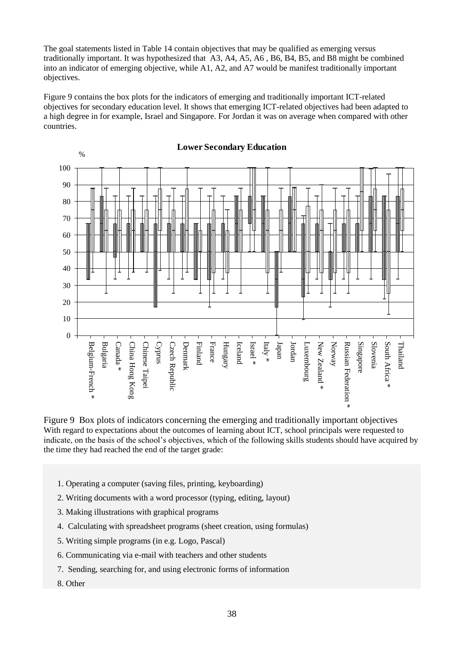The goal statements listed in Table 14 contain objectives that may be qualified as emerging versus traditionally important. It was hypothesized that A3, A4, A5, A6 , B6, B4, B5, and B8 might be combined into an indicator of emerging objective, while A1, A2, and A7 would be manifest traditionally important objectives.

Figure 9 contains the box plots for the indicators of emerging and traditionally important ICT-related objectives for secondary education level. It shows that emerging ICT-related objectives had been adapted to a high degree in for example, Israel and Singapore. For Jordan it was on average when compared with other countries.



Figure 9 Box plots of indicators concerning the emerging and traditionally important objectives With regard to expectations about the outcomes of learning about ICT, school principals were requested to indicate, on the basis of the school's objectives, which of the following skills students should have acquired by the time they had reached the end of the target grade:

- 1. Operating a computer (saving files, printing, keyboarding)
- 2. Writing documents with a word processor (typing, editing, layout)
- 3. Making illustrations with graphical programs
- 4. Calculating with spreadsheet programs (sheet creation, using formulas)
- 5. Writing simple programs (in e.g. Logo, Pascal)
- 6. Communicating via e-mail with teachers and other students
- 7. Sending, searching for, and using electronic forms of information
- 8. Other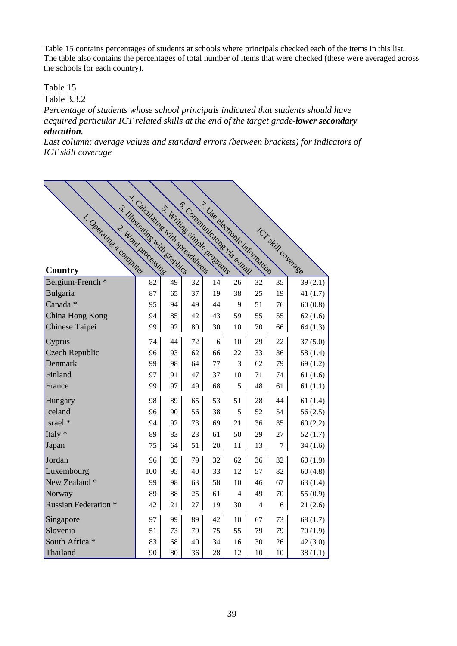Table 15 contains percentages of students at schools where principals checked each of the items in this list. The table also contains the percentages of total number of items that were checked (these were averaged across the schools for each country).

# Table 15

Table 3.3.2

*Percentage of students whose school principals indicated that students should have acquired particular ICT related skills at the end of the target grade-lower secondary education.*

*Last column: average values and standard errors (between brackets) for indicators of ICT skill coverage*

|                             | T. Calculating with spreadsheets | 5. Writings simple programs |    |    | 6. Communicating via email | 7. Use electronic inicmedion |                           |          |
|-----------------------------|----------------------------------|-----------------------------|----|----|----------------------------|------------------------------|---------------------------|----------|
| 1. Operating a commuter.    | 3. Illustrating with draming     |                             |    |    |                            |                              |                           |          |
|                             |                                  |                             |    |    |                            |                              |                           |          |
|                             |                                  |                             |    |    |                            |                              |                           |          |
|                             |                                  |                             |    |    |                            |                              |                           |          |
|                             |                                  |                             |    |    |                            |                              |                           |          |
| Country                     | 2. Word processing               |                             |    |    |                            |                              | <b>ICY skill coverage</b> |          |
| Belgium-French *            | 82                               | 49                          | 32 | 14 | 26                         | 32                           | 35                        | 39(2.1)  |
| Bulgaria                    | 87                               | 65                          | 37 | 19 | 38                         | 25                           | 19                        | 41(1.7)  |
| Canada *                    | 95                               | 94                          | 49 | 44 | 9                          | 51                           | 76                        | 60(0.8)  |
| China Hong Kong             | 94                               | 85                          | 42 | 43 | 59                         | 55                           | 55                        | 62(1.6)  |
| Chinese Taipei              | 99                               | 92                          | 80 | 30 | 10                         | 70                           | 66                        | 64(1.3)  |
| Cyprus                      | 74                               | 44                          | 72 | 6  | 10                         | 29                           | 22                        | 37(5.0)  |
| <b>Czech Republic</b>       | 96                               | 93                          | 62 | 66 | 22                         | 33                           | 36                        | 58(1.4)  |
| Denmark                     | 99                               | 98                          | 64 | 77 | 3                          | 62                           | 79                        | 69(1.2)  |
| Finland                     | 97                               | 91                          | 47 | 37 | 10                         | 71                           | 74                        | 61(1.6)  |
| France                      | 99                               | 97                          | 49 | 68 | 5                          | 48                           | 61                        | 61(1.1)  |
| Hungary                     | 98                               | 89                          | 65 | 53 | 51                         | 28                           | 44                        | 61(1.4)  |
| Iceland                     | 96                               | 90                          | 56 | 38 | 5                          | 52                           | 54                        | 56(2.5)  |
| Israel *                    | 94                               | 92                          | 73 | 69 | 21                         | 36                           | 35                        | 60(2.2)  |
| Italy *                     | 89                               | 83                          | 23 | 61 | 50                         | 29                           | 27                        | 52(1.7)  |
| Japan                       | 75                               | 64                          | 51 | 20 | 11                         | 13                           | $\overline{7}$            | 34(1.6)  |
| Jordan                      | 96                               | 85                          | 79 | 32 | 62                         | 36                           | 32                        | 60(1.9)  |
| Luxembourg                  | 100                              | 95                          | 40 | 33 | 12                         | 57                           | 82                        | 60(4.8)  |
| New Zealand *               | 99                               | 98                          | 63 | 58 | 10                         | 46                           | 67                        | 63(1.4)  |
| Norway                      | 89                               | 88                          | 25 | 61 | 4                          | 49                           | 70                        | 55 (0.9) |
| <b>Russian Federation *</b> | 42                               | 21                          | 27 | 19 | 30                         | 4                            | 6                         | 21(2.6)  |
| Singapore                   | 97                               | 99                          | 89 | 42 | 10                         | 67                           | 73                        | 68(1.7)  |
| Slovenia                    | 51                               | 73                          | 79 | 75 | 55                         | 79                           | 79                        | 70(1.9)  |
| South Africa *              | 83                               | 68                          | 40 | 34 | 16                         | 30                           | 26                        | 42(3.0)  |
| Thailand                    | 90                               | 80                          | 36 | 28 | 12                         | 10                           | 10                        | 38(1.1)  |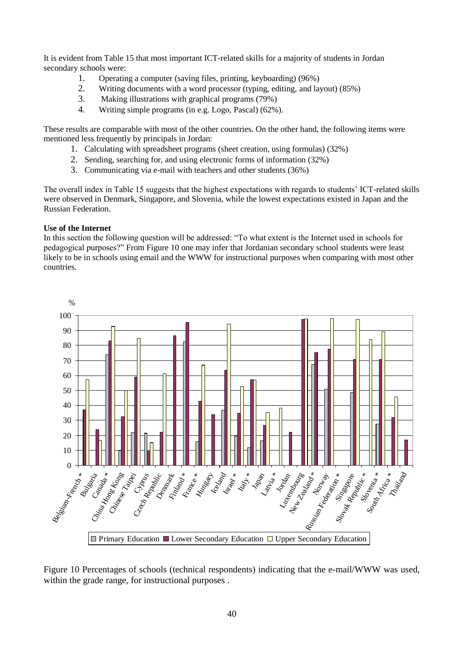It is evident from Table 15 that most important ICT-related skills for a majority of students in Jordan secondary schools were:

- 1. Operating a computer (saving files, printing, keyboarding) (96%)
- 2. Writing documents with a word processor (typing, editing, and layout) (85%)<br>Making illustrations with graphical programs (79%)
- Making illustrations with graphical programs (79%)
- 4. Writing simple programs (in e.g. Logo, Pascal) (62%).

These results are comparable with most of the other countries. On the other hand, the following items were mentioned less frequently by principals in Jordan:

- 1. Calculating with spreadsheet programs (sheet creation, using formulas) (32%)
- 2. Sending, searching for, and using electronic forms of information (32%)
- 3. Communicating via e-mail with teachers and other students (36%)

The overall index in Table 15 suggests that the highest expectations with regards to students' ICT-related skills were observed in Denmark, Singapore, and Slovenia, while the lowest expectations existed in Japan and the Russian Federation.

### **Use of the Internet**

In this section the following question will be addressed: "To what extent is the Internet used in schools for pedagogical purposes?" From Figure 10 one may infer that Jordanian secondary school students were least likely to be in schools using email and the WWW for instructional purposes when comparing with most other countries.



Figure 10 Percentages of schools (technical respondents) indicating that the e-mail/WWW was used, within the grade range, for instructional purposes .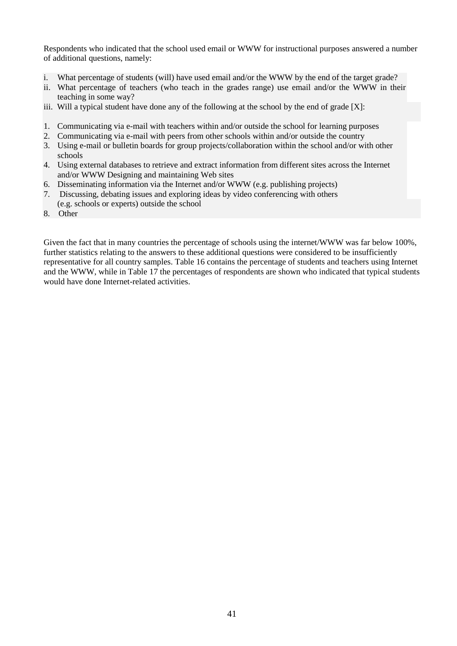Respondents who indicated that the school used email or WWW for instructional purposes answered a number of additional questions, namely:

- i. What percentage of students (will) have used email and/or the WWW by the end of the target grade?
- ii. What percentage of teachers (who teach in the grades range) use email and/or the WWW in their teaching in some way?
- iii. Will a typical student have done any of the following at the school by the end of grade [X]:
- 1. Communicating via e-mail with teachers within and/or outside the school for learning purposes
- 2. Communicating via e-mail with peers from other schools within and/or outside the country
- 3. Using e-mail or bulletin boards for group projects/collaboration within the school and/or with other schools
- 4. Using external databases to retrieve and extract information from different sites across the Internet and/or WWW Designing and maintaining Web sites
- 6. Disseminating information via the Internet and/or WWW (e.g. publishing projects)
- 7. Discussing, debating issues and exploring ideas by video conferencing with others (e.g. schools or experts) outside the school
- 8. Other

Given the fact that in many countries the percentage of schools using the internet/WWW was far below 100%, further statistics relating to the answers to these additional questions were considered to be insufficiently representative for all country samples. Table 16 contains the percentage of students and teachers using Internet and the WWW, while in Table 17 the percentages of respondents are shown who indicated that typical students would have done Internet-related activities.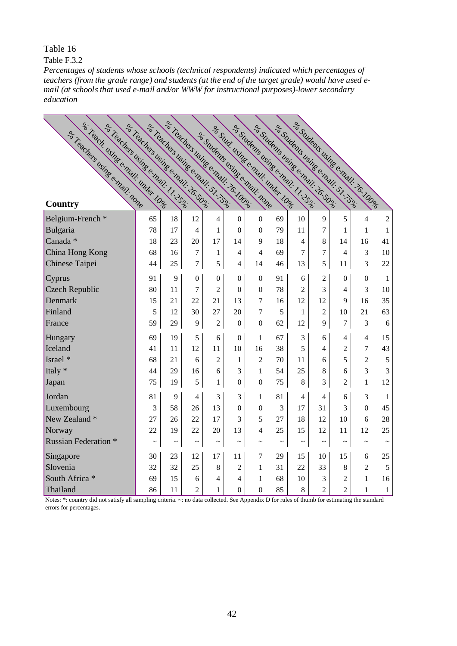Table F.3.2

mail (at schools that used e-mail and/or WWW for instructional purposes)-lower secondary *Percentages of students whose schools (technical respondents) indicated which percentages of teachers (from the grade range) and students (at the end of the target grade) would have used eeducation*

| of Teach using email under Logo<br>a Teachers using e mail. 1.35g | a Teachers Using e mail. 26.50g | e Treachers using e mail. To I Obec<br>Se Teachers Using e mail. 51.75g |                  |                                 | er Stud using e main under Loer |                  | er Suudents using eennay. 1.25g |                | ele Suudents usinge emmili 26,50ele<br>er Sudents Using e chail. S. 1.3.9 |                          | er Students using e mail. 76.100g |              |
|-------------------------------------------------------------------|---------------------------------|-------------------------------------------------------------------------|------------------|---------------------------------|---------------------------------|------------------|---------------------------------|----------------|---------------------------------------------------------------------------|--------------------------|-----------------------------------|--------------|
|                                                                   |                                 |                                                                         |                  |                                 |                                 |                  |                                 |                |                                                                           |                          |                                   |              |
|                                                                   |                                 |                                                                         |                  |                                 |                                 |                  |                                 |                |                                                                           |                          |                                   |              |
|                                                                   |                                 |                                                                         |                  |                                 |                                 |                  |                                 |                |                                                                           |                          |                                   |              |
|                                                                   |                                 |                                                                         |                  |                                 |                                 |                  |                                 |                |                                                                           |                          |                                   |              |
| er Teachers using email: none<br><b>Country</b>                   |                                 |                                                                         |                  | ele Suudents usinge email: none |                                 |                  |                                 |                |                                                                           |                          |                                   |              |
| Belgium-French *                                                  | 65                              | 18                                                                      | 12               | $\overline{4}$                  | $\boldsymbol{0}$                | $\boldsymbol{0}$ | 69                              | 10             | 9                                                                         | 5                        | $\overline{4}$                    | $\sqrt{2}$   |
| Bulgaria                                                          | 78                              | 17                                                                      | 4                | 1                               | $\overline{0}$                  | $\boldsymbol{0}$ | 79                              | 11             | $\overline{7}$                                                            | 1                        | 1                                 | $\mathbf{1}$ |
| Canada *                                                          | 18                              | 23                                                                      | 20               | 17                              | 14                              | 9                | 18                              | 4              | 8                                                                         | 14                       | 16                                | 41           |
| China Hong Kong                                                   | 68                              | 16                                                                      | 7                | $\mathbf{1}$                    | 4                               | $\overline{4}$   | 69                              | 7              | 7                                                                         | 4                        | 3                                 | 10           |
| Chinese Taipei                                                    | 44                              | 25                                                                      | $\tau$           | 5                               | 4                               | 14               | 46                              | 13             | 5                                                                         | 11                       | 3                                 | 22           |
| Cyprus                                                            | 91                              | 9                                                                       | $\boldsymbol{0}$ | $\Omega$                        | $\boldsymbol{0}$                | $\boldsymbol{0}$ | 91                              | 6              | 2                                                                         | $\theta$                 | $\Omega$                          | 1            |
| <b>Czech Republic</b>                                             | 80                              | 11                                                                      | 7                | $\overline{2}$                  | $\theta$                        | $\boldsymbol{0}$ | 78                              | $\overline{c}$ | 3                                                                         | $\overline{\mathcal{L}}$ | 3                                 | 10           |
| Denmark                                                           | 15                              | 21                                                                      | 22               | 21                              | 13                              | $\overline{7}$   | 16                              | 12             | 12                                                                        | 9                        | 16                                | 35           |
| Finland                                                           | 5                               | 12                                                                      | 30               | 27                              | 20                              | $\tau$           | 5                               | 1              | $\overline{2}$                                                            | 10                       | 21                                | 63           |
| France                                                            | 59                              | 29                                                                      | 9                | $\overline{2}$                  | $\overline{0}$                  | $\boldsymbol{0}$ | 62                              | 12             | 9                                                                         | $\overline{7}$           | 3                                 | 6            |
| Hungary                                                           | 69                              | 19                                                                      | 5                | 6                               | $\overline{0}$                  | $\mathbf{1}$     | 67                              | 3              | 6                                                                         | 4                        | $\overline{4}$                    | 15           |
| Iceland                                                           | 41                              | 11                                                                      | 12               | 11                              | 10                              | 16               | 38                              | 5              | 4                                                                         | $\overline{c}$           | $\overline{7}$                    | 43           |
| Israel *                                                          | 68                              | 21                                                                      | 6                | $\overline{c}$                  | 1                               | $\overline{2}$   | 70                              | 11             | 6                                                                         | 5                        | $\overline{c}$                    | 5            |
| Italy *                                                           | 44                              | 29                                                                      | 16               | 6                               | 3                               | 1                | 54                              | 25             | 8                                                                         | 6                        | 3                                 | 3            |
| Japan                                                             | 75                              | 19                                                                      | 5                | 1                               | $\boldsymbol{0}$                | $\boldsymbol{0}$ | 75                              | 8              | 3                                                                         | $\overline{2}$           | 1                                 | 12           |
| Jordan                                                            | 81                              | 9                                                                       | 4                | 3                               | 3                               | 1                | 81                              | $\overline{4}$ | 4                                                                         | 6                        | 3                                 | 1            |
| Luxembourg                                                        | 3                               | 58                                                                      | 26               | 13                              | $\overline{0}$                  | $\mathbf{0}$     | 3                               | 17             | 31                                                                        | 3                        | $\Omega$                          | 45           |
| New Zealand *                                                     | 27                              | 26                                                                      | 22               | 17                              | 3                               | 5                | 27                              | 18             | 12                                                                        | 10                       | 6                                 | 28           |
| Norway                                                            | 22                              | 19                                                                      | 22               | 20                              | 13                              | 4                | 25                              | 15             | 12                                                                        | 11                       | 12                                | 25           |
| <b>Russian Federation *</b>                                       | $\thicksim$                     | $\thicksim$                                                             | $\thicksim$      | $\thicksim$                     | $\thicksim$                     | $\thicksim$      | $\thicksim$                     | $\thicksim$    | $\thicksim$                                                               | $\thicksim$              | $\thicksim$                       | $\tilde{}$   |
| Singapore                                                         | 30                              | 23                                                                      | 12               | 17                              | 11                              | 7                | 29                              | 15             | 10                                                                        | 15                       | 6                                 | 25           |
| Slovenia                                                          | 32                              | 32                                                                      | 25               | 8                               | 2                               | 1                | 31                              | 22             | 33                                                                        | 8                        | $\overline{2}$                    | 5            |
| South Africa *                                                    | 69                              | 15                                                                      | 6                | 4                               | 4                               | 1                | 68                              | 10             | 3                                                                         | $\overline{c}$           | 1                                 | 16           |
| Thailand                                                          | 86                              | 11                                                                      | $\overline{c}$   | $\mathbf{1}$                    | $\overline{0}$                  | $\boldsymbol{0}$ | 85                              | 8              | $\overline{2}$                                                            | $\overline{2}$           | $\mathbf 1$                       | $\mathbf{1}$ |

Notes: \*: country did not satisfy all sampling criteria. ~: no data collected. See Appendix D for rules of thumb for estimating the standard errors for percentages.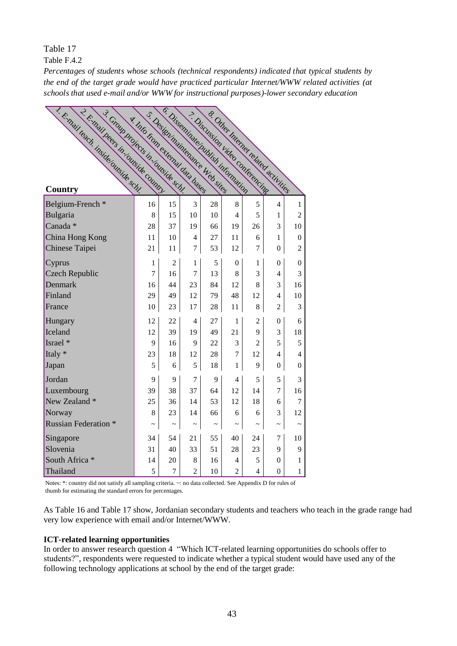Table F.4.2

the end of the target grade would have practiced particular Internet/WWW related activities (at *Percentages of students whose schools (technical respondents) indicated that typical students by schools that used e-mail and/or WWW for instructional purposes)-lower secondary education*

| C. C. Mall leadh. Hiside outside schl.<br>2- E-mail beers in Country<br>3. Group Projects in Louiside schl. | A. Info From extended data bases |                       |                       | 5. Design maintenance Web sites | 6. Disseminate publish incomediation | 7. Discussion video contenencing<br>8. Other Internet related activities |                       |                |
|-------------------------------------------------------------------------------------------------------------|----------------------------------|-----------------------|-----------------------|---------------------------------|--------------------------------------|--------------------------------------------------------------------------|-----------------------|----------------|
|                                                                                                             |                                  |                       |                       |                                 |                                      |                                                                          |                       |                |
|                                                                                                             |                                  |                       |                       |                                 |                                      |                                                                          |                       |                |
|                                                                                                             |                                  |                       |                       |                                 |                                      |                                                                          |                       |                |
|                                                                                                             |                                  |                       |                       |                                 |                                      |                                                                          |                       |                |
|                                                                                                             |                                  |                       |                       |                                 |                                      |                                                                          |                       |                |
| Belgium-French*                                                                                             | 16                               | 15                    | 3                     | 28                              | 8                                    | 5                                                                        | 4                     | 1              |
| Bulgaria                                                                                                    | 8                                | 15                    | 10                    | 10                              | 4                                    | 5                                                                        | 1                     | $\overline{2}$ |
| Canada *                                                                                                    | 28                               | 37                    | 19                    | 66                              | 19                                   | 26                                                                       | 3                     | 10             |
| China Hong Kong                                                                                             | 11                               | 10                    | 4                     | 27                              | 11                                   | 6                                                                        | 1                     | 0              |
| Chinese Taipei                                                                                              | 21                               | 11                    | 7                     | 53                              | 12                                   | 7                                                                        | 0                     | $\overline{2}$ |
| Cyprus                                                                                                      | 1                                | $\overline{c}$        | 1                     | 5                               | $\overline{0}$                       | 1                                                                        | 0                     | $\overline{0}$ |
| <b>Czech Republic</b>                                                                                       | $\overline{7}$                   | 16                    | 7                     | 13                              | 8                                    | 3                                                                        | 4                     | 3              |
| Denmark                                                                                                     | 16                               | 44                    | 23                    | 84                              | 12                                   | 8                                                                        | 3                     | 16             |
| Finland                                                                                                     | 29                               | 49                    | 12                    | 79                              | 48                                   | 12                                                                       | 4                     | 10             |
| France                                                                                                      | 10                               | 23                    | 17                    | 28                              | 11                                   | 8                                                                        | $\overline{c}$        | 3              |
| Hungary                                                                                                     | 12                               | 22                    | 4                     | 27                              | 1                                    | 2                                                                        | $\overline{0}$        | 6              |
| Iceland                                                                                                     | 12                               | 39                    | 19                    | 49                              | 21                                   | 9                                                                        | 3                     | 18             |
| Israel *                                                                                                    | 9                                | 16                    | 9                     | 22                              | 3                                    | $\mathfrak{D}$                                                           | 5                     | 5              |
| Italy *                                                                                                     | 23                               | 18                    | 12                    | 28                              | $\overline{7}$                       | 12                                                                       | 4                     | 4              |
| Japan                                                                                                       | 5                                | 6                     | 5                     | 18                              | 1                                    | 9                                                                        | $\boldsymbol{0}$      | $\overline{0}$ |
| Jordan                                                                                                      | 9                                | 9                     | 7                     | 9                               | 4                                    | 5                                                                        | 5                     | 3              |
| Luxembourg                                                                                                  | 39                               | 38                    | 37                    | 64                              | 12                                   | 14                                                                       | 7                     | 16             |
| New Zealand *                                                                                               | 25                               | 36                    | 14                    | 53                              | 12                                   | 18                                                                       | 6                     | 7              |
| Norway                                                                                                      | 8                                | 23                    | 14                    | 66                              | 6                                    | 6                                                                        | 3                     | 12             |
| <b>Russian Federation *</b>                                                                                 | $\tilde{\phantom{a}}$            | $\tilde{\phantom{a}}$ | $\tilde{\phantom{a}}$ | $\tilde{\phantom{a}}$           | $\tilde{\phantom{a}}$                | $\tilde{\phantom{a}}$                                                    | $\tilde{\phantom{a}}$ | $\tilde{}$     |
| Singapore                                                                                                   | 34                               | 54                    | 21                    | 55                              | 40                                   | 24                                                                       | 7                     | 10             |
| Slovenia                                                                                                    | 31                               | 40                    | 33                    | 51                              | 28                                   | 23                                                                       | 9                     | 9              |
| South Africa *                                                                                              | 14                               | 20                    | 8                     | 16                              | 4                                    | 5                                                                        | 0                     | 1              |
| Thailand                                                                                                    | 5                                | 7                     | 2                     | 10                              | 2                                    | 4                                                                        | $\overline{0}$        | $\mathbf{1}$   |

Notes: \*: country did not satisfy all sampling criteria. ~: no data collected. See Appendix D for rules of thumb for estimating the standard errors for percentages.

As Table 16 and Table 17 show, Jordanian secondary students and teachers who teach in the grade range had very low experience with email and/or Internet/WWW.

# **ICT-related learning opportunities**

In order to answer research question 4 "Which ICT-related learning opportunities do schools offer to students?", respondents were requested to indicate whether a typical student would have used any of the following technology applications at school by the end of the target grade: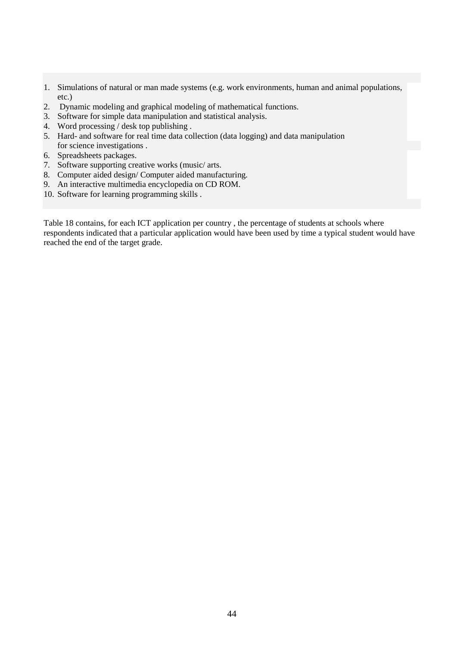- 1. Simulations of natural or man made systems (e.g. work environments, human and animal populations, etc.)
- 2. Dynamic modeling and graphical modeling of mathematical functions.
- 3. Software for simple data manipulation and statistical analysis.
- 4. Word processing / desk top publishing .
- 5. Hard- and software for real time data collection (data logging) and data manipulation for science investigations .
- 6. Spreadsheets packages.
- 7. Software supporting creative works (music/ arts.
- 8. Computer aided design/ Computer aided manufacturing.
- 9. An interactive multimedia encyclopedia on CD ROM.
- 10. Software for learning programming skills .

Table 18 contains, for each ICT application per country , the percentage of students at schools where respondents indicated that a particular application would have been used by time a typical student would have reached the end of the target grade.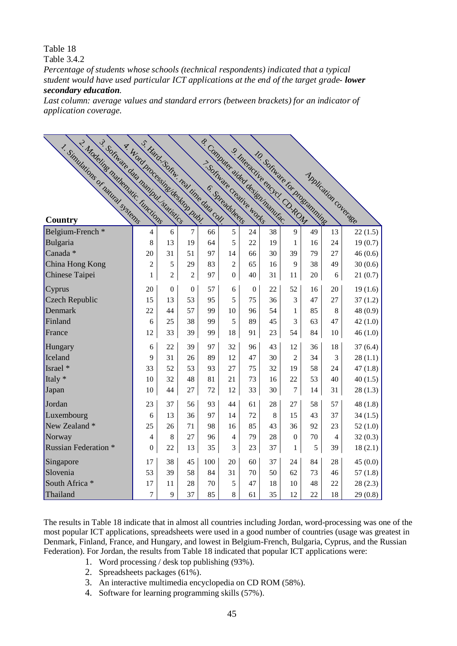Table 3.4.2

*Percentage of students whose schools (technical respondents) indicated that a typical student would have used particular ICT applications at the end of the target grade- lower secondary education.*

*Last column: average values and standard errors (between brackets) for an indicator of application coverage.*

| 3. Sonware data manipul. statistics<br>2. Modeline mathematic, Timetions<br>1. Simulations or natural systems | s. Hard. SS tin. real line data coll.<br>4. Word Processing destroy Public |                  |                |     |                  |                  | s. Computer aided design manufac-<br>9. Interactive encycl. O. ROM<br>10. Software for programming |                  |    |        |                              |
|---------------------------------------------------------------------------------------------------------------|----------------------------------------------------------------------------|------------------|----------------|-----|------------------|------------------|----------------------------------------------------------------------------------------------------|------------------|----|--------|------------------------------|
|                                                                                                               |                                                                            |                  |                |     |                  |                  |                                                                                                    |                  |    |        | <b>Application coverage.</b> |
|                                                                                                               |                                                                            |                  |                |     |                  |                  |                                                                                                    |                  |    |        |                              |
|                                                                                                               |                                                                            |                  |                |     |                  |                  |                                                                                                    |                  |    |        |                              |
|                                                                                                               |                                                                            |                  |                |     |                  |                  |                                                                                                    |                  |    |        |                              |
| Country                                                                                                       |                                                                            |                  |                |     |                  |                  |                                                                                                    |                  |    |        |                              |
| Belgium-French <sup>*</sup>                                                                                   | $\overline{4}$                                                             | 6                | $\overline{7}$ | 66  | 5                | 24               | 38                                                                                                 | 9                | 49 | 13     | 22(1.5)                      |
| Bulgaria                                                                                                      | 8                                                                          | 13               | 19             | 64  | 5                | 22               | 19                                                                                                 | 1                | 16 | 24     | 19(0.7)                      |
| Canada *                                                                                                      | 20                                                                         | 31               | 51             | 97  | 14               | 66               | 30                                                                                                 | 39               | 79 | 27     | 46(0.6)                      |
| China Hong Kong                                                                                               | $\overline{c}$                                                             | 5                | 29             | 83  | $\sqrt{2}$       | 65               | 16                                                                                                 | 9                | 38 | 49     | 30(0.6)                      |
| Chinese Taipei                                                                                                | 1                                                                          | $\overline{c}$   | $\overline{c}$ | 97  | $\boldsymbol{0}$ | 40               | 31                                                                                                 | 11               | 20 | 6      | 21(0.7)                      |
| Cyprus                                                                                                        | 20                                                                         | $\boldsymbol{0}$ | $\overline{0}$ | 57  | 6                | $\boldsymbol{0}$ | 22                                                                                                 | 52               | 16 | 20     | 19(1.6)                      |
| <b>Czech Republic</b>                                                                                         | 15                                                                         | 13               | 53             | 95  | 5                | 75               | 36                                                                                                 | 3                | 47 | 27     | 37(1.2)                      |
| Denmark                                                                                                       | 22                                                                         | 44               | 57             | 99  | 10               | 96               | 54                                                                                                 | 1                | 85 | 8      | 48 (0.9)                     |
| Finland                                                                                                       | 6                                                                          | 25               | 38             | 99  | 5                | 89               | 45                                                                                                 | 3                | 63 | 47     | 42(1.0)                      |
| France                                                                                                        | 12                                                                         | 33               | 39             | 99  | 18               | 91               | 23                                                                                                 | 54               | 84 | $10\,$ | 46(1.0)                      |
| Hungary                                                                                                       | 6                                                                          | 22               | 39             | 97  | 32               | 96               | 43                                                                                                 | 12               | 36 | 18     | 37(6.4)                      |
| Iceland                                                                                                       | 9                                                                          | 31               | 26             | 89  | 12               | 47               | 30                                                                                                 | $\overline{c}$   | 34 | 3      | 28(1.1)                      |
| Israel *                                                                                                      | 33                                                                         | 52               | 53             | 93  | 27               | 75               | 32                                                                                                 | 19               | 58 | 24     | 47(1.8)                      |
| Italy *                                                                                                       | 10                                                                         | 32               | 48             | 81  | 21               | 73               | 16                                                                                                 | 22               | 53 | 40     | 40(1.5)                      |
| Japan                                                                                                         | 10                                                                         | 44               | 27             | 72  | 12               | 33               | 30                                                                                                 | $\overline{7}$   | 14 | 31     | 28(1.3)                      |
| Jordan                                                                                                        | 23                                                                         | 37               | 56             | 93  | 44               | 61               | 28                                                                                                 | 27               | 58 | 57     | 48(1.8)                      |
| Luxembourg                                                                                                    | 6                                                                          | 13               | 36             | 97  | 14               | 72               | 8                                                                                                  | 15               | 43 | 37     | 34(1.5)                      |
| New Zealand *                                                                                                 | 25                                                                         | 26               | 71             | 98  | 16               | 85               | 43                                                                                                 | 36               | 92 | 23     | 52(1.0)                      |
| Norway                                                                                                        | 4                                                                          | $\,8\,$          | 27             | 96  | $\overline{4}$   | 79               | 28                                                                                                 | $\boldsymbol{0}$ | 70 | 4      | 32(0.3)                      |
| <b>Russian Federation *</b>                                                                                   | $\boldsymbol{0}$                                                           | 22               | 13             | 35  | 3                | 23               | 37                                                                                                 | 1                | 5  | 39     | 18(2.1)                      |
| Singapore                                                                                                     | 17                                                                         | 38               | 45             | 100 | 20               | 60               | 37                                                                                                 | 24               | 84 | 28     | 45(0.0)                      |
| Slovenia                                                                                                      | 53                                                                         | 39               | 58             | 84  | 31               | 70               | 50                                                                                                 | 62               | 73 | 46     | 57(1.8)                      |
| South Africa *                                                                                                | 17                                                                         | 11               | 28             | 70  | 5                | 47               | 18                                                                                                 | 10               | 48 | 22     | 28(2.3)                      |
| Thailand                                                                                                      | $\boldsymbol{7}$                                                           | 9                | 37             | 85  | $8\,$            | 61               | 35                                                                                                 | 12               | 22 | 18     | 29(0.8)                      |

The results in Table 18 indicate that in almost all countries including Jordan, word-processing was one of the most popular ICT applications, spreadsheets were used in a good number of countries (usage was greatest in Denmark, Finland, France, and Hungary, and lowest in Belgium-French, Bulgaria, Cyprus, and the Russian Federation). For Jordan, the results from Table 18 indicated that popular ICT applications were:

- 1. Word processing / desk top publishing (93%).
- 2. Spreadsheets packages (61%).
- 3. An interactive multimedia encyclopedia on CD ROM (58%).
- 4. Software for learning programming skills (57%).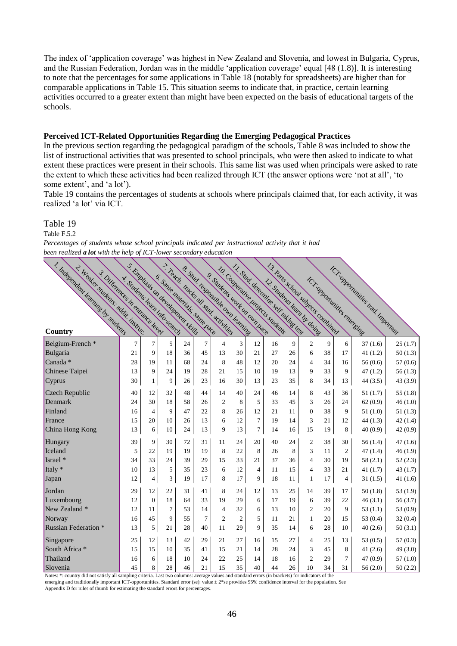The index of 'application coverage' was highest in New Zealand and Slovenia, and lowest in Bulgaria, Cyprus, and the Russian Federation, Jordan was in the middle 'application coverage' equal [48 (1.8)]. It is interesting to note that the percentages for some applications in Table 18 (notably for spreadsheets) are higher than for comparable applications in Table 15. This situation seems to indicate that, in practice, certain learning activities occurred to a greater extent than might have been expected on the basis of educational targets of the schools.

### **Perceived ICT-Related Opportunities Regarding the Emerging Pedagogical Practices**

In the previous section regarding the pedagogical paradigm of the schools, Table 8 was included to show the list of instructional activities that was presented to school principals, who were then asked to indicate to what extent these practices were present in their schools. This same list was used when principals were asked to rate the extent to which these activities had been realized through ICT (the answer options were 'not at all', 'to some extent', and 'a lot').

Table 19 contains the percentages of students at schools where principals claimed that, for each activity, it was realized 'a lot' via ICT.

# Table 19

Table F.5.2

Table F5.2: ~ *been realized a lot with the help of ICT-lower secondary educationPercentages of students whose school principals indicated per instructional activity that it had*

| 1. Independent learning by students<br>2. Wester students: addit instruc-<br>3. Differences in entrance felicies<br>Country | S. Emphasis on development skills<br>y. Students learn info.segrety |                |    | E. Same materials, same bace |                | Theadh Iradis all study advisition<br>& Stud responsible own learnings<br>9. Students work on own Bace |                | 11. Stud determine self taking less<br>10. Comernine projects students |    |    | 13. Parts school subjects condition<br>12- Students Reim by doing |    |                | <b>ICY sprenditives trad inportant</b><br><b>ICY opportunities emergings</b> |            |
|-----------------------------------------------------------------------------------------------------------------------------|---------------------------------------------------------------------|----------------|----|------------------------------|----------------|--------------------------------------------------------------------------------------------------------|----------------|------------------------------------------------------------------------|----|----|-------------------------------------------------------------------|----|----------------|------------------------------------------------------------------------------|------------|
| Belgium-French *                                                                                                            | 7                                                                   | 7              | 5  | 24                           | $\overline{7}$ | $\overline{4}$                                                                                         | 3              | 12                                                                     | 16 | 9  | $\overline{c}$                                                    | 9  | 6              | 37(1.6)                                                                      | 25(1.7)    |
| Bulgaria                                                                                                                    | 21                                                                  | 9              | 18 | 36                           | 45             | 13                                                                                                     | 30             | 21                                                                     | 27 | 26 | 6                                                                 | 38 | 17             | 41(1.2)                                                                      | 50(1.3)    |
| Canada <sup>*</sup>                                                                                                         | 28                                                                  | 19             | 11 | 68                           | 24             | 8                                                                                                      | 48             | 12                                                                     | 20 | 24 | $\overline{4}$                                                    | 34 | 16             | 56(0.6)                                                                      | 57(0.6)    |
| Chinese Taipei                                                                                                              | 13                                                                  | 9              | 24 | 19                           | 28             | 21                                                                                                     | 15             | 10                                                                     | 19 | 13 | 9                                                                 | 33 | 9              | 47(1.2)                                                                      | 56(1.3)    |
| Cyprus                                                                                                                      | 30                                                                  | $\mathbf{1}$   | 9  | 26                           | 23             | 16                                                                                                     | 30             | 13                                                                     | 23 | 35 | 8                                                                 | 34 | 13             | 44(3.5)                                                                      | 43 (3.9)   |
| Czech Republic                                                                                                              | 40                                                                  | 12             | 32 | 48                           | 44             | 14                                                                                                     | 40             | 24                                                                     | 46 | 14 | 8                                                                 | 43 | 36             | 51(1.7)                                                                      | 55(1.8)    |
| Denmark                                                                                                                     | 24                                                                  | 30             | 18 | 58                           | 26             | $\overline{c}$                                                                                         | 8              | 5                                                                      | 33 | 45 | 3                                                                 | 26 | 24             | 62(0.9)                                                                      | 46(1.0)    |
| Finland                                                                                                                     | 16                                                                  | $\overline{4}$ | 9  | 47                           | 22             | 8                                                                                                      | 26             | 12                                                                     | 21 | 11 | $\theta$                                                          | 38 | 9              | 51(1.0)                                                                      | 51(1.3)    |
| France                                                                                                                      | 15                                                                  | 20             | 10 | 26                           | 13             | 6                                                                                                      | 12             | $\overline{7}$                                                         | 19 | 14 | 3                                                                 | 21 | 12             | 44(1.3)                                                                      | 42(1.4)    |
| China Hong Kong                                                                                                             | 13                                                                  | 6              | 10 | 24                           | 13             | 9                                                                                                      | 13             | $\overline{7}$                                                         | 14 | 16 | 15                                                                | 19 | 8              | 40(0.9)                                                                      | 42(0.9)    |
| Hungary                                                                                                                     | 39                                                                  | 9              | 30 | 72                           | 31             | 11                                                                                                     | 24             | 20                                                                     | 40 | 24 | $\overline{c}$                                                    | 38 | 30             | 56(1.4)                                                                      | 47(1.6)    |
| Iceland                                                                                                                     | 5                                                                   | 22             | 19 | 19                           | 19             | 8                                                                                                      | 22             | 8                                                                      | 26 | 8  | 3                                                                 | 11 | $\overline{c}$ | 47(1.4)                                                                      | 46(1.9)    |
| Israel *                                                                                                                    | 34                                                                  | 33             | 24 | 39                           | 29             | 15                                                                                                     | 33             | 21                                                                     | 37 | 36 | 4                                                                 | 30 | 19             | 58(2.1)                                                                      | 52(2.3)    |
| Italy *                                                                                                                     | 10                                                                  | 13             | 5  | 35                           | 23             | 6                                                                                                      | 12             | $\overline{4}$                                                         | 11 | 15 | 4                                                                 | 33 | 21             | 41 $(1.7)$                                                                   | 43(1.7)    |
| Japan                                                                                                                       | 12                                                                  | 4              | 3  | 19                           | 17             | 8                                                                                                      | 17             | 9                                                                      | 18 | 11 | 1                                                                 | 17 | 4              | 31(1.5)                                                                      | 41(1.6)    |
| Jordan                                                                                                                      | 29                                                                  | 12             | 22 | 31                           | 41             | 8                                                                                                      | 24             | 12                                                                     | 13 | 25 | 14                                                                | 39 | 17             | 50(1.8)                                                                      | 53 $(1.9)$ |
| Luxembourg                                                                                                                  | 12                                                                  | $\overline{0}$ | 18 | 64                           | 33             | 19                                                                                                     | 29             | 6                                                                      | 17 | 19 | 6                                                                 | 39 | 22             | 46(3.1)                                                                      | 56(3.7)    |
| New Zealand *                                                                                                               | 12                                                                  | 11             | 7  | 53                           | 14             | 4                                                                                                      | 32             | 6                                                                      | 13 | 10 | $\overline{2}$                                                    | 20 | 9              | 53(1.1)                                                                      | 53 $(0.9)$ |
| Norway                                                                                                                      | 16                                                                  | 45             | 9  | 55                           | $\overline{7}$ | $\overline{c}$                                                                                         | $\overline{2}$ | 5                                                                      | 11 | 21 | $\mathbf{1}$                                                      | 20 | 15             | 53 $(0.4)$                                                                   | 32(0.4)    |
| <b>Russian Federation</b> *                                                                                                 | 13                                                                  | 5              | 21 | 28                           | 40             | 11                                                                                                     | 29             | 9                                                                      | 35 | 14 | 6                                                                 | 28 | 10             | 40(2.6)                                                                      | 50(3.1)    |
| Singapore                                                                                                                   | 25                                                                  | 12             | 13 | 42                           | 29             | 21                                                                                                     | 27             | 16                                                                     | 15 | 27 | 4                                                                 | 25 | 13             | 53(0.5)                                                                      | 57(0.3)    |
| South Africa *                                                                                                              | 15                                                                  | 15             | 10 | 35                           | 41             | 15                                                                                                     | 21             | 14                                                                     | 28 | 24 | 3                                                                 | 45 | 8              | 41 $(2.6)$                                                                   | 49 (3.0)   |
| Thailand                                                                                                                    | 16                                                                  | 6              | 18 | 10                           | 24             | 22                                                                                                     | 25             | 14                                                                     | 18 | 16 | $\overline{2}$                                                    | 29 | 7              | 47(0.9)                                                                      | 57(1.0)    |
| Slovenia                                                                                                                    | 45                                                                  | 8              | 28 | 46                           | 21             | 15                                                                                                     | 35             | 40                                                                     | 44 | 26 | 10                                                                | 34 | 31             | 56(2.0)                                                                      | 50(2.2)    |

Notes: \*: country did not satisfy all sampling criteria. Last two columns: average values and standard errors (in brackets) for indicators of the

emerging and traditionally important ICT-opportunities. Standard error (se): value  $\pm 2*$ se provides 95% confidence interval for the population. See

Appendix D for rules of thumb for estimating the standard errors for percentages.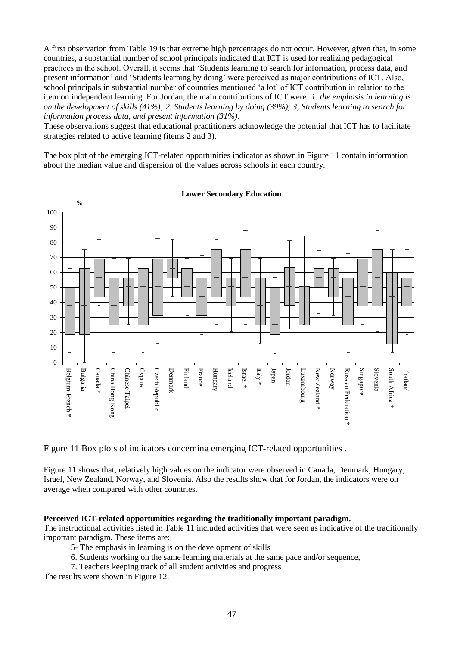A first observation from Table 19 is that extreme high percentages do not occur. However, given that, in some countries, a substantial number of school principals indicated that ICT is used for realizing pedagogical practices in the school. Overall, it seems that 'Students learning to search for information, process data, and present information' and 'Students learning by doing' were perceived as major contributions of ICT. Also, school principals in substantial number of countries mentioned 'a lot' of ICT contribution in relation to the item on independent learning. For Jordan, the main contributions of ICT were*: 1. the emphasis in learning is on the development of skills (41%); 2. Students learning by doing (39%); 3, Students learning to search for information process data, and present information (31%).*

These observations suggest that educational practitioners acknowledge the potential that ICT has to facilitate strategies related to active learning (items 2 and 3).

The box plot of the emerging ICT-related opportunities indicator as shown in Figure 11 contain information about the median value and dispersion of the values across schools in each country.



**Lower Secondary Education**

Figure 11 Box plots of indicators concerning emerging ICT-related opportunities .

Figure 11 shows that, relatively high values on the indicator were observed in Canada, Denmark, Hungary, Israel, New Zealand, Norway, and Slovenia. Also the results show that for Jordan, the indicators were on average when compared with other countries.

### **Perceived ICT-related opportunities regarding the traditionally important paradigm.**

The instructional activities listed in Table 11 included activities that were seen as indicative of the traditionally important paradigm. These items are:

- 5- The emphasis in learning is on the development of skills
- 6. Students working on the same learning materials at the same pace and/or sequence,
- 7. Teachers keeping track of all student activities and progress

The results were shown in Figure 12.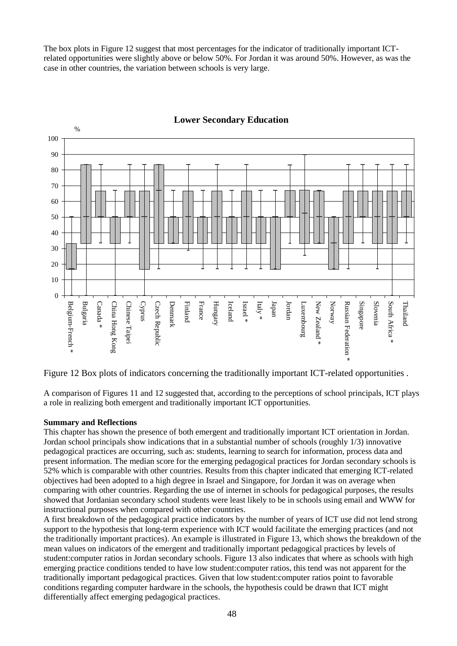The box plots in Figure 12 suggest that most percentages for the indicator of traditionally important ICTrelated opportunities were slightly above or below 50%. For Jordan it was around 50%. However, as was the case in other countries, the variation between schools is very large.



# **Lower Secondary Education**

Figure 12 Box plots of indicators concerning the traditionally important ICT-related opportunities .

A comparison of Figures 11 and 12 suggested that, according to the perceptions of school principals, ICT plays a role in realizing both emergent and traditionally important ICT opportunities.

### **Summary and Reflections**

This chapter has shown the presence of both emergent and traditionally important ICT orientation in Jordan. Jordan school principals show indications that in a substantial number of schools (roughly 1/3) innovative pedagogical practices are occurring, such as: students, learning to search for information, process data and present information. The median score for the emerging pedagogical practices for Jordan secondary schools is 52% which is comparable with other countries. Results from this chapter indicated that emerging ICT-related objectives had been adopted to a high degree in Israel and Singapore, for Jordan it was on average when comparing with other countries. Regarding the use of internet in schools for pedagogical purposes, the results showed that Jordanian secondary school students were least likely to be in schools using email and WWW for instructional purposes when compared with other countries.

A first breakdown of the pedagogical practice indicators by the number of years of ICT use did not lend strong support to the hypothesis that long-term experience with ICT would facilitate the emerging practices (and not the traditionally important practices). An example is illustrated in Figure 13, which shows the breakdown of the mean values on indicators of the emergent and traditionally important pedagogical practices by levels of student:computer ratios in Jordan secondary schools. Figure 13 also indicates that where as schools with high emerging practice conditions tended to have low student:computer ratios, this tend was not apparent for the traditionally important pedagogical practices. Given that low student:computer ratios point to favorable conditions regarding computer hardware in the schools, the hypothesis could be drawn that ICT might differentially affect emerging pedagogical practices.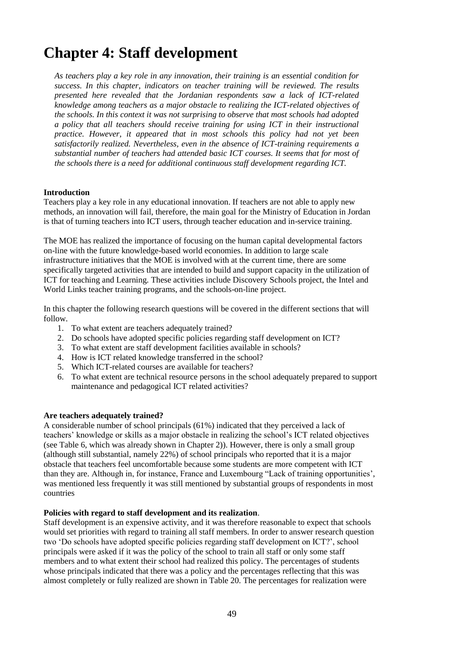# **Chapter 4: Staff development**

*As teachers play a key role in any innovation, their training is an essential condition for success. In this chapter, indicators on teacher training will be reviewed. The results presented here revealed that the Jordanian respondents saw a lack of ICT-related knowledge among teachers as a major obstacle to realizing the ICT-related objectives of the schools. In this context it was not surprising to observe that most schools had adopted a policy that all teachers should receive training for using ICT in their instructional practice. However, it appeared that in most schools this policy had not yet been satisfactorily realized. Nevertheless, even in the absence of ICT-training requirements a substantial number of teachers had attended basic ICT courses. It seems that for most of the schools there is a need for additional continuous staff development regarding ICT.*

### **Introduction**

Teachers play a key role in any educational innovation. If teachers are not able to apply new methods, an innovation will fail, therefore, the main goal for the Ministry of Education in Jordan is that of turning teachers into ICT users, through teacher education and in-service training.

The MOE has realized the importance of focusing on the human capital developmental factors on-line with the future knowledge-based world economies. In addition to large scale infrastructure initiatives that the MOE is involved with at the current time, there are some specifically targeted activities that are intended to build and support capacity in the utilization of ICT for teaching and Learning. These activities include Discovery Schools project, the Intel and World Links teacher training programs, and the schools-on-line project.

In this chapter the following research questions will be covered in the different sections that will follow.

- 1. To what extent are teachers adequately trained?
- 2. Do schools have adopted specific policies regarding staff development on ICT?
- 3. To what extent are staff development facilities available in schools?
- 4. How is ICT related knowledge transferred in the school?
- 5. Which ICT-related courses are available for teachers?
- 6. To what extent are technical resource persons in the school adequately prepared to support maintenance and pedagogical ICT related activities?

#### **Are teachers adequately trained?**

A considerable number of school principals (61%) indicated that they perceived a lack of teachers' knowledge or skills as a major obstacle in realizing the school's ICT related objectives (see Table 6, which was already shown in Chapter 2)). However, there is only a small group (although still substantial, namely 22%) of school principals who reported that it is a major obstacle that teachers feel uncomfortable because some students are more competent with ICT than they are. Although in, for instance, France and Luxembourg "Lack of training opportunities', was mentioned less frequently it was still mentioned by substantial groups of respondents in most countries

### **Policies with regard to staff development and its realization**.

Staff development is an expensive activity, and it was therefore reasonable to expect that schools would set priorities with regard to training all staff members. In order to answer research question two 'Do schools have adopted specific policies regarding staff development on ICT?', school principals were asked if it was the policy of the school to train all staff or only some staff members and to what extent their school had realized this policy. The percentages of students whose principals indicated that there was a policy and the percentages reflecting that this was almost completely or fully realized are shown in Table 20. The percentages for realization were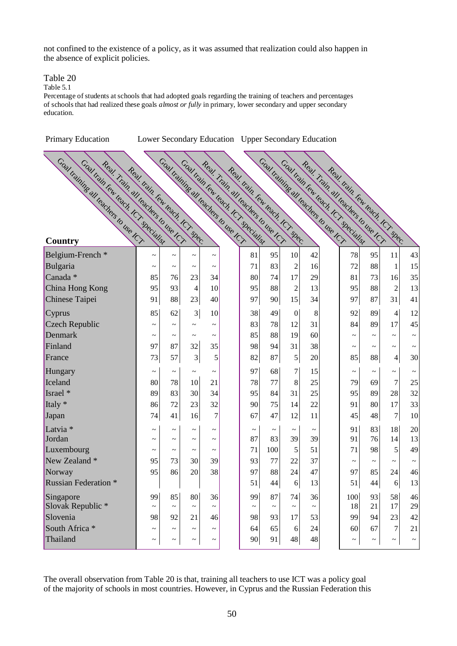not confined to the existence of a policy, as it was assumed that realization could also happen in the absence of explicit policies.

### Table 20

Table 5.1

Percentage of students at schools that had adopted goals regarding the training of teachers and percentages of schools that had realized these goals *almost or fully* in primary, lower secondary and upper secondary education.

| Primary Education                                                                                                                      | Lower Secondary Education Upper Secondary Education |                       |                                                                                |                                     |                                                                     |             |                                       |             |                                                                                                              |                       |                          |             |
|----------------------------------------------------------------------------------------------------------------------------------------|-----------------------------------------------------|-----------------------|--------------------------------------------------------------------------------|-------------------------------------|---------------------------------------------------------------------|-------------|---------------------------------------|-------------|--------------------------------------------------------------------------------------------------------------|-----------------------|--------------------------|-------------|
| Coal training all leadings to use ICT<br>Coal train few teach 1Cr specialist<br>Real. Trail. all leadhers to use ICT<br><b>Country</b> | Real train Fow leads , CT spec.                     |                       | Coal training all leadings to use ICR<br>Coal train few teach . ICT specialist |                                     | Real Train all leadings to the ICT<br>Real train Few teach Kr spec. |             | Coal training all teachers to use ICY |             | Coal train few teach tor specialist<br>Real. Train all leadlers to use ICT<br>Real train few leads for spec- |                       |                          |             |
| Belgium-French <sup>*</sup>                                                                                                            | $\tilde{\phantom{a}}$                               | $\tilde{\phantom{a}}$ | $\tilde{\phantom{a}}$                                                          |                                     | 81                                                                  | 95          | 10                                    | 42          | 78                                                                                                           | 95                    | 11                       | 43          |
| Bulgaria                                                                                                                               | $\tilde{\phantom{a}}$                               | $\thicksim$           | $\tilde{}$                                                                     | $\tilde{}$<br>$\tilde{\phantom{a}}$ | 71                                                                  | 83          | $\overline{2}$                        | 16          | 72                                                                                                           | 88                    | 1                        | 15          |
| Canada <sup>*</sup>                                                                                                                    | 85                                                  | 76                    | 23                                                                             | 34                                  | 80                                                                  | 74          | 17                                    | 29          | 81                                                                                                           | 73                    | 16                       | 35          |
| China Hong Kong                                                                                                                        | 95                                                  | 93                    | 4                                                                              | 10                                  | 95                                                                  | 88          | $\overline{c}$                        | 13          | 95                                                                                                           | 88                    | $\overline{c}$           | 13          |
| Chinese Taipei                                                                                                                         | 91                                                  | 88                    | 23                                                                             | 40                                  | 97                                                                  | 90          | 15                                    | 34          | 97                                                                                                           | 87                    | 31                       | 41          |
| Cyprus                                                                                                                                 | 85                                                  | 62                    | 3                                                                              | 10                                  | 38                                                                  | 49          | $\boldsymbol{0}$                      | 8           | 92                                                                                                           | 89                    | $\overline{\mathcal{A}}$ | 12          |
| Czech Republic                                                                                                                         | $\tilde{\phantom{0}}$                               | $\tilde{\phantom{a}}$ | $\tilde{\phantom{a}}$                                                          | $\tilde{\phantom{a}}$               | 83                                                                  | 78          | 12                                    | 31          | 84                                                                                                           | 89                    | 17                       | 45          |
| Denmark                                                                                                                                | $\tilde{}$                                          | $\thicksim$           | $\tilde{\phantom{a}}$                                                          | $\thicksim$                         | 85                                                                  | 88          | 19                                    | 60          | $\tilde{\phantom{a}}$                                                                                        | $\tilde{\phantom{a}}$ | $\tilde{\phantom{a}}$    |             |
| Finland                                                                                                                                | 97                                                  | 87                    | 32                                                                             | 35                                  | 98                                                                  | 94          | 31                                    | 38          | $\tilde{}$                                                                                                   | $\tilde{\phantom{a}}$ | $\tilde{\phantom{a}}$    |             |
| France                                                                                                                                 | 73                                                  | 57                    | 3                                                                              | 5                                   | 82                                                                  | 87          | 5                                     | 20          | 85                                                                                                           | 88                    | $\overline{4}$           | 30          |
| Hungary                                                                                                                                | $\tilde{\phantom{a}}$                               | $\tilde{}$            | $\tilde{}$                                                                     | $\tilde{\phantom{a}}$               | 97                                                                  | 68          | $\overline{7}$                        | 15          | $\tilde{}$                                                                                                   | $\thicksim$           | $\thicksim$              | $\thicksim$ |
| Iceland                                                                                                                                | 80                                                  | 78                    | 10                                                                             | 21                                  | 78                                                                  | 77          | 8                                     | 25          | 79                                                                                                           | 69                    | $\overline{7}$           | $25\,$      |
| Israel *                                                                                                                               | 89                                                  | 83                    | 30                                                                             | 34                                  | 95                                                                  | 84          | 31                                    | 25          | 95                                                                                                           | 89                    | 28                       | 32          |
| Italy *                                                                                                                                | 86                                                  | 72                    | 23                                                                             | 32                                  | 90                                                                  | 75          | 14                                    | $22\,$      | 91                                                                                                           | 80                    | 17                       | 33          |
| Japan                                                                                                                                  | 74                                                  | 41                    | 16                                                                             | $\overline{7}$                      | 67                                                                  | 47          | 12                                    | 11          | 45                                                                                                           | 48                    | $\boldsymbol{7}$         | 10          |
| Latvia <sup>*</sup>                                                                                                                    | $\tilde{\phantom{a}}$                               | $\tilde{\phantom{a}}$ | $\tilde{}$                                                                     | $\tilde{\phantom{a}}$               | $\thicksim$                                                         | $\tilde{}$  | $\thicksim$                           | $\thicksim$ | 91                                                                                                           | 83                    | 18                       | $20\,$      |
| Jordan                                                                                                                                 | $\tilde{}$                                          | $\tilde{\phantom{a}}$ | $\tilde{}$                                                                     | $\tilde{}$                          | 87                                                                  | 83          | 39                                    | 39          | 91                                                                                                           | 76                    | 14                       | 13          |
| Luxembourg                                                                                                                             | $\tilde{\phantom{0}}$                               | $\tilde{}$            | $\tilde{}$                                                                     | $\tilde{\phantom{a}}$               | 71                                                                  | 100         | 5                                     | 51          | 71                                                                                                           | 98                    | 5                        | 49          |
| New Zealand *                                                                                                                          | 95                                                  | 73                    | 30                                                                             | 39                                  | 93                                                                  | 77          | 22                                    | 37          | $\tilde{}$                                                                                                   | $\tilde{\phantom{a}}$ | $\tilde{\phantom{a}}$    |             |
| Norway                                                                                                                                 | 95                                                  | 86                    | 20                                                                             | 38                                  | 97                                                                  | 88          | 24                                    | 47          | 97                                                                                                           | 85                    | 24                       | 46          |
| <b>Russian Federation</b> *                                                                                                            |                                                     |                       |                                                                                |                                     | 51                                                                  | 44          | $6\vert$                              | 13          | 51                                                                                                           | 44                    | $6 \overline{6}$         | 13          |
| Singapore                                                                                                                              | 99                                                  | 85                    | 80                                                                             | 36                                  | 99                                                                  | 87          | 74                                    | 36          | 100                                                                                                          | 93                    | 58                       | 46          |
| Slovak Republic *                                                                                                                      | $\tilde{}$                                          | $\thicksim$           | $\tilde{}$                                                                     | $\thicksim$                         | $\thicksim$                                                         | $\thicksim$ | $\thicksim$                           | $\thicksim$ | 18                                                                                                           | 21                    | 17                       | 29          |
| Slovenia                                                                                                                               | 98                                                  | 92                    | 21                                                                             | 46                                  | 98                                                                  | 93          | 17                                    | 53          | 99                                                                                                           | 94                    | 23                       | 42          |
| South Africa *                                                                                                                         | $\tilde{}$                                          | $\thicksim$           | $\thicksim$                                                                    | $\thicksim$                         | 64                                                                  | 65          | 6                                     | 24          | 60                                                                                                           | 67                    | $\tau$                   | 21          |
| Thailand                                                                                                                               | $\tilde{\phantom{a}}$                               | $\tilde{}$            | $\tilde{}$                                                                     | $\thicksim$                         | 90                                                                  | 91          | 48                                    | 48          | $\thicksim$                                                                                                  | $\tilde{\phantom{a}}$ | $\tilde{\phantom{a}}$    | $\thicksim$ |

The overall observation from Table 20 is that, training all teachers to use ICT was a policy goal of the majority of schools in most countries. However, in Cyprus and the Russian Federation this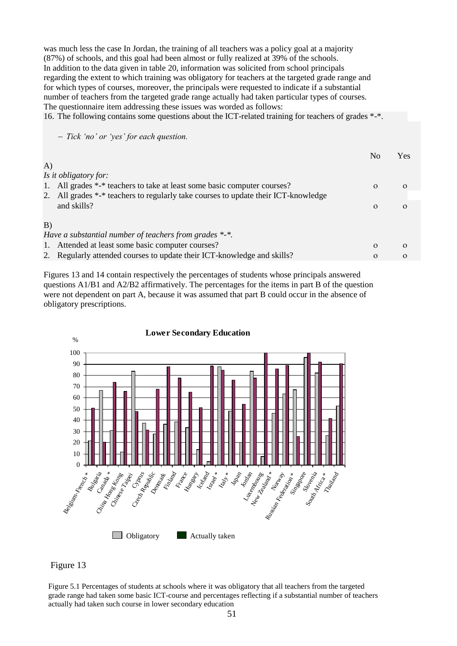was much less the case In Jordan, the training of all teachers was a policy goal at a majority (87%) of schools, and this goal had been almost or fully realized at 39% of the schools. In addition to the data given in table 20, information was solicited from school principals regarding the extent to which training was obligatory for teachers at the targeted grade range and for which types of courses, moreover, the principals were requested to indicate if a substantial number of teachers from the targeted grade range actually had taken particular types of courses. The questionnaire item addressing these issues was worded as follows: 16. The following contains some questions about the ICT-related training for teachers of grades \*-\*.

 *Tick 'no' or 'yes' for each question.*

|    |                                                                                    | No       | Yes      |
|----|------------------------------------------------------------------------------------|----------|----------|
| A) |                                                                                    |          |          |
|    | Is it obligatory for:                                                              |          |          |
|    | 1. All grades *-* teachers to take at least some basic computer courses?           | $\Omega$ | $\Omega$ |
|    | 2. All grades *-* teachers to regularly take courses to update their ICT-knowledge |          |          |
|    | and skills?                                                                        | $\Omega$ | $\Omega$ |
|    |                                                                                    |          |          |
| B) |                                                                                    |          |          |
|    | Have a substantial number of teachers from grades $*$ - $*$ .                      |          |          |
|    | 1. Attended at least some basic computer courses?                                  | $\Omega$ | $\Omega$ |
|    | 2. Regularly attended courses to update their ICT-knowledge and skills?            | $\Omega$ | $\Omega$ |

Figures 13 and 14 contain respectively the percentages of students whose principals answered questions A1/B1 and A2/B2 affirmatively. The percentages for the items in part B of the question were not dependent on part A, because it was assumed that part B could occur in the absence of obligatory prescriptions.





Figure 5.1 Percentages of students at schools where it was obligatory that all teachers from the targeted grade range had taken some basic ICT-course and percentages reflecting if a substantial number of teachers actually had taken such course in lower secondary education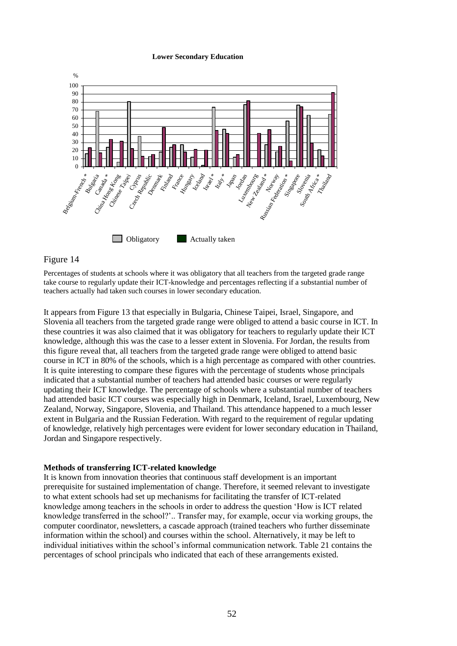#### **Lower Secondary Education**



### Figure 14

Percentages of students at schools where it was obligatory that all teachers from the targeted grade range take course to regularly update their ICT-knowledge and percentages reflecting if a substantial number of teachers actually had taken such courses in lower secondary education.

It appears from Figure 13 that especially in Bulgaria, Chinese Taipei, Israel, Singapore, and Slovenia all teachers from the targeted grade range were obliged to attend a basic course in ICT. In these countries it was also claimed that it was obligatory for teachers to regularly update their ICT knowledge, although this was the case to a lesser extent in Slovenia. For Jordan, the results from this figure reveal that, all teachers from the targeted grade range were obliged to attend basic course in ICT in 80% of the schools, which is a high percentage as compared with other countries. It is quite interesting to compare these figures with the percentage of students whose principals indicated that a substantial number of teachers had attended basic courses or were regularly updating their ICT knowledge. The percentage of schools where a substantial number of teachers had attended basic ICT courses was especially high in Denmark, Iceland, Israel, Luxembourg, New Zealand, Norway, Singapore, Slovenia, and Thailand. This attendance happened to a much lesser extent in Bulgaria and the Russian Federation. With regard to the requirement of regular updating of knowledge, relatively high percentages were evident for lower secondary education in Thailand, Jordan and Singapore respectively.

#### **Methods of transferring ICT-related knowledge**

It is known from innovation theories that continuous staff development is an important prerequisite for sustained implementation of change. Therefore, it seemed relevant to investigate to what extent schools had set up mechanisms for facilitating the transfer of ICT-related knowledge among teachers in the schools in order to address the question 'How is ICT related knowledge transferred in the school?'.. Transfer may, for example, occur via working groups, the computer coordinator, newsletters, a cascade approach (trained teachers who further disseminate information within the school) and courses within the school. Alternatively, it may be left to individual initiatives within the school's informal communication network. Table 21 contains the percentages of school principals who indicated that each of these arrangements existed.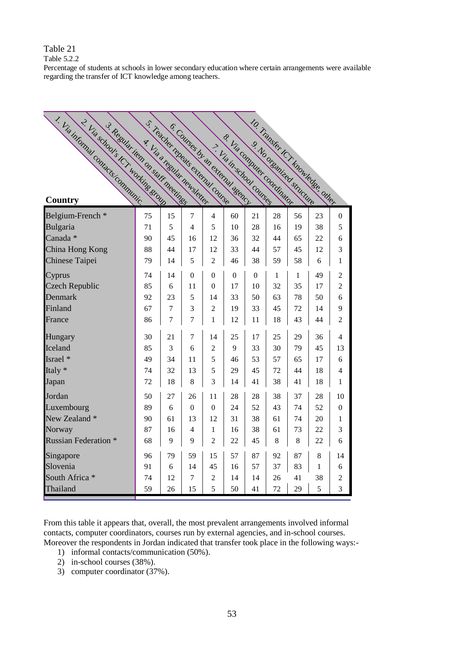Table 5.2.2

Percentage of students at schools in lower secondary education where certain arrangements were available regarding the transfer of ICT knowledge among teachers.

| T. Via informal contacts communic.<br>2. Via subduls ICT working enough<br>3. Regular tiem on start meetings |                             |                |                | S. Teacher reneats extends course.<br>6. Counties by an extending agency |              | & Via Commuter Condition |    |    | 10. Transfer ter knowledge, other |                |
|--------------------------------------------------------------------------------------------------------------|-----------------------------|----------------|----------------|--------------------------------------------------------------------------|--------------|--------------------------|----|----|-----------------------------------|----------------|
|                                                                                                              | A. Via a recular newsletter |                |                |                                                                          |              | > Lia in school counsel  |    |    |                                   |                |
| Belgium-French *                                                                                             | 75                          | 15             | 7              | $\overline{4}$                                                           | 60           | 21                       | 28 | 56 | 23                                | $\overline{0}$ |
| Bulgaria                                                                                                     | 71                          | 5              | 4              | 5                                                                        | 10           | 28                       | 16 | 19 | 38                                | 5              |
| Canada *                                                                                                     | 90                          | 45             | 16             | 12                                                                       | 36           | 32                       | 44 | 65 | 22                                | 6              |
| China Hong Kong                                                                                              | 88                          | 44             | 17             | 12                                                                       | 33           | 44                       | 57 | 45 | 12                                | 3              |
| Chinese Taipei                                                                                               | 79                          | 14             | 5              | $\overline{2}$                                                           | 46           | 38                       | 59 | 58 | 6                                 | 1              |
| Cyprus                                                                                                       | 74                          | 14             | 0              | $\theta$                                                                 | $\mathbf{0}$ | $\overline{0}$           | 1  | 1  | 49                                | 2              |
| <b>Czech Republic</b>                                                                                        | 85                          | 6              | 11             | $\theta$                                                                 | 17           | 10                       | 32 | 35 | 17                                | $\overline{c}$ |
| Denmark                                                                                                      | 92                          | 23             | 5              | 14                                                                       | 33           | 50                       | 63 | 78 | 50                                | 6              |
| Finland                                                                                                      | 67                          | 7              | 3              | $\overline{2}$                                                           | 19           | 33                       | 45 | 72 | 14                                | 9              |
| France                                                                                                       | 86                          | $\overline{7}$ | $\overline{7}$ | $\mathbf{1}$                                                             | 12           | 11                       | 18 | 43 | 44                                | 2              |
| Hungary                                                                                                      | 30                          | 21             | 7              | 14                                                                       | 25           | 17                       | 25 | 29 | 36                                | $\overline{4}$ |
| Iceland                                                                                                      | 85                          | 3              | 6              | $\overline{2}$                                                           | 9            | 33                       | 30 | 79 | 45                                | 13             |
| Israel *                                                                                                     | 49                          | 34             | 11             | 5                                                                        | 46           | 53                       | 57 | 65 | 17                                | 6              |
| Italy *                                                                                                      | 74                          | 32             | 13             | 5                                                                        | 29           | 45                       | 72 | 44 | 18                                | 4              |
| Japan                                                                                                        | 72                          | 18             | 8              | 3                                                                        | 14           | 41                       | 38 | 41 | 18                                | 1              |
| Jordan                                                                                                       | 50                          | 27             | 26             | 11                                                                       | 28           | 28                       | 38 | 37 | 28                                | 10             |
| Luxembourg                                                                                                   | 89                          | 6              | $\theta$       | $\theta$                                                                 | 24           | 52                       | 43 | 74 | 52                                | 0              |
| New Zealand *                                                                                                | 90                          | 61             | 13             | 12                                                                       | 31           | 38                       | 61 | 74 | 20                                | 1              |
| Norway                                                                                                       | 87                          | 16             | 4              | 1                                                                        | 16           | 38                       | 61 | 73 | 22                                | 3              |
| <b>Russian Federation *</b>                                                                                  | 68                          | 9              | 9              | $\overline{2}$                                                           | 22           | 45                       | 8  | 8  | 22                                | 6              |
| Singapore                                                                                                    | 96                          | 79             | 59             | 15                                                                       | 57           | 87                       | 92 | 87 | 8                                 | 14             |
| Slovenia                                                                                                     | 91                          | 6              | 14             | 45                                                                       | 16           | 57                       | 37 | 83 | 1                                 | 6              |
| South Africa *                                                                                               | 74                          | 12             | 7              | $\overline{2}$                                                           | 14           | 14                       | 26 | 41 | 38                                | $\overline{c}$ |
| Thailand                                                                                                     | 59                          | 26             | 15             | 5                                                                        | 50           | 41                       | 72 | 29 | 5                                 | 3              |

From this table it appears that, overall, the most prevalent arrangements involved informal contacts, computer coordinators, courses run by external agencies, and in-school courses. Moreover the respondents in Jordan indicated that transfer took place in the following ways:-

- 1) informal contacts/communication (50%).
- 2) in-school courses (38%).
- 3) computer coordinator (37%).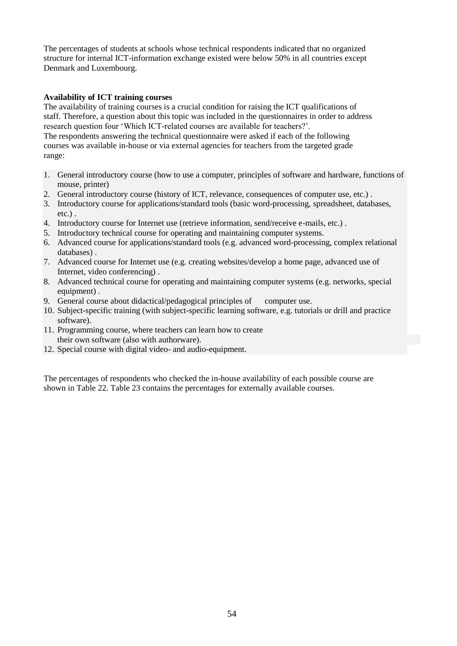The percentages of students at schools whose technical respondents indicated that no organized structure for internal ICT-information exchange existed were below 50% in all countries except Denmark and Luxembourg.

# **Availability of ICT training courses**

The availability of training courses is a crucial condition for raising the ICT qualifications of staff. Therefore, a question about this topic was included in the questionnaires in order to address research question four 'Which ICT-related courses are available for teachers?'.

The respondents answering the technical questionnaire were asked if each of the following courses was available in-house or via external agencies for teachers from the targeted grade range:

- 1. General introductory course (how to use a computer, principles of software and hardware, functions of mouse, printer)
- 2. General introductory course (history of ICT, relevance, consequences of computer use, etc.) .
- 3. Introductory course for applications/standard tools (basic word-processing, spreadsheet, databases, etc.) .
- 4. Introductory course for Internet use (retrieve information, send/receive e-mails, etc.) .
- 5. Introductory technical course for operating and maintaining computer systems.
- 6. Advanced course for applications/standard tools (e.g. advanced word-processing, complex relational databases) .
- 7. Advanced course for Internet use (e.g. creating websites/develop a home page, advanced use of Internet, video conferencing) .
- 8. Advanced technical course for operating and maintaining computer systems (e.g. networks, special equipment).
- 9. General course about didactical/pedagogical principles of computer use.
- 10. Subject-specific training (with subject-specific learning software, e.g. tutorials or drill and practice software).
- 11. Programming course, where teachers can learn how to create their own software (also with authorware).
- 12. Special course with digital video- and audio-equipment.

The percentages of respondents who checked the in-house availability of each possible course are shown in Table 22. Table 23 contains the percentages for externally available courses.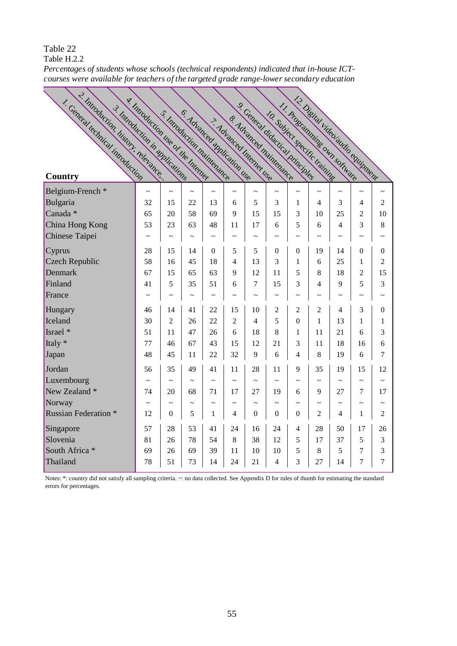Table H.2.2

~ *courses were available for teachers of the targeted grade range-lower secondary educationPercentages of students whose schools (technical respondents) indicated that in-house ICT-*

| 2. Introduction, history, relevance<br>1. Ceneral technical introduction<br>3. Introduction in applications | y. Introduction the or the Internet |                       |            | S. Introduction maintenance<br>5. Advanced application use |                       | 9. Ceneral didactical principles<br>8. Advanced maintenance<br>7. Advanced Internet use |                       |                       | 12. Disting Video audio chuinnent<br>11. Proclamming own software<br>10. Subject specific training |                       |                       |                       |
|-------------------------------------------------------------------------------------------------------------|-------------------------------------|-----------------------|------------|------------------------------------------------------------|-----------------------|-----------------------------------------------------------------------------------------|-----------------------|-----------------------|----------------------------------------------------------------------------------------------------|-----------------------|-----------------------|-----------------------|
| Country                                                                                                     |                                     |                       |            |                                                            |                       |                                                                                         |                       |                       |                                                                                                    |                       |                       |                       |
| Belgium-French *                                                                                            | $\sim$                              | $\tilde{}$            | $\tilde{}$ | $\sim$                                                     | $\sim$                | $\sim$                                                                                  | $\sim$                | $\tilde{\phantom{a}}$ | $\tilde{\phantom{a}}$                                                                              | $\tilde{\phantom{a}}$ | $\thicksim$           | $\tilde{}$            |
| Bulgaria                                                                                                    | 32                                  | 15                    | 22         | 13                                                         | 6                     | 5                                                                                       | 3                     | 1                     | $\overline{\mathcal{L}}$                                                                           | 3                     | 4                     | $\overline{2}$        |
| Canada *                                                                                                    | 65                                  | 20                    | 58         | 69                                                         | 9                     | 15                                                                                      | 15                    | 3                     | 10                                                                                                 | 25                    | $\overline{2}$        | 10                    |
| China Hong Kong                                                                                             | 53                                  | 23                    | 63         | 48                                                         | 11                    | 17                                                                                      | 6                     | 5                     | 6                                                                                                  | 4                     | 3                     | 8                     |
| Chinese Taipei                                                                                              | $\tilde{\phantom{a}}$               | $\sim$                | $\tilde{}$ | $\tilde{}$                                                 | $\tilde{\phantom{a}}$ | $\tilde{\phantom{a}}$                                                                   | $\tilde{\phantom{a}}$ | $\tilde{\phantom{a}}$ | $\tilde{}$                                                                                         | $\tilde{\phantom{a}}$ | $\tilde{\phantom{a}}$ | $\sim$                |
| Cyprus                                                                                                      | 28                                  | 15                    | 14         | $\overline{0}$                                             | 5                     | 5                                                                                       | $\theta$              | $\overline{0}$        | 19                                                                                                 | 14                    | $\theta$              | $\boldsymbol{0}$      |
| <b>Czech Republic</b>                                                                                       | 58                                  | 16                    | 45         | 18                                                         | 4                     | 13                                                                                      | 3                     | 1                     | 6                                                                                                  | 25                    | $\mathbf{1}$          | 2                     |
| Denmark                                                                                                     | 67                                  | 15                    | 65         | 63                                                         | 9                     | 12                                                                                      | 11                    | 5                     | 8                                                                                                  | 18                    | $\overline{2}$        | 15                    |
| Finland                                                                                                     | 41                                  | 5                     | 35         | 51                                                         | 6                     | 7                                                                                       | 15                    | 3                     | 4                                                                                                  | 9                     | 5                     | 3                     |
| France                                                                                                      |                                     | $\tilde{\phantom{a}}$ | $\tilde{}$ | $\tilde{}$                                                 |                       | $\tilde{\phantom{a}}$                                                                   |                       | $\tilde{\phantom{a}}$ |                                                                                                    | $\tilde{ }$           | $\tilde{\phantom{a}}$ | $\tilde{\phantom{a}}$ |
| Hungary                                                                                                     | 46                                  | 14                    | 41         | 22                                                         | 15                    | 10                                                                                      | 2                     | 2                     | 2                                                                                                  | 4                     | 3                     | $\boldsymbol{0}$      |
| Iceland                                                                                                     | 30                                  | $\overline{2}$        | 26         | 22                                                         | $\overline{c}$        | $\overline{4}$                                                                          | 5                     | $\theta$              | 1                                                                                                  | 13                    | 1                     | 1                     |
| Israel *                                                                                                    | 51                                  | 11                    | 47         | 26                                                         | 6                     | 18                                                                                      | 8                     | 1                     | 11                                                                                                 | 21                    | 6                     | 3                     |
| Italy *                                                                                                     | 77                                  | 46                    | 67         | 43                                                         | 15                    | 12                                                                                      | 21                    | 3                     | 11                                                                                                 | 18                    | 16                    | 6                     |
| Japan                                                                                                       | 48                                  | 45                    | 11         | 22                                                         | 32                    | 9                                                                                       | 6                     | $\overline{4}$        | 8                                                                                                  | 19                    | 6                     | 7                     |
| Jordan                                                                                                      | 56                                  | 35                    | 49         | 41                                                         | 11                    | 28                                                                                      | 11                    | 9                     | 35                                                                                                 | 19                    | 15                    | 12                    |
| Luxembourg                                                                                                  | $\tilde{\phantom{a}}$               | $\tilde{\phantom{a}}$ | $\sim$     | $\tilde{\phantom{a}}$                                      | $\sim$                | $\sim$                                                                                  |                       | $\tilde{}$            | $\sim$                                                                                             |                       | $\sim$                |                       |
| New Zealand *                                                                                               | 74                                  | 20                    | 68         | 71                                                         | 17                    | 27                                                                                      | 19                    | 6                     | 9                                                                                                  | 27                    | 7                     | 17                    |
| Norway                                                                                                      | $\tilde{\phantom{a}}$               | $\tilde{\phantom{a}}$ | $\sim$     | $\tilde{ }$                                                | $\tilde{\phantom{a}}$ |                                                                                         |                       |                       | $\tilde{\phantom{a}}$                                                                              | $\sim$                | $\tilde{\phantom{a}}$ |                       |
| <b>Russian Federation *</b>                                                                                 | 12                                  | $\overline{0}$        | 5          | 1                                                          | 4                     | $\boldsymbol{0}$                                                                        | $\overline{0}$        | $\overline{0}$        | $\overline{2}$                                                                                     | 4                     | $\mathbf{1}$          | 2                     |
| Singapore                                                                                                   | 57                                  | 28                    | 53         | 41                                                         | 24                    | 16                                                                                      | 24                    | 4                     | 28                                                                                                 | 50                    | 17                    | 26                    |
| Slovenia                                                                                                    | 81                                  | 26                    | 78         | 54                                                         | 8                     | 38                                                                                      | 12                    | 5                     | 17                                                                                                 | 37                    | 5                     | 3                     |
| South Africa *                                                                                              | 69                                  | 26                    | 69         | 39                                                         | 11                    | 10                                                                                      | 10                    | 5                     | 8                                                                                                  | 5                     | 7                     | 3                     |
| Thailand                                                                                                    | 78                                  | 51                    | 73         | 14                                                         | 24                    | 21                                                                                      | $\overline{4}$        | 3                     | 27                                                                                                 | 14                    | 7                     | $\overline{7}$        |

Notes: \*: country did not satisfy all sampling criteria. ~: no data collected. See Appendix D for rules of thumb for estimating the standard errors for percentages.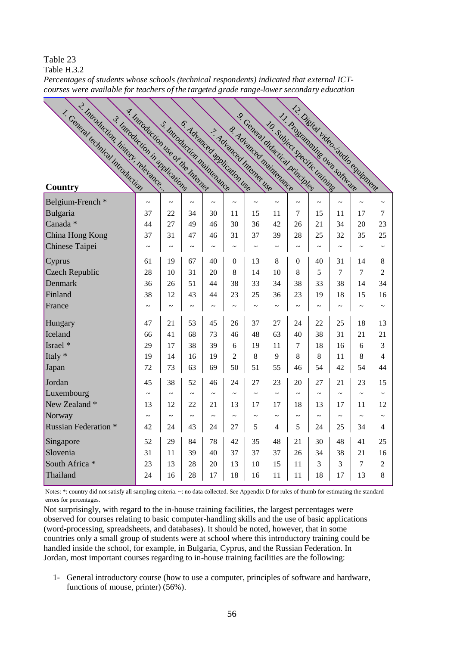Table 23

Table H.3.2

| Percentages of students whose schools (technical respondents) indicated that external ICT- |  |  |
|--------------------------------------------------------------------------------------------|--|--|
| courses were available for teachers of the targeted grade range-lower secondary education  |  |  |

| 2. Introduction, history, relevance<br>1. Ceneral technical introduction | y. Introduction the or the Internet |                       |                       |                                                            |                | 9. Ceneral didactical principles                    |                       |                       |                               | 12. Disital video saudio convinnent |                       |                       |
|--------------------------------------------------------------------------|-------------------------------------|-----------------------|-----------------------|------------------------------------------------------------|----------------|-----------------------------------------------------|-----------------------|-----------------------|-------------------------------|-------------------------------------|-----------------------|-----------------------|
| 3. Introduction in applications<br><b>Country</b>                        |                                     |                       |                       | S. Introduction maintenance<br>6. Advanced application the |                | 8. Advanced maintenance<br>> Advisited Internet use |                       |                       | 10. Subject specific training | 11. Programming own software        |                       |                       |
| Belgium-French <sup>*</sup>                                              | $\tilde{}$                          | $\tilde{\phantom{a}}$ | $\tilde{\phantom{a}}$ | $\tilde{\phantom{a}}$                                      | $\sim$         | $\tilde{}$                                          | $\sim$                | $\tilde{\phantom{a}}$ | $\sim$                        | $\tilde{}$                          | $\sim$                | $\tilde{}$            |
| Bulgaria                                                                 | 37                                  | 22                    | 34                    | 30                                                         | 11             | 15                                                  | 11                    | 7                     | 15                            | 11                                  | 17                    | 7                     |
| Canada <sup>*</sup>                                                      | 44                                  | 27                    | 49                    | 46                                                         | 30             | 36                                                  | 42                    | 26                    | 21                            | 34                                  | 20                    | 23                    |
| China Hong Kong                                                          | 37                                  | 31                    | 47                    | 46                                                         | 31             | 37                                                  | 39                    | 28                    | 25                            | 32                                  | 35                    | 25                    |
| Chinese Taipei                                                           | $\sim$                              | $\tilde{\phantom{a}}$ | $\tilde{\phantom{a}}$ | $\tilde{\phantom{a}}$                                      | $\tilde{}$     | $\tilde{\phantom{a}}$                               | $\sim$                | $\tilde{\phantom{a}}$ | $\tilde{\phantom{a}}$         | $\tilde{\phantom{a}}$               | $\tilde{\phantom{a}}$ | $\tilde{\phantom{a}}$ |
| Cyprus                                                                   | 61                                  | 19                    | 67                    | 40                                                         | $\overline{0}$ | 13                                                  | 8                     | $\theta$              | 40                            | 31                                  | 14                    | 8                     |
| Czech Republic                                                           | 28                                  | 10                    | 31                    | 20                                                         | 8              | 14                                                  | 10                    | 8                     | 5                             | $\tau$                              | 7                     | $\overline{c}$        |
| Denmark                                                                  | 36                                  | 26                    | 51                    | 44                                                         | 38             | 33                                                  | 34                    | 38                    | 33                            | 38                                  | 14                    | 34                    |
| Finland                                                                  | 38                                  | 12                    | 43                    | 44                                                         | 23             | 25                                                  | 36                    | 23                    | 19                            | 18                                  | 15                    | 16                    |
| France                                                                   | $\tilde{\phantom{a}}$               |                       | $\tilde{\phantom{a}}$ | $\tilde{}$                                                 |                | $\sim$                                              | $\tilde{\phantom{a}}$ |                       | $\sim$                        |                                     | $\tilde{\phantom{a}}$ | $\tilde{\phantom{a}}$ |
| Hungary                                                                  | 47                                  | 21                    | 53                    | 45                                                         | 26             | 37                                                  | 27                    | 24                    | 22                            | 25                                  | 18                    | 13                    |
| Iceland                                                                  | 66                                  | 41                    | 68                    | 73                                                         | 46             | 48                                                  | 63                    | 40                    | 38                            | 31                                  | 21                    | 21                    |
| Israel *                                                                 | 29                                  | 17                    | 38                    | 39                                                         | 6              | 19                                                  | 11                    | 7                     | 18                            | 16                                  | 6                     | 3                     |
| Italy *                                                                  | 19                                  | 14                    | 16                    | 19                                                         | $\overline{2}$ | 8                                                   | 9                     | 8                     | 8                             | 11                                  | 8                     | 4                     |
| Japan                                                                    | 72                                  | 73                    | 63                    | 69                                                         | 50             | 51                                                  | 55                    | 46                    | 54                            | 42                                  | 54                    | 44                    |
| Jordan                                                                   | 45                                  | 38                    | 52                    | 46                                                         | 24             | 27                                                  | 23                    | 20                    | 27                            | 21                                  | 23                    | 15                    |
| Luxembourg                                                               |                                     |                       |                       |                                                            | $\sim$         |                                                     |                       |                       |                               |                                     |                       |                       |
| New Zealand *                                                            | 13                                  | 12                    | 22                    | 21                                                         | 13             | 17                                                  | 17                    | 18                    | 13                            | 17                                  | 11                    | 12                    |
| Norway                                                                   | $\thicksim$                         | $\tilde{\phantom{a}}$ | $\tilde{\phantom{a}}$ | $\tilde{}$                                                 | $\sim$         | $\tilde{\phantom{a}}$                               | $\tilde{\phantom{a}}$ | $\tilde{}$            | $\sim$                        | $\sim$                              | $\tilde{\phantom{a}}$ | $\tilde{}$            |
| <b>Russian Federation</b> *                                              | 42                                  | 24                    | 43                    | 24                                                         | 27             | 5                                                   | 4                     | 5                     | 24                            | 25                                  | 34                    | 4                     |
| Singapore                                                                | 52                                  | 29                    | 84                    | 78                                                         | 42             | 35                                                  | 48                    | 21                    | 30                            | 48                                  | 41                    | 25                    |
| Slovenia                                                                 | 31                                  | 11                    | 39                    | 40                                                         | 37             | 37                                                  | 37                    | 26                    | 34                            | 38                                  | 21                    | 16                    |
| South Africa <sup>*</sup>                                                | 23                                  | 13                    | 28                    | 20                                                         | 13             | 10                                                  | 15                    | 11                    | 3                             | 3                                   | 7                     | $\overline{2}$        |
| Thailand                                                                 | 24                                  | 16                    | 28                    | 17                                                         | 18             | 16                                                  | 11                    | 11                    | 18                            | 17                                  | 13                    | 8                     |

Notes: \*: country did not satisfy all sampling criteria. ~: no data collected. See Appendix D for rules of thumb for estimating the standard errors for percentages.

Not surprisingly, with regard to the in-house training facilities, the largest percentages were observed for courses relating to basic computer-handling skills and the use of basic applications (word-processing, spreadsheets, and databases). It should be noted, however, that in some countries only a small group of students were at school where this introductory training could be handled inside the school, for example, in Bulgaria, Cyprus, and the Russian Federation. In Jordan, most important courses regarding to in-house training facilities are the following:

1- General introductory course (how to use a computer, principles of software and hardware, functions of mouse, printer) (56%).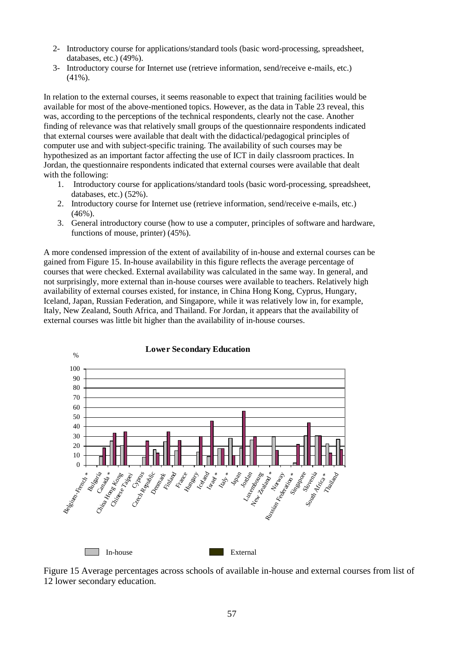- 2- Introductory course for applications/standard tools (basic word-processing, spreadsheet, databases, etc.) (49%).
- 3- Introductory course for Internet use (retrieve information, send/receive e-mails, etc.)  $(41\%)$ .

In relation to the external courses, it seems reasonable to expect that training facilities would be available for most of the above-mentioned topics. However, as the data in Table 23 reveal, this was, according to the perceptions of the technical respondents, clearly not the case. Another finding of relevance was that relatively small groups of the questionnaire respondents indicated that external courses were available that dealt with the didactical/pedagogical principles of computer use and with subject-specific training. The availability of such courses may be hypothesized as an important factor affecting the use of ICT in daily classroom practices. In Jordan, the questionnaire respondents indicated that external courses were available that dealt with the following:

- 1. Introductory course for applications/standard tools (basic word-processing, spreadsheet, databases, etc.) (52%).
- 2. Introductory course for Internet use (retrieve information, send/receive e-mails, etc.)  $(46\%)$ .
- 3. General introductory course (how to use a computer, principles of software and hardware, functions of mouse, printer) (45%).

A more condensed impression of the extent of availability of in-house and external courses can be gained from Figure 15. In-house availability in this figure reflects the average percentage of courses that were checked. External availability was calculated in the same way. In general, and not surprisingly, more external than in-house courses were available to teachers. Relatively high availability of external courses existed, for instance, in China Hong Kong, Cyprus, Hungary, Iceland, Japan, Russian Federation, and Singapore, while it was relatively low in, for example, Italy, New Zealand, South Africa, and Thailand. For Jordan, it appears that the availability of external courses was little bit higher than the availability of in-house courses.



Figure 15 Average percentages across schools of available in-house and external courses from list of 12 lower secondary education.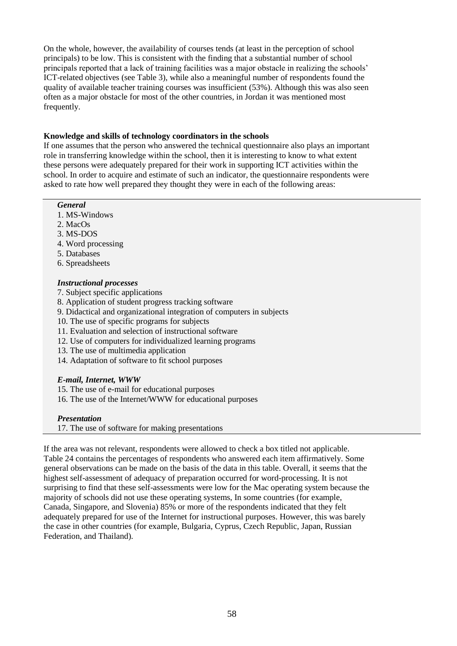On the whole, however, the availability of courses tends (at least in the perception of school principals) to be low. This is consistent with the finding that a substantial number of school principals reported that a lack of training facilities was a major obstacle in realizing the schools' ICT-related objectives (see Table 3), while also a meaningful number of respondents found the quality of available teacher training courses was insufficient (53%). Although this was also seen often as a major obstacle for most of the other countries, in Jordan it was mentioned most frequently.

# **Knowledge and skills of technology coordinators in the schools**

If one assumes that the person who answered the technical questionnaire also plays an important role in transferring knowledge within the school, then it is interesting to know to what extent these persons were adequately prepared for their work in supporting ICT activities within the school. In order to acquire and estimate of such an indicator, the questionnaire respondents were asked to rate how well prepared they thought they were in each of the following areas:

#### *General*

- 1. MS-Windows
- 2. MacOs
- 3. MS-DOS
- 4. Word processing
- 5. Databases
- 6. Spreadsheets

# *Instructional processes*

- 7. Subject specific applications
- 8. Application of student progress tracking software
- 9. Didactical and organizational integration of computers in subjects
- 10. The use of specific programs for subjects
- 11. Evaluation and selection of instructional software
- 12. Use of computers for individualized learning programs
- 13. The use of multimedia application
- 14. Adaptation of software to fit school purposes

### *E-mail, Internet, WWW*

15. The use of e-mail for educational purposes

16. The use of the Internet/WWW for educational purposes

### *Presentation*

17. The use of software for making presentations

If the area was not relevant, respondents were allowed to check a box titled not applicable. Table 24 contains the percentages of respondents who answered each item affirmatively. Some general observations can be made on the basis of the data in this table. Overall, it seems that the highest self-assessment of adequacy of preparation occurred for word-processing. It is not surprising to find that these self-assessments were low for the Mac operating system because the majority of schools did not use these operating systems, In some countries (for example, Canada, Singapore, and Slovenia) 85% or more of the respondents indicated that they felt adequately prepared for use of the Internet for instructional purposes. However, this was barely the case in other countries (for example, Bulgaria, Cyprus, Czech Republic, Japan, Russian Federation, and Thailand).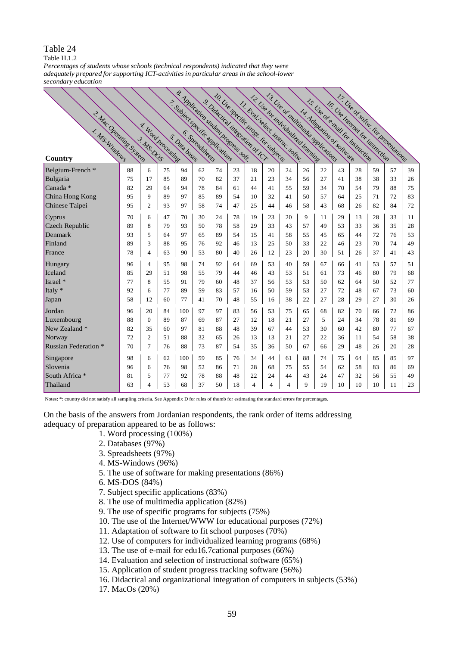Table H.1.2

*Percentages of students whose schools (technical respondents) indicated that they were adequately prepared for supporting ICT-activities in particular areas in the school-lower secondary education*

|                             |    |                                 |    | s. Application student program<br>7. Subject specific mplications |    | s Didatical integration of Cr. |    |    | 10. Use specific progr. for subjects<br>13 Use of multipadia modications<br>12. Use for individual learning |    |                           |    |    | Is Use of email for instruction |    | 17. Use or spring. For Dressed Unions |    |
|-----------------------------|----|---------------------------------|----|-------------------------------------------------------------------|----|--------------------------------|----|----|-------------------------------------------------------------------------------------------------------------|----|---------------------------|----|----|---------------------------------|----|---------------------------------------|----|
| 2. Mac Operating System     |    |                                 |    |                                                                   |    |                                |    |    | 11 Eval select instruct soliar.                                                                             |    | I. Adaptation of software |    |    | In Use Internet for instruction |    |                                       |    |
|                             |    |                                 |    |                                                                   |    |                                |    |    |                                                                                                             |    |                           |    |    |                                 |    |                                       |    |
|                             |    |                                 |    |                                                                   |    |                                |    |    |                                                                                                             |    |                           |    |    |                                 |    |                                       |    |
|                             |    |                                 |    |                                                                   |    |                                |    |    |                                                                                                             |    |                           |    |    |                                 |    |                                       |    |
| Country                     |    | A. Word Processing<br>3. MS.DOS |    |                                                                   |    |                                |    |    |                                                                                                             |    |                           |    |    |                                 |    |                                       |    |
| Belgium-French *            | 88 | 6                               | 75 | 94                                                                | 62 | 74                             | 23 | 18 | 20                                                                                                          | 24 | 26                        | 22 | 43 | 28                              | 59 | 57                                    | 39 |
| Bulgaria                    | 75 | 17                              | 85 | 89                                                                | 70 | 82                             | 37 | 21 | 23                                                                                                          | 34 | 56                        | 27 | 41 | 38                              | 38 | 33                                    | 26 |
| $Canada*$                   | 82 | 29                              | 64 | 94                                                                | 78 | 84                             | 61 | 44 | 41                                                                                                          | 55 | 59                        | 34 | 70 | 54                              | 79 | 88                                    | 75 |
| China Hong Kong             | 95 | 9                               | 89 | 97                                                                | 85 | 89                             | 54 | 10 | 32                                                                                                          | 41 | 50                        | 57 | 64 | 25                              | 71 | 72                                    | 83 |
| Chinese Taipei              | 95 | 2                               | 93 | 97                                                                | 58 | 74                             | 47 | 25 | 44                                                                                                          | 46 | 58                        | 43 | 68 | 26                              | 82 | 84                                    | 72 |
| Cyprus                      | 70 | 6                               | 47 | 70                                                                | 30 | 24                             | 78 | 19 | 23                                                                                                          | 20 | 9                         | 11 | 29 | 13                              | 28 | 33                                    | 11 |
| Czech Republic              | 89 | 8                               | 79 | 93                                                                | 50 | 78                             | 58 | 29 | 33                                                                                                          | 43 | 57                        | 49 | 53 | 33                              | 36 | 35                                    | 28 |
| Denmark                     | 93 | 5                               | 64 | 97                                                                | 65 | 89                             | 54 | 15 | 41                                                                                                          | 58 | 55                        | 45 | 65 | 44                              | 72 | 76                                    | 53 |
| Finland                     | 89 | 3                               | 88 | 95                                                                | 76 | 92                             | 46 | 13 | 25                                                                                                          | 50 | 33                        | 22 | 46 | 23                              | 70 | 74                                    | 49 |
| France                      | 78 | 4                               | 63 | 90                                                                | 53 | 80                             | 40 | 26 | 12                                                                                                          | 23 | 20                        | 30 | 51 | 26                              | 37 | 41                                    | 43 |
| Hungary                     | 96 | 4                               | 95 | 98                                                                | 74 | 92                             | 64 | 69 | 53                                                                                                          | 40 | 59                        | 67 | 66 | 41                              | 53 | 57                                    | 51 |
| Iceland                     | 85 | 29                              | 51 | 98                                                                | 55 | 79                             | 44 | 46 | 43                                                                                                          | 53 | 51                        | 61 | 73 | 46                              | 80 | 79                                    | 68 |
| Israel *                    | 77 | 8                               | 55 | 91                                                                | 79 | 60                             | 48 | 37 | 56                                                                                                          | 53 | 53                        | 50 | 62 | 64                              | 50 | 52                                    | 77 |
| Italy *                     | 92 | 6                               | 77 | 89                                                                | 59 | 83                             | 57 | 16 | 50                                                                                                          | 59 | 53                        | 27 | 72 | 48                              | 67 | 73                                    | 60 |
| Japan                       | 58 | 12                              | 60 | 77                                                                | 41 | 70                             | 48 | 55 | 16                                                                                                          | 38 | 22                        | 27 | 28 | 29                              | 27 | 30                                    | 26 |
| Jordan                      | 96 | 20                              | 84 | 100                                                               | 97 | 97                             | 83 | 56 | 53                                                                                                          | 75 | 65                        | 68 | 82 | 70                              | 66 | 72                                    | 86 |
| Luxembourg                  | 88 | $\Omega$                        | 89 | 87                                                                | 69 | 87                             | 27 | 12 | 18                                                                                                          | 21 | 27                        | 5  | 24 | 34                              | 78 | 81                                    | 69 |
| New Zealand *               | 82 | 35                              | 60 | 97                                                                | 81 | 88                             | 48 | 39 | 67                                                                                                          | 44 | 53                        | 30 | 60 | 42                              | 80 | 77                                    | 67 |
| Norway                      | 72 | $\overline{2}$                  | 51 | 88                                                                | 32 | 65                             | 26 | 13 | 13                                                                                                          | 21 | 27                        | 22 | 36 | 11                              | 54 | 58                                    | 38 |
| <b>Russian Federation</b> * | 70 | 7                               | 76 | 88                                                                | 73 | 87                             | 54 | 35 | 36                                                                                                          | 50 | 67                        | 66 | 29 | 48                              | 26 | 20                                    | 28 |
| Singapore                   | 98 | 6                               | 62 | 100                                                               | 59 | 85                             | 76 | 34 | 44                                                                                                          | 61 | 88                        | 74 | 75 | 64                              | 85 | 85                                    | 97 |
| Slovenia                    | 96 | 6                               | 76 | 98                                                                | 52 | 86                             | 71 | 28 | 68                                                                                                          | 75 | 55                        | 54 | 62 | 58                              | 83 | 86                                    | 69 |
| South Africa <sup>*</sup>   | 81 | 5                               | 77 | 92                                                                | 78 | 88                             | 48 | 22 | 24                                                                                                          | 44 | 43                        | 24 | 47 | 32                              | 56 | 55                                    | 49 |
| Thailand                    | 63 | 4                               | 53 | 68                                                                | 37 | 50                             | 18 | 4  | $\overline{4}$                                                                                              | 4  | 9                         | 19 | 10 | 10                              | 10 | 11                                    | 23 |

Notes: \*: country did not satisfy all sampling criteria. See Appendix D for rules of thumb for estimating the standard errors for percentages.

On the basis of the answers from Jordanian respondents, the rank order of items addressing adequacy of preparation appeared to be as follows:

- 1. Word processing (100%)
- 2. Databases (97%)
- 3. Spreadsheets (97%)
- 4. MS-Windows (96%)
- 5. The use of software for making presentations (86%)
- 6. MS-DOS (84%)
- 7. Subject specific applications (83%)
- 8. The use of multimedia application (82%)
- 9. The use of specific programs for subjects (75%)
- 10. The use of the Internet/WWW for educational purposes (72%)
- 11. Adaptation of software to fit school purposes (70%)
- 12. Use of computers for individualized learning programs (68%)
- 13. The use of e-mail for edu16.7cational purposes (66%)
- 14. Evaluation and selection of instructional software (65%)
- 15. Application of student progress tracking software (56%)
- 16. Didactical and organizational integration of computers in subjects (53%)
- 17. MacOs (20%)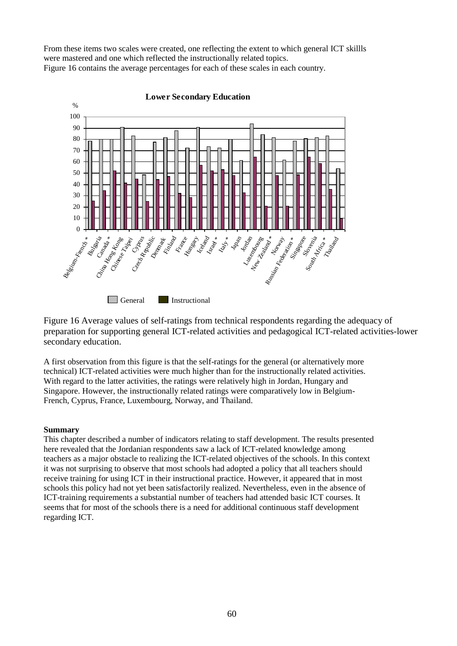From these items two scales were created, one reflecting the extent to which general ICT skillls were mastered and one which reflected the instructionally related topics. Figure 16 contains the average percentages for each of these scales in each country.



Figure 16 Average values of self-ratings from technical respondents regarding the adequacy of preparation for supporting general ICT-related activities and pedagogical ICT-related activities-lower secondary education.

A first observation from this figure is that the self-ratings for the general (or alternatively more technical) ICT-related activities were much higher than for the instructionally related activities. With regard to the latter activities, the ratings were relatively high in Jordan, Hungary and Singapore. However, the instructionally related ratings were comparatively low in Belgium-French, Cyprus, France, Luxembourg, Norway, and Thailand.

# **Summary**

This chapter described a number of indicators relating to staff development. The results presented here revealed that the Jordanian respondents saw a lack of ICT-related knowledge among teachers as a major obstacle to realizing the ICT-related objectives of the schools. In this context it was not surprising to observe that most schools had adopted a policy that all teachers should receive training for using ICT in their instructional practice. However, it appeared that in most schools this policy had not yet been satisfactorily realized. Nevertheless, even in the absence of ICT-training requirements a substantial number of teachers had attended basic ICT courses. It seems that for most of the schools there is a need for additional continuous staff development regarding ICT.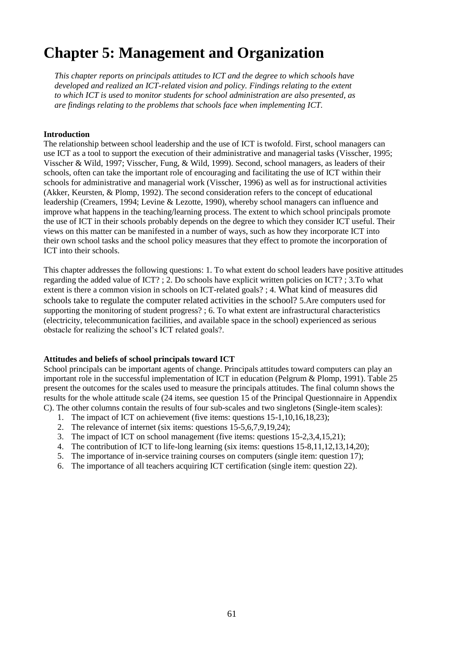# **Chapter 5: Management and Organization**

*This chapter reports on principals attitudes to ICT and the degree to which schools have developed and realized an ICT-related vision and policy. Findings relating to the extent to which ICT is used to monitor students for school administration are also presented, as are findings relating to the problems that schools face when implementing ICT.*

### **Introduction**

The relationship between school leadership and the use of ICT is twofold. First, school managers can use ICT as a tool to support the execution of their administrative and managerial tasks (Visscher, 1995; Visscher & Wild, 1997; Visscher, Fung, & Wild, 1999). Second, school managers, as leaders of their schools, often can take the important role of encouraging and facilitating the use of ICT within their schools for administrative and managerial work (Visscher, 1996) as well as for instructional activities (Akker, Keursten, & Plomp, 1992). The second consideration refers to the concept of educational leadership (Creamers, 1994; Levine & Lezotte, 1990), whereby school managers can influence and improve what happens in the teaching/learning process. The extent to which school principals promote the use of ICT in their schools probably depends on the degree to which they consider ICT useful. Their views on this matter can be manifested in a number of ways, such as how they incorporate ICT into their own school tasks and the school policy measures that they effect to promote the incorporation of ICT into their schools.

This chapter addresses the following questions: 1. To what extent do school leaders have positive attitudes regarding the added value of ICT? ; 2. Do schools have explicit written policies on ICT? ; 3.To what extent is there a common vision in schools on ICT-related goals? ; 4. What kind of measures did schools take to regulate the computer related activities in the school? 5.Are computers used for supporting the monitoring of student progress? ; 6. To what extent are infrastructural characteristics (electricity, telecommunication facilities, and available space in the school) experienced as serious obstacle for realizing the school's ICT related goals?.

#### **Attitudes and beliefs of school principals toward ICT**

School principals can be important agents of change. Principals attitudes toward computers can play an important role in the successful implementation of ICT in education (Pelgrum & Plomp, 1991). Table 25 present the outcomes for the scales used to measure the principals attitudes. The final column shows the results for the whole attitude scale (24 items, see question 15 of the Principal Questionnaire in Appendix C). The other columns contain the results of four sub-scales and two singletons (Single-item scales):

- 1. The impact of ICT on achievement (five items: questions 15-1,10,16,18,23);
- 2. The relevance of internet (six items: questions 15-5,6,7,9,19,24);
- 3. The impact of ICT on school management (five items: questions 15-2,3,4,15,21);
- 4. The contribution of ICT to life-long learning (six items: questions 15-8,11,12,13,14,20);
- 5. The importance of in-service training courses on computers (single item: question 17);
- 6. The importance of all teachers acquiring ICT certification (single item: question 22).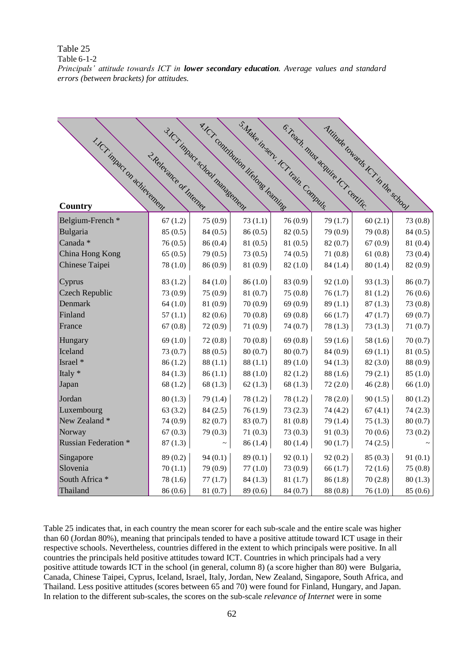Table 6-1-2

*Principals' attitude towards ICT in lower secondary education. Average values and standard errors (between brackets) for attitudes.*

|                             |                         | 3.ICT impact school management | A.ICr contribution lifetons learning | S.Make in serv. ICT train. Compute. | C.Teach, must acquire tCT certific. | Attitude towards ICT in the school |          |
|-----------------------------|-------------------------|--------------------------------|--------------------------------------|-------------------------------------|-------------------------------------|------------------------------------|----------|
| 1.ICT impact on achievement |                         |                                |                                      |                                     |                                     |                                    |          |
|                             | 2 Relevance of Internet |                                |                                      |                                     |                                     |                                    |          |
|                             |                         |                                |                                      |                                     |                                     |                                    |          |
|                             |                         |                                |                                      |                                     |                                     |                                    |          |
|                             |                         |                                |                                      |                                     |                                     |                                    |          |
| Country                     |                         |                                |                                      |                                     |                                     |                                    |          |
| Belgium-French <sup>*</sup> | 67(1.2)                 | 75 (0.9)                       | 73(1.1)                              | 76 (0.9)                            | 79 (1.7)                            | 60(2.1)                            | 73 (0.8) |
| Bulgaria                    | 85 (0.5)                | 84(0.5)                        | 86(0.5)                              | 82(0.5)                             | 79 (0.9)                            | 79 (0.8)                           | 84(0.5)  |
| Canada *                    | 76(0.5)                 | 86 (0.4)                       | 81(0.5)                              | 81 (0.5)                            | 82(0.7)                             | 67(0.9)                            | 81 (0.4) |
| China Hong Kong             | 65(0.5)                 | 79 (0.5)                       | 73 (0.5)                             | 74(0.5)                             | 71(0.8)                             | 61(0.8)                            | 73 (0.4) |
| Chinese Taipei              | 78 (1.0)                | 86 (0.9)                       | 81 (0.9)                             | 82(1.0)                             | 84 (1.4)                            | 80(1.4)                            | 82 (0.9) |
| Cyprus                      | 83(1.2)                 | 84(1.0)                        | 86(1.0)                              | 83 (0.9)                            | 92(1.0)                             | 93(1.3)                            | 86 (0.7) |
| Czech Republic              | 73 (0.9)                | 75(0.9)                        | 81 (0.7)                             | 75(0.8)                             | 76(1.7)                             | 81(1.2)                            | 76(0.6)  |
| Denmark                     | 64(1.0)                 | 81 (0.9)                       | 70(0.9)                              | 69(0.9)                             | 89(1.1)                             | 87(1.3)                            | 73(0.8)  |
| Finland                     | 57(1.1)                 | 82(0.6)                        | 70(0.8)                              | 69(0.8)                             | 66(1.7)                             | 47(1.7)                            | 69(0.7)  |
| France                      | 67(0.8)                 | 72(0.9)                        | 71(0.9)                              | 74(0.7)                             | 78(1.3)                             | 73(1.3)                            | 71(0.7)  |
| Hungary                     | 69(1.0)                 | 72(0.8)                        | 70(0.8)                              | 69(0.8)                             | 59 $(1.6)$                          | 58(1.6)                            | 70(0.7)  |
| Iceland                     | 73 (0.7)                | 88 (0.5)                       | 80(0.7)                              | 80(0.7)                             | 84 (0.9)                            | 69(1.1)                            | 81(0.5)  |
| Israel *                    | 86(1.2)                 | 88(1.1)                        | 88(1.1)                              | 89 (1.0)                            | 94(1.3)                             | 82(3.0)                            | 88 (0.9) |
| Italy *                     | 84(1.3)                 | 86(1.1)                        | 88(1.0)                              | 82(1.2)                             | 88(1.6)                             | 79(2.1)                            | 85(1.0)  |
| Japan                       | 68(1.2)                 | 68(1.3)                        | 62(1.3)                              | 68(1.3)                             | 72(2.0)                             | 46(2.8)                            | 66(1.0)  |
| Jordan                      | 80(1.3)                 | 79 (1.4)                       | 78(1.2)                              | 78(1.2)                             | 78 (2.0)                            | 90(1.5)                            | 80(1.2)  |
| Luxembourg                  | 63(3.2)                 | 84(2.5)                        | 76(1.9)                              | 73(2.3)                             | 74 (4.2)                            | 67(4.1)                            | 74(2.3)  |
| New Zealand *               | 74 (0.9)                | 82(0.7)                        | 83 (0.7)                             | 81(0.8)                             | 79 (1.4)                            | 75(1.3)                            | 80(0.7)  |
| Norway                      | 67(0.3)                 | 79 (0.3)                       | 71(0.3)                              | 73(0.3)                             | 91(0.3)                             | 70(0.6)                            | 73(0.2)  |
| <b>Russian Federation *</b> | 87(1.3)                 |                                | 86(1.4)                              | 80(1.4)                             | 90(1.7)                             | 74(2.5)                            |          |
| Singapore                   | 89 (0.2)                | 94(0.1)                        | 89(0.1)                              | 92(0.1)                             | 92(0.2)                             | 85(0.3)                            | 91(0.1)  |
| Slovenia                    | 70(1.1)                 | 79 (0.9)                       | 77(1.0)                              | 73 (0.9)                            | 66(1.7)                             | 72(1.6)                            | 75(0.8)  |
| South Africa *              | 78 (1.6)                | 77(1.7)                        | 84(1.3)                              | 81(1.7)                             | 86(1.8)                             | 70(2.8)                            | 80(1.3)  |
| Thailand                    | 86(0.6)                 | 81 (0.7)                       | 89 (0.6)                             | 84 (0.7)                            | 88 (0.8)                            | 76(1.0)                            | 85(0.6)  |

Table 25 indicates that, in each country the mean scorer for each sub-scale and the entire scale was higher than 60 (Jordan 80%), meaning that principals tended to have a positive attitude toward ICT usage in their respective schools. Nevertheless, countries differed in the extent to which principals were positive. In all countries the principals held positive attitudes toward ICT. Countries in which principals had a very positive attitude towards ICT in the school (in general, column 8) (a score higher than 80) were Bulgaria, Canada, Chinese Taipei, Cyprus, Iceland, Israel, Italy, Jordan, New Zealand, Singapore, South Africa, and Thailand. Less positive attitudes (scores between 65 and 70) were found for Finland, Hungary, and Japan. In relation to the different sub-scales, the scores on the sub-scale *relevance of Internet* were in some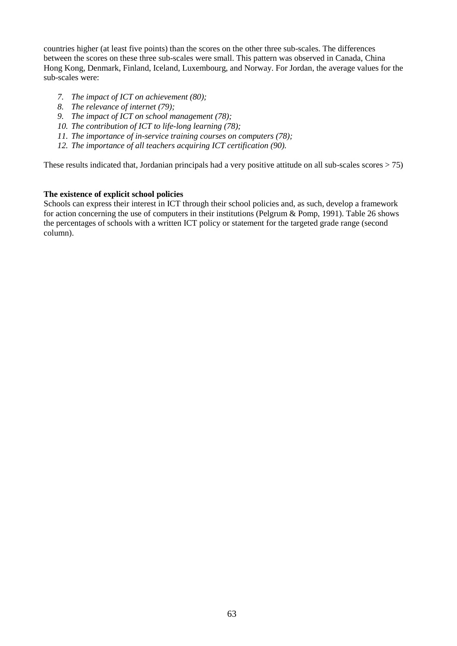countries higher (at least five points) than the scores on the other three sub-scales. The differences between the scores on these three sub-scales were small. This pattern was observed in Canada, China Hong Kong, Denmark, Finland, Iceland, Luxembourg, and Norway. For Jordan, the average values for the sub-scales were:

- *7. The impact of ICT on achievement (80);*
- *8. The relevance of internet (79);*
- *9. The impact of ICT on school management (78);*
- *10. The contribution of ICT to life-long learning (78);*
- *11. The importance of in-service training courses on computers (78);*
- *12. The importance of all teachers acquiring ICT certification (90).*

These results indicated that, Jordanian principals had a very positive attitude on all sub-scales scores > 75)

#### **The existence of explicit school policies**

Schools can express their interest in ICT through their school policies and, as such, develop a framework for action concerning the use of computers in their institutions (Pelgrum & Pomp, 1991). Table 26 shows the percentages of schools with a written ICT policy or statement for the targeted grade range (second column).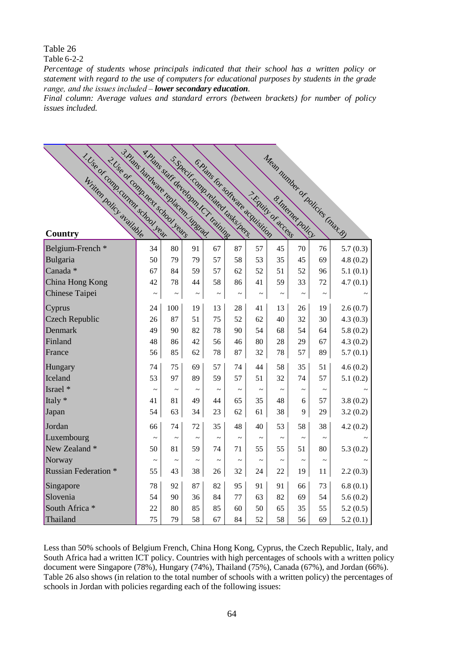#### Table 6-2-2

*Percentage of students whose principals indicated that their school has a written policy or statement with regard to the use of computers for educational purposes by students in the grade range, and the issues included – lower secondary education.*

*Final column: Average values and standard errors (between brackets) for number of policy issues included.*

| 1. Use or comp.current chool. Leaf<br>2. Use or comp. next school Learn | 3. Hians hardware replacem. Uneriad.<br>A. Hans stati developm tch training |                       |                       |                       | S.Specificamp.telated Lasks best | 6. Plans for software acquisition |                       |             |                       | Mean number of policies (mat. 8) |
|-------------------------------------------------------------------------|-----------------------------------------------------------------------------|-----------------------|-----------------------|-----------------------|----------------------------------|-----------------------------------|-----------------------|-------------|-----------------------|----------------------------------|
|                                                                         |                                                                             |                       |                       |                       |                                  |                                   |                       |             |                       |                                  |
|                                                                         |                                                                             |                       |                       |                       |                                  |                                   |                       |             |                       |                                  |
|                                                                         |                                                                             |                       |                       |                       |                                  |                                   |                       |             |                       |                                  |
|                                                                         |                                                                             |                       |                       |                       |                                  | T. Kawin or access                |                       |             |                       |                                  |
| Country                                                                 |                                                                             |                       |                       |                       |                                  |                                   |                       |             |                       |                                  |
| Belgium-French *                                                        | 34                                                                          | 80                    | 91                    | 67                    | 87                               | 57                                | 45                    | 70          | 76                    | 5.7(0.3)                         |
| Bulgaria                                                                | 50                                                                          | 79                    | 79                    | 57                    | 58                               | 53                                | 35                    | 45          | 69                    | 4.8(0.2)                         |
| Canada <sup>*</sup>                                                     | 67                                                                          | 84                    | 59                    | 57                    | 62                               | 52                                | 51                    | 52          | 96                    | 5.1(0.1)                         |
| China Hong Kong                                                         | 42                                                                          | 78                    | 44                    | 58                    | 86                               | 41                                | 59                    | 33          | 72                    | 4.7(0.1)                         |
| Chinese Taipei                                                          | $\tilde{\phantom{a}}$                                                       | $\thicksim$           | $\thicksim$           | $\thicksim$           | $\thicksim$                      | $\thicksim$                       | $\tilde{\phantom{a}}$ | $\thicksim$ | $\thicksim$           |                                  |
| Cyprus                                                                  | 24                                                                          | 100                   | 19                    | 13                    | 28                               | 41                                | 13                    | 26          | 19                    | 2.6(0.7)                         |
| <b>Czech Republic</b>                                                   | 26                                                                          | 87                    | 51                    | 75                    | 52                               | 62                                | 40                    | 32          | 30                    | 4.3(0.3)                         |
| Denmark                                                                 | 49                                                                          | 90                    | 82                    | 78                    | 90                               | 54                                | 68                    | 54          | 64                    | 5.8(0.2)                         |
| Finland                                                                 | 48                                                                          | 86                    | 42                    | 56                    | 46                               | 80                                | 28                    | 29          | 67                    | 4.3(0.2)                         |
| France                                                                  | 56                                                                          | 85                    | 62                    | 78                    | 87                               | 32                                | 78                    | 57          | 89                    | 5.7(0.1)                         |
| Hungary                                                                 | 74                                                                          | 75                    | 69                    | 57                    | 74                               | 44                                | 58                    | 35          | 51                    | 4.6(0.2)                         |
| Iceland                                                                 | 53                                                                          | 97                    | 89                    | 59                    | 57                               | 51                                | 32                    | 74          | 57                    | 5.1(0.2)                         |
| Israel *                                                                | $\tilde{\phantom{a}}$                                                       | $\sim$                | $\tilde{\phantom{a}}$ | $\tilde{\phantom{a}}$ |                                  |                                   | $\tilde{\phantom{a}}$ | $\thicksim$ | $\tilde{\phantom{a}}$ |                                  |
| Italy *                                                                 | 41                                                                          | 81                    | 49                    | 44                    | 65                               | 35                                | 48                    | 6           | 57                    | 3.8(0.2)                         |
| Japan                                                                   | 54                                                                          | 63                    | 34                    | 23                    | 62                               | 61                                | 38                    | 9           | 29                    | 3.2(0.2)                         |
| Jordan                                                                  | 66                                                                          | 74                    | 72                    | 35                    | 48                               | 40                                | 53                    | 58          | 38                    | 4.2(0.2)                         |
| Luxembourg                                                              |                                                                             | $\tilde{\phantom{a}}$ |                       |                       |                                  |                                   | $\tilde{\phantom{0}}$ | $\thicksim$ | $\tilde{\phantom{a}}$ |                                  |
| New Zealand *                                                           | 50                                                                          | 81                    | 59                    | 74                    | 71                               | 55                                | 55                    | 51          | 80                    | 5.3(0.2)                         |
| Norway                                                                  | $\tilde{\phantom{a}}$                                                       | $\tilde{}$            | $\tilde{\phantom{a}}$ | $\tilde{\phantom{a}}$ | $\thicksim$                      | $\tilde{}$                        | $\tilde{\phantom{a}}$ | $\thicksim$ | $\thicksim$           |                                  |
| <b>Russian Federation *</b>                                             | 55                                                                          | 43                    | 38                    | 26                    | 32                               | 24                                | 22                    | 19          | 11                    | 2.2(0.3)                         |
| Singapore                                                               | 78                                                                          | 92                    | 87                    | 82                    | 95                               | 91                                | 91                    | 66          | 73                    | 6.8(0.1)                         |
| Slovenia                                                                | 54                                                                          | 90                    | 36                    | 84                    | 77                               | 63                                | 82                    | 69          | 54                    | 5.6(0.2)                         |
| South Africa *                                                          | 22                                                                          | 80                    | 85                    | 85                    | 60                               | 50                                | 65                    | 35          | 55                    | 5.2(0.5)                         |
| Thailand                                                                | 75                                                                          | 79                    | 58                    | 67                    | 84                               | 52                                | 58                    | 56          | 69                    | 5.2(0.1)                         |

Less than 50% schools of Belgium French, China Hong Kong, Cyprus, the Czech Republic, Italy, and South Africa had a written ICT policy. Countries with high percentages of schools with a written policy document were Singapore (78%), Hungary (74%), Thailand (75%), Canada (67%), and Jordan (66%). Table 26 also shows (in relation to the total number of schools with a written policy) the percentages of schools in Jordan with policies regarding each of the following issues: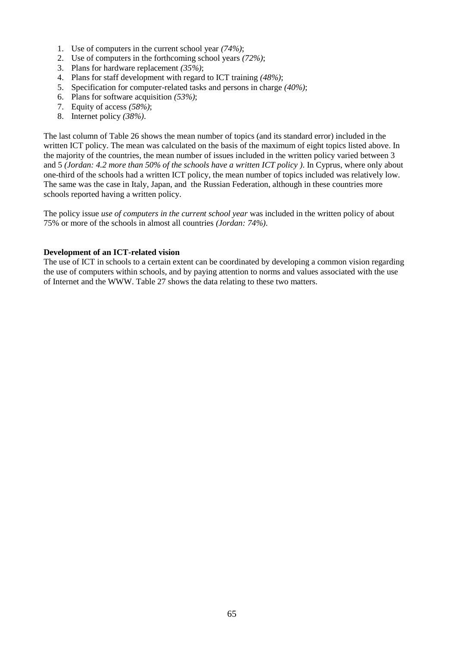- 1. Use of computers in the current school year *(74%)*;
- 2. Use of computers in the forthcoming school years *(72%)*;
- 3. Plans for hardware replacement *(35%)*;
- 4. Plans for staff development with regard to ICT training *(48%)*;
- 5. Specification for computer-related tasks and persons in charge *(40%)*;
- 6. Plans for software acquisition *(53%)*;
- 7. Equity of access *(58%)*;
- 8. Internet policy *(38%)*.

The last column of Table 26 shows the mean number of topics (and its standard error) included in the written ICT policy. The mean was calculated on the basis of the maximum of eight topics listed above. In the majority of the countries, the mean number of issues included in the written policy varied between 3 and 5 *(Jordan: 4.2 more than 50% of the schools have a written ICT policy )*. In Cyprus, where only about one-third of the schools had a written ICT policy, the mean number of topics included was relatively low. The same was the case in Italy, Japan, and the Russian Federation, although in these countries more schools reported having a written policy.

The policy issue *use of computers in the current school year* was included in the written policy of about 75% or more of the schools in almost all countries *(Jordan: 74%)*.

#### **Development of an ICT-related vision**

The use of ICT in schools to a certain extent can be coordinated by developing a common vision regarding the use of computers within schools, and by paying attention to norms and values associated with the use of Internet and the WWW. Table 27 shows the data relating to these two matters.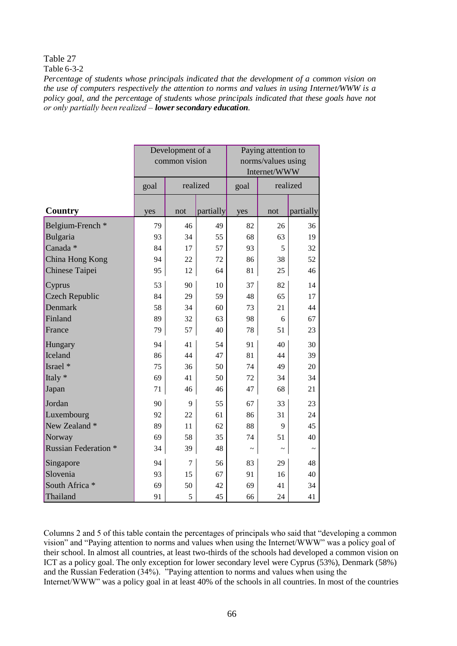Table  $6-3-2$ 

*Percentage of students whose principals indicated that the development of a common vision on the use of computers respectively the attention to norms and values in using Internet/WWW is a policy goal, and the percentage of students whose principals indicated that these goals have not or only partially been realized – lower secondary education.*

|                             |                  | Development of a<br>common vision |           | Paying attention to<br>norms/values using<br>Internet/WWW |          |             |  |  |
|-----------------------------|------------------|-----------------------------------|-----------|-----------------------------------------------------------|----------|-------------|--|--|
|                             | realized<br>goal |                                   |           | goal                                                      | realized |             |  |  |
| <b>Country</b>              | yes              | not                               | partially | yes                                                       | not      | partially   |  |  |
| Belgium-French *            | 79               | 46                                | 49        | 82                                                        | 26       | 36          |  |  |
| Bulgaria                    | 93               | 34                                | 55        | 68                                                        | 63       | 19          |  |  |
| Canada *                    | 84               | 17                                | 57        | 93                                                        | 5        | 32          |  |  |
| China Hong Kong             | 94               | 22                                | 72        | 86                                                        | 38       | 52          |  |  |
| Chinese Taipei              | 95               | 12                                | 64        | 81                                                        | 25       | 46          |  |  |
| Cyprus                      | 53               | 90                                | 10        | 37                                                        | 82       | 14          |  |  |
| <b>Czech Republic</b>       | 84               | 29                                | 59        | 48                                                        | 65       | 17          |  |  |
| <b>Denmark</b>              | 58               | 34                                | 60        | 73                                                        | 21       | 44          |  |  |
| Finland                     | 89               | 32                                | 63        | 98                                                        | 6        | 67          |  |  |
| France                      | 79               | 57                                | 40        | 78                                                        | 51       | 23          |  |  |
| Hungary                     | 94               | 41                                | 54        | 91                                                        | 40       | 30          |  |  |
| Iceland                     | 86               | 44                                | 47        | 81                                                        | 44       | 39          |  |  |
| Israel *                    | 75               | 36                                | 50        | 74                                                        | 49       | 20          |  |  |
| Italy *                     | 69               | 41                                | 50        | 72                                                        | 34       | 34          |  |  |
| Japan                       | 71               | 46                                | 46        | 47                                                        | 68       | 21          |  |  |
| Jordan                      | 90               | 9                                 | 55        | 67                                                        | 33       | 23          |  |  |
| Luxembourg                  | 92               | 22                                | 61        | 86                                                        | 31       | 24          |  |  |
| New Zealand *               | 89               | 11                                | 62        | 88                                                        | 9        | 45          |  |  |
| Norway                      | 69               | 58                                | 35        | 74                                                        | 51       | 40          |  |  |
| <b>Russian Federation *</b> | 34               | 39                                | 48        | $\tilde{ }$                                               |          | $\thicksim$ |  |  |
| Singapore                   | 94               | 7                                 | 56        | 83                                                        | 29       | 48          |  |  |
| Slovenia                    | 93               | 15                                | 67        | 91                                                        | 16       | 40          |  |  |
| South Africa *              | 69               | 50                                | 42        | 69                                                        | 41       | 34          |  |  |
| Thailand                    | 91               | 5                                 | 45        | 66                                                        | 24       | 41          |  |  |

Columns 2 and 5 of this table contain the percentages of principals who said that "developing a common vision" and "Paying attention to norms and values when using the Internet/WWW" was a policy goal of their school. In almost all countries, at least two-thirds of the schools had developed a common vision on ICT as a policy goal. The only exception for lower secondary level were Cyprus (53%), Denmark (58%) and the Russian Federation (34%). "Paying attention to norms and values when using the Internet/WWW" was a policy goal in at least 40% of the schools in all countries. In most of the countries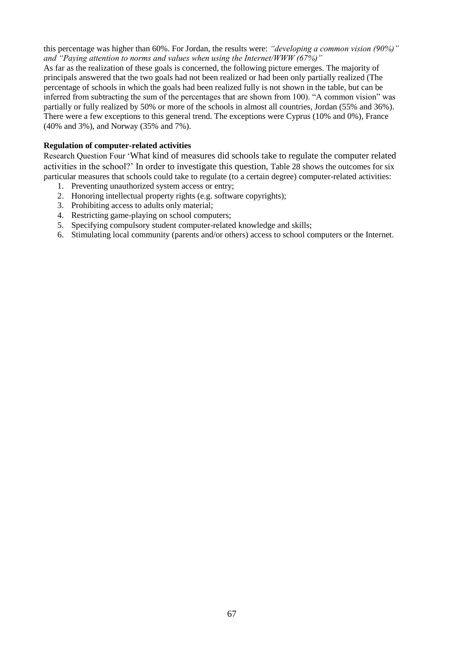this percentage was higher than 60%. For Jordan, the results were: *"developing a common vision (90%)" and "Paying attention to norms and values when using the Internet/WWW (67%)"*

As far as the realization of these goals is concerned, the following picture emerges. The majority of principals answered that the two goals had not been realized or had been only partially realized (The percentage of schools in which the goals had been realized fully is not shown in the table, but can be inferred from subtracting the sum of the percentages that are shown from 100). "A common vision" was partially or fully realized by 50% or more of the schools in almost all countries, Jordan (55% and 36%). There were a few exceptions to this general trend. The exceptions were Cyprus (10% and 0%), France (40% and 3%), and Norway (35% and 7%).

# **Regulation of computer-related activities**

Research Question Four 'What kind of measures did schools take to regulate the computer related activities in the school?' In order to investigate this question, Table 28 shows the outcomes for six particular measures that schools could take to regulate (to a certain degree) computer-related activities:

- 1. Preventing unauthorized system access or entry;
- 2. Honoring intellectual property rights (e.g. software copyrights);
- 3. Prohibiting access to adults only material;
- 4. Restricting game-playing on school computers;
- 5. Specifying compulsory student computer-related knowledge and skills;
- 6. Stimulating local community (parents and/or others) access to school computers or the Internet.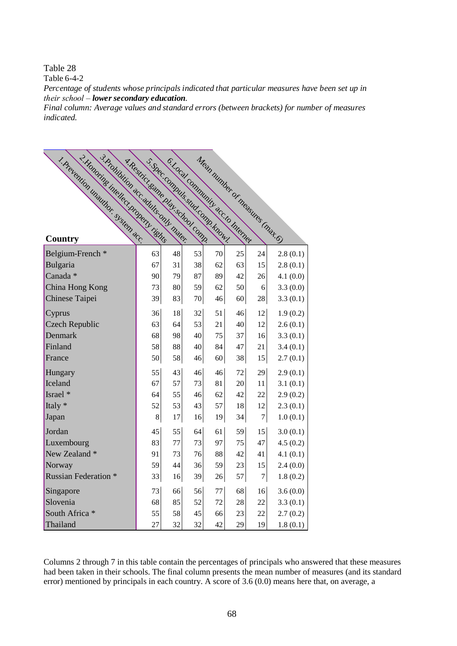Table  $6-4-2$ 

*Percentage of students whose principals indicated that particular measures have been set up in their school – lower secondary education.*

*Final column: Average values and standard errors (between brackets) for number of measures indicated.*

| 3. Prohibition acc. adults only mater.<br>- 2. Honoring intellect property rights<br>1. Prevention unauthor. System acc. | y. Restrict same play school comp. |          | S. S. Hec .: Commuts study Comm Known<br>6. Local Community acc. to Internet |          |          |                  | Mean number or measures (max. 6) |
|--------------------------------------------------------------------------------------------------------------------------|------------------------------------|----------|------------------------------------------------------------------------------|----------|----------|------------------|----------------------------------|
| Country                                                                                                                  |                                    |          |                                                                              |          |          |                  |                                  |
|                                                                                                                          |                                    |          |                                                                              |          |          |                  |                                  |
| Belgium-French <sup>*</sup>                                                                                              | 63<br>67                           | 48<br>31 | 53                                                                           | 70       | 25       | 24               | 2.8(0.1)                         |
| Bulgaria<br>Canada *                                                                                                     | 90                                 | 79       | 38<br>87                                                                     | 62<br>89 | 63<br>42 | 15<br>26         | 2.8(0.1)                         |
| China Hong Kong                                                                                                          | 73                                 | 80       | 59                                                                           | 62       | 50       | 6                | 4.1(0.0)<br>3.3(0.0)             |
| Chinese Taipei                                                                                                           | 39                                 | 83       | 70                                                                           | 46       | 60       | 28               | 3.3(0.1)                         |
|                                                                                                                          |                                    |          |                                                                              |          |          |                  |                                  |
| Cyprus                                                                                                                   | 36                                 | 18       | 32                                                                           | 51       | 46       | 12               | 1.9(0.2)                         |
| <b>Czech Republic</b>                                                                                                    | 63                                 | 64       | 53                                                                           | 21       | 40       | 12               | 2.6(0.1)                         |
| Denmark                                                                                                                  | 68                                 | 98       | 40                                                                           | 75       | 37       | 16               | 3.3(0.1)                         |
| Finland                                                                                                                  | 58                                 | 88       | 40                                                                           | 84       | 47       | 21               | 3.4(0.1)                         |
| France                                                                                                                   | 50                                 | 58       | 46                                                                           | 60       | 38       | 15               | 2.7(0.1)                         |
| Hungary                                                                                                                  | 55                                 | 43       | 46                                                                           | 46       | 72       | 29               | 2.9(0.1)                         |
| Iceland                                                                                                                  | 67                                 | 57       | 73                                                                           | 81       | 20       | 11               | 3.1(0.1)                         |
| Israel *                                                                                                                 | 64                                 | 55       | 46                                                                           | 62       | 42       | 22               | 2.9(0.2)                         |
| Italy $*$                                                                                                                | 52                                 | 53       | 43                                                                           | 57       | 18       | 12               | 2.3(0.1)                         |
| Japan                                                                                                                    | 8                                  | 17       | 16                                                                           | 19       | 34       | $\boldsymbol{7}$ | 1.0(0.1)                         |
| Jordan                                                                                                                   | 45                                 | 55       | 64                                                                           | 61       | 59       | 15               | 3.0(0.1)                         |
| Luxembourg                                                                                                               | 83                                 | 77       | 73                                                                           | 97       | 75       | 47               | 4.5(0.2)                         |
| New Zealand *                                                                                                            | 91                                 | 73       | 76                                                                           | 88       | 42       | 41               | 4.1(0.1)                         |
| Norway                                                                                                                   | 59                                 | 44       | 36                                                                           | 59       | 23       | 15               | 2.4(0.0)                         |
| <b>Russian Federation</b> *                                                                                              | 33                                 | 16       | 39                                                                           | 26       | 57       | $\boldsymbol{7}$ | 1.8(0.2)                         |
|                                                                                                                          |                                    |          |                                                                              | 77       |          |                  |                                  |
| Singapore                                                                                                                | 73                                 | 66       | 56                                                                           |          | 68       | 16               | 3.6(0.0)                         |
| Slovenia                                                                                                                 | 68                                 | 85       | 52                                                                           | 72       | 28       | 22               | 3.3(0.1)                         |
| South Africa *                                                                                                           | 55                                 | 58       | 45                                                                           | 66       | 23       | 22               | 2.7(0.2)                         |
| Thailand                                                                                                                 | 27                                 | 32       | 32                                                                           | 42       | 29       | 19               | 1.8(0.1)                         |

Columns 2 through 7 in this table contain the percentages of principals who answered that these measures had been taken in their schools. The final column presents the mean number of measures (and its standard error) mentioned by principals in each country. A score of 3.6 (0.0) means here that, on average, a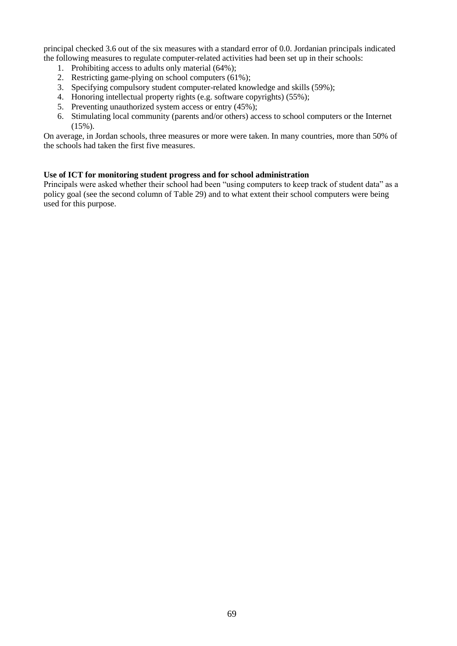principal checked 3.6 out of the six measures with a standard error of 0.0. Jordanian principals indicated the following measures to regulate computer-related activities had been set up in their schools:

- 1. Prohibiting access to adults only material (64%);
- 2. Restricting game-plying on school computers (61%);
- 3. Specifying compulsory student computer-related knowledge and skills (59%);
- 4. Honoring intellectual property rights (e.g. software copyrights) (55%);
- 5. Preventing unauthorized system access or entry (45%);
- 6. Stimulating local community (parents and/or others) access to school computers or the Internet  $(15\%)$ .

On average, in Jordan schools, three measures or more were taken. In many countries, more than 50% of the schools had taken the first five measures.

# **Use of ICT for monitoring student progress and for school administration**

Principals were asked whether their school had been "using computers to keep track of student data" as a policy goal (see the second column of Table 29) and to what extent their school computers were being used for this purpose.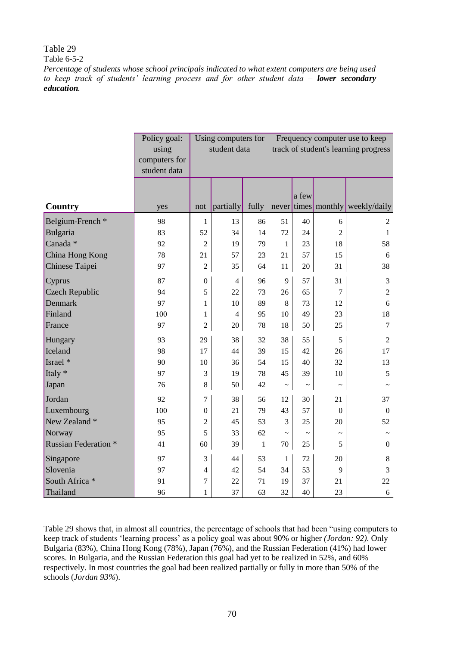Table  $6-5-2$ 

*Percentage of students whose school principals indicated to what extent computers are being used* to keep track of students' learning process and for other student data - **lower secondary** *education.*

|                             | Policy goal:<br>using<br>computers for<br>student data |                  | Using computers for<br>student data |              | Frequency computer use to keep<br>track of student's learning progress |            |                       |                                  |
|-----------------------------|--------------------------------------------------------|------------------|-------------------------------------|--------------|------------------------------------------------------------------------|------------|-----------------------|----------------------------------|
| Country                     | yes                                                    | not              | partially                           | fully        |                                                                        | a few      |                       | never times monthly weekly/daily |
| Belgium-French <sup>*</sup> | 98                                                     | 1                | 13                                  | 86           | 51                                                                     | 40         | 6                     | $\mathfrak{2}$                   |
| Bulgaria                    | 83                                                     | 52               | 34                                  | 14           | 72                                                                     | 24         | $\overline{2}$        | 1                                |
| Canada <sup>*</sup>         | 92                                                     | $\overline{2}$   | 19                                  | 79           | $\mathbf{1}$                                                           | 23         | 18                    | 58                               |
| China Hong Kong             | 78                                                     | 21               | 57                                  | 23           | 21                                                                     | 57         | 15                    | 6                                |
| Chinese Taipei              | 97                                                     | $\overline{2}$   | 35                                  | 64           | 11                                                                     | 20         | 31                    | 38                               |
| Cyprus                      | 87                                                     | $\overline{0}$   | $\overline{4}$                      | 96           | 9                                                                      | 57         | 31                    | 3                                |
| <b>Czech Republic</b>       | 94                                                     | 5                | 22                                  | 73           | 26                                                                     | 65         | 7                     | $\overline{c}$                   |
| <b>Denmark</b>              | 97                                                     | 1                | 10                                  | 89           | 8                                                                      | 73         | 12                    | 6                                |
| Finland                     | 100                                                    | 1                | $\overline{4}$                      | 95           | 10                                                                     | 49         | 23                    | 18                               |
| France                      | 97                                                     | $\overline{2}$   | 20                                  | 78           | 18                                                                     | 50         | 25                    | $\overline{7}$                   |
| Hungary                     | 93                                                     | 29               | 38                                  | 32           | 38                                                                     | 55         | 5                     | $\overline{2}$                   |
| Iceland                     | 98                                                     | 17               | 44                                  | 39           | 15                                                                     | 42         | 26                    | 17                               |
| Israel *                    | 90                                                     | 10               | 36                                  | 54           | 15                                                                     | 40         | 32                    | 13                               |
| Italy *                     | 97                                                     | 3                | 19                                  | 78           | 45                                                                     | 39         | 10                    | 5                                |
| Japan                       | 76                                                     | $8\,$            | 50                                  | 42           | $\tilde{}$                                                             | $\tilde{}$ | $\tilde{}$            | $\tilde{}$                       |
| Jordan                      | 92                                                     | 7                | 38                                  | 56           | 12                                                                     | 30         | 21                    | 37                               |
| Luxembourg                  | 100                                                    | $\boldsymbol{0}$ | 21                                  | 79           | 43                                                                     | 57         | $\theta$              | $\mathbf{0}$                     |
| New Zealand *               | 95                                                     | $\overline{2}$   | 45                                  | 53           | $\overline{3}$                                                         | 25         | 20                    | 52                               |
| Norway                      | 95                                                     | 5                | 33                                  | 62           | $\tilde{}$                                                             | $\tilde{}$ | $\tilde{\phantom{a}}$ |                                  |
| <b>Russian Federation *</b> | 41                                                     | 60               | 39                                  | $\mathbf{1}$ | 70                                                                     | 25         | 5                     | $\boldsymbol{0}$                 |
| Singapore                   | 97                                                     | 3                | 44                                  | 53           | $\mathbf{1}$                                                           | 72         | 20                    | 8                                |
| Slovenia                    | 97                                                     | 4                | 42                                  | 54           | 34                                                                     | 53         | 9                     | 3                                |
| South Africa *              | 91                                                     | 7                | 22                                  | 71           | 19                                                                     | 37         | 21                    | 22                               |
| Thailand                    | 96                                                     | $\mathbf{1}$     | 37                                  | 63           | 32                                                                     | 40         | 23                    | 6                                |

Table 29 shows that, in almost all countries, the percentage of schools that had been "using computers to keep track of students 'learning process' as a policy goal was about 90% or higher *(Jordan: 92)*. Only Bulgaria (83%), China Hong Kong (78%), Japan (76%), and the Russian Federation (41%) had lower scores. In Bulgaria, and the Russian Federation this goal had yet to be realized in 52%, and 60% respectively. In most countries the goal had been realized partially or fully in more than 50% of the schools (*Jordan 93%*).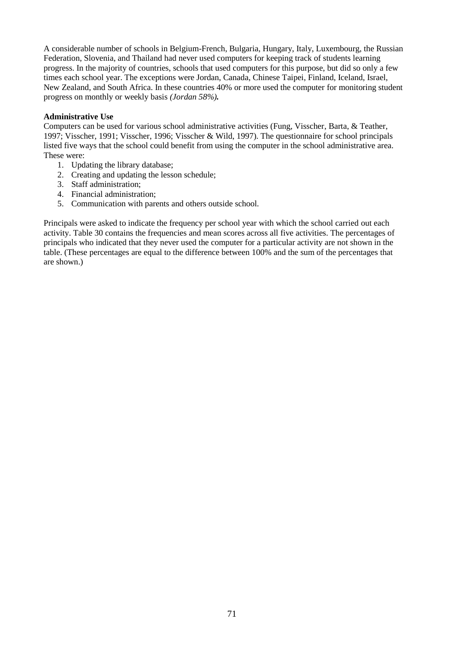A considerable number of schools in Belgium-French, Bulgaria, Hungary, Italy, Luxembourg, the Russian Federation, Slovenia, and Thailand had never used computers for keeping track of students learning progress. In the majority of countries, schools that used computers for this purpose, but did so only a few times each school year. The exceptions were Jordan, Canada, Chinese Taipei, Finland, Iceland, Israel, New Zealand, and South Africa. In these countries 40% or more used the computer for monitoring student progress on monthly or weekly basis *(Jordan 58%).*

# **Administrative Use**

Computers can be used for various school administrative activities (Fung, Visscher, Barta, & Teather, 1997; Visscher, 1991; Visscher, 1996; Visscher & Wild, 1997). The questionnaire for school principals listed five ways that the school could benefit from using the computer in the school administrative area. These were:

- 1. Updating the library database;
- 2. Creating and updating the lesson schedule;
- 3. Staff administration;
- 4. Financial administration;
- 5. Communication with parents and others outside school.

Principals were asked to indicate the frequency per school year with which the school carried out each activity. Table 30 contains the frequencies and mean scores across all five activities. The percentages of principals who indicated that they never used the computer for a particular activity are not shown in the table. (These percentages are equal to the difference between 100% and the sum of the percentages that are shown.)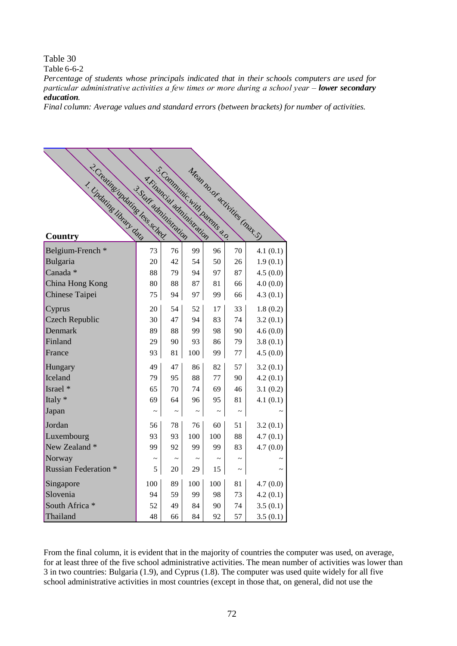Table 6-6-2

*Percentage of students whose principals indicated that in their schools computers are used for particular administrative activities a few times or more during a school year – lower secondary education.*

*Final column: Average values and standard errors (between brackets) for number of activities.*

| 2. Creatings undating less sched.<br>1. Undating library data<br><b>Country</b> | 3. Statt administration | S.Communic with parents ??<br>4. Financial administration |     |        | Mean no. of activities (mat. S.) |          |
|---------------------------------------------------------------------------------|-------------------------|-----------------------------------------------------------|-----|--------|----------------------------------|----------|
| Belgium-French*                                                                 | 73                      | 76                                                        | 99  | 96     | 70                               | 4.1(0.1) |
| Bulgaria                                                                        | 20                      | 42                                                        | 54  | 50     | 26                               | 1.9(0.1) |
| Canada *                                                                        | 88                      | 79                                                        | 94  | 97     | 87                               | 4.5(0.0) |
| China Hong Kong                                                                 | 80                      | 88                                                        | 87  | 81     | 66                               | 4.0(0.0) |
| Chinese Taipei                                                                  | 75                      | 94                                                        | 97  | 99     | 66                               | 4.3(0.1) |
| Cyprus                                                                          | 20                      | 54                                                        | 52  | 17     | 33                               | 1.8(0.2) |
| <b>Czech Republic</b>                                                           | 30                      | 47                                                        | 94  | 83     | 74                               | 3.2(0.1) |
| Denmark                                                                         | 89                      | 88                                                        | 99  | 98     | 90                               | 4.6(0.0) |
| Finland                                                                         | 29                      | 90                                                        | 93  | 86     | 79                               | 3.8(0.1) |
| France                                                                          | 93                      | 81                                                        | 100 | 99     | 77                               | 4.5(0.0) |
| Hungary                                                                         | 49                      | 47                                                        | 86  | 82     | 57                               | 3.2(0.1) |
| Iceland                                                                         | 79                      | 95                                                        | 88  | 77     | 90                               | 4.2(0.1) |
| Israel *                                                                        | 65                      | 70                                                        | 74  | 69     | 46                               | 3.1(0.2) |
| Italy *                                                                         | 69                      | 64                                                        | 96  | 95     | 81                               | 4.1(0.1) |
| Japan                                                                           |                         |                                                           |     |        |                                  |          |
| Jordan                                                                          | 56                      | 78                                                        | 76  | 60     | 51                               | 3.2(0.1) |
| Luxembourg                                                                      | 93                      | 93                                                        | 100 | 100    | 88                               | 4.7(0.1) |
| New Zealand *                                                                   | 99                      | 92                                                        | 99  | 99     | 83                               | 4.7(0.0) |
| Norway                                                                          |                         |                                                           |     | $\sim$ |                                  |          |
| <b>Russian Federation *</b>                                                     | 5                       | 20                                                        | 29  | 15     |                                  |          |
| Singapore                                                                       | 100                     | 89                                                        | 100 | 100    | 81                               | 4.7(0.0) |
| Slovenia                                                                        | 94                      | 59                                                        | 99  | 98     | 73                               | 4.2(0.1) |
| South Africa *                                                                  | 52                      | 49                                                        | 84  | 90     | 74                               | 3.5(0.1) |
| Thailand                                                                        | 48                      | 66                                                        | 84  | 92     | 57                               | 3.5(0.1) |

From the final column, it is evident that in the majority of countries the computer was used, on average, for at least three of the five school administrative activities. The mean number of activities was lower than 3 in two countries: Bulgaria (1.9), and Cyprus (1.8). The computer was used quite widely for all five school administrative activities in most countries (except in those that, on general, did not use the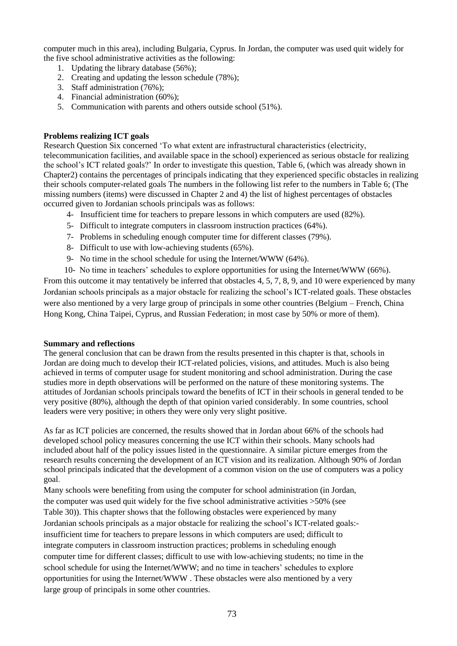computer much in this area), including Bulgaria, Cyprus. In Jordan, the computer was used quit widely for the five school administrative activities as the following:

- 1. Updating the library database (56%);
- 2. Creating and updating the lesson schedule (78%);
- 3. Staff administration (76%);
- 4. Financial administration (60%);
- 5. Communication with parents and others outside school (51%).

## **Problems realizing ICT goals**

Research Question Six concerned 'To what extent are infrastructural characteristics (electricity, telecommunication facilities, and available space in the school) experienced as serious obstacle for realizing the school's ICT related goals?' In order to investigate this question, Table 6, (which was already shown in Chapter2) contains the percentages of principals indicating that they experienced specific obstacles in realizing their schools computer-related goals The numbers in the following list refer to the numbers in Table 6; (The missing numbers (items) were discussed in Chapter 2 and 4) the list of highest percentages of obstacles occurred given to Jordanian schools principals was as follows:

- 4- Insufficient time for teachers to prepare lessons in which computers are used (82%).
- 5- Difficult to integrate computers in classroom instruction practices (64%).
- 7- Problems in scheduling enough computer time for different classes (79%).
- 8- Difficult to use with low-achieving students (65%).
- 9- No time in the school schedule for using the Internet/WWW (64%).
- 10- No time in teachers' schedules to explore opportunities for using the Internet/WWW (66%).

From this outcome it may tentatively be inferred that obstacles 4, 5, 7, 8, 9, and 10 were experienced by many Jordanian schools principals as a major obstacle for realizing the school's ICT-related goals. These obstacles were also mentioned by a very large group of principals in some other countries (Belgium – French, China Hong Kong, China Taipei, Cyprus, and Russian Federation; in most case by 50% or more of them).

### **Summary and reflections**

The general conclusion that can be drawn from the results presented in this chapter is that, schools in Jordan are doing much to develop their ICT-related policies, visions, and attitudes. Much is also being achieved in terms of computer usage for student monitoring and school administration. During the case studies more in depth observations will be performed on the nature of these monitoring systems. The attitudes of Jordanian schools principals toward the benefits of ICT in their schools in general tended to be very positive (80%), although the depth of that opinion varied considerably. In some countries, school leaders were very positive; in others they were only very slight positive.

As far as ICT policies are concerned, the results showed that in Jordan about 66% of the schools had developed school policy measures concerning the use ICT within their schools. Many schools had included about half of the policy issues listed in the questionnaire. A similar picture emerges from the research results concerning the development of an ICT vision and its realization. Although 90% of Jordan school principals indicated that the development of a common vision on the use of computers was a policy goal.

Many schools were benefiting from using the computer for school administration (in Jordan, the computer was used quit widely for the five school administrative activities >50% (see Table 30)). This chapter shows that the following obstacles were experienced by many Jordanian schools principals as a major obstacle for realizing the school's ICT-related goals: insufficient time for teachers to prepare lessons in which computers are used; difficult to integrate computers in classroom instruction practices; problems in scheduling enough computer time for different classes; difficult to use with low-achieving students; no time in the school schedule for using the Internet/WWW; and no time in teachers' schedules to explore opportunities for using the Internet/WWW . These obstacles were also mentioned by a very large group of principals in some other countries.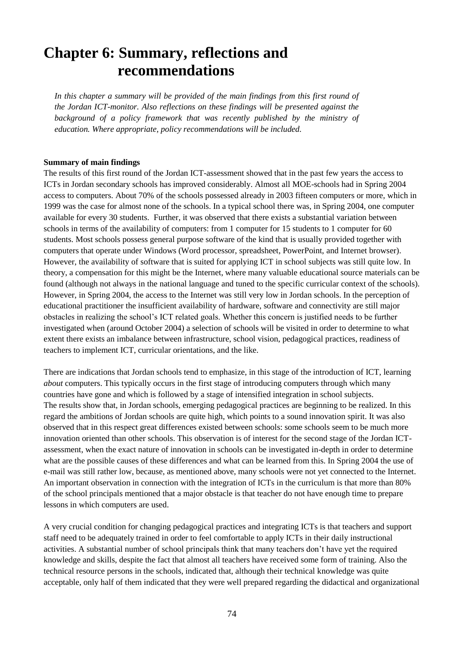# **Chapter 6: Summary, reflections and recommendations**

*In this chapter a summary will be provided of the main findings from this first round of the Jordan ICT-monitor. Also reflections on these findings will be presented against the background of a policy framework that was recently published by the ministry of education. Where appropriate, policy recommendations will be included.*

### **Summary of main findings**

The results of this first round of the Jordan ICT-assessment showed that in the past few years the access to ICTs in Jordan secondary schools has improved considerably. Almost all MOE-schools had in Spring 2004 access to computers. About 70% of the schools possessed already in 2003 fifteen computers or more, which in 1999 was the case for almost none of the schools. In a typical school there was, in Spring 2004, one computer available for every 30 students. Further, it was observed that there exists a substantial variation between schools in terms of the availability of computers: from 1 computer for 15 students to 1 computer for 60 students. Most schools possess general purpose software of the kind that is usually provided together with computers that operate under Windows (Word processor, spreadsheet, PowerPoint, and Internet browser). However, the availability of software that is suited for applying ICT in school subjects was still quite low. In theory, a compensation for this might be the Internet, where many valuable educational source materials can be found (although not always in the national language and tuned to the specific curricular context of the schools). However, in Spring 2004, the access to the Internet was still very low in Jordan schools. In the perception of educational practitioner the insufficient availability of hardware, software and connectivity are still major obstacles in realizing the school's ICT related goals. Whether this concern is justified needs to be further investigated when (around October 2004) a selection of schools will be visited in order to determine to what extent there exists an imbalance between infrastructure, school vision, pedagogical practices, readiness of teachers to implement ICT, curricular orientations, and the like.

There are indications that Jordan schools tend to emphasize, in this stage of the introduction of ICT, learning *about* computers. This typically occurs in the first stage of introducing computers through which many countries have gone and which is followed by a stage of intensified integration in school subjects. The results show that, in Jordan schools, emerging pedagogical practices are beginning to be realized. In this regard the ambitions of Jordan schools are quite high, which points to a sound innovation spirit. It was also observed that in this respect great differences existed between schools: some schools seem to be much more innovation oriented than other schools. This observation is of interest for the second stage of the Jordan ICTassessment, when the exact nature of innovation in schools can be investigated in-depth in order to determine what are the possible causes of these differences and what can be learned from this. In Spring 2004 the use of e-mail was still rather low, because, as mentioned above, many schools were not yet connected to the Internet. An important observation in connection with the integration of ICTs in the curriculum is that more than 80% of the school principals mentioned that a major obstacle is that teacher do not have enough time to prepare lessons in which computers are used.

A very crucial condition for changing pedagogical practices and integrating ICTs is that teachers and support staff need to be adequately trained in order to feel comfortable to apply ICTs in their daily instructional activities. A substantial number of school principals think that many teachers don't have yet the required knowledge and skills, despite the fact that almost all teachers have received some form of training. Also the technical resource persons in the schools, indicated that, although their technical knowledge was quite acceptable, only half of them indicated that they were well prepared regarding the didactical and organizational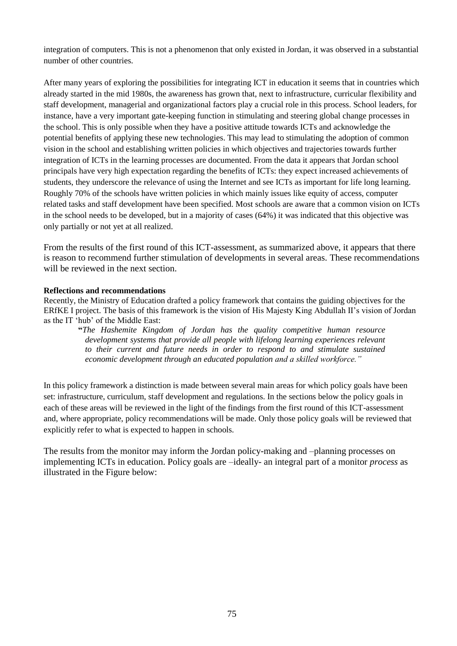integration of computers. This is not a phenomenon that only existed in Jordan, it was observed in a substantial number of other countries.

After many years of exploring the possibilities for integrating ICT in education it seems that in countries which already started in the mid 1980s, the awareness has grown that, next to infrastructure, curricular flexibility and staff development, managerial and organizational factors play a crucial role in this process. School leaders, for instance, have a very important gate-keeping function in stimulating and steering global change processes in the school. This is only possible when they have a positive attitude towards ICTs and acknowledge the potential benefits of applying these new technologies. This may lead to stimulating the adoption of common vision in the school and establishing written policies in which objectives and trajectories towards further integration of ICTs in the learning processes are documented. From the data it appears that Jordan school principals have very high expectation regarding the benefits of ICTs: they expect increased achievements of students, they underscore the relevance of using the Internet and see ICTs as important for life long learning. Roughly 70% of the schools have written policies in which mainly issues like equity of access, computer related tasks and staff development have been specified. Most schools are aware that a common vision on ICTs in the school needs to be developed, but in a majority of cases (64%) it was indicated that this objective was only partially or not yet at all realized.

From the results of the first round of this ICT-assessment, as summarized above, it appears that there is reason to recommend further stimulation of developments in several areas. These recommendations will be reviewed in the next section.

## **Reflections and recommendations**

Recently, the Ministry of Education drafted a policy framework that contains the guiding objectives for the ERfKE I project. The basis of this framework is the vision of His Majesty King Abdullah II's vision of Jordan as the IT 'hub' of the Middle East:

**"***The Hashemite Kingdom of Jordan has the quality competitive human resource development systems that provide all people with lifelong learning experiences relevant to their current and future needs in order to respond to and stimulate sustained economic development through an educated population and a skilled workforce."*

In this policy framework a distinction is made between several main areas for which policy goals have been set: infrastructure, curriculum, staff development and regulations. In the sections below the policy goals in each of these areas will be reviewed in the light of the findings from the first round of this ICT-assessment and, where appropriate, policy recommendations will be made. Only those policy goals will be reviewed that explicitly refer to what is expected to happen in schools.

The results from the monitor may inform the Jordan policy-making and –planning processes on implementing ICTs in education. Policy goals are –ideally- an integral part of a monitor *process* as illustrated in the Figure below: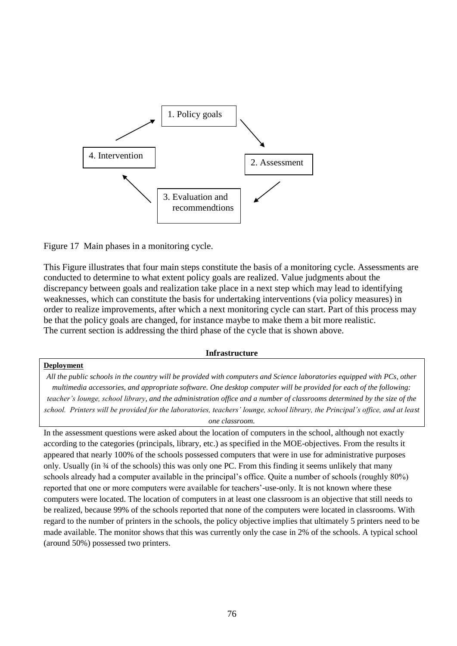

Figure 17 Main phases in a monitoring cycle.

This Figure illustrates that four main steps constitute the basis of a monitoring cycle. Assessments are conducted to determine to what extent policy goals are realized. Value judgments about the discrepancy between goals and realization take place in a next step which may lead to identifying weaknesses, which can constitute the basis for undertaking interventions (via policy measures) in order to realize improvements, after which a next monitoring cycle can start. Part of this process may be that the policy goals are changed, for instance maybe to make them a bit more realistic. The current section is addressing the third phase of the cycle that is shown above.

#### **Infrastructure**

# **Deployment** *All the public schools in the country will be provided with computers and Science laboratories equipped with PCs, other multimedia accessories, and appropriate software. One desktop computer will be provided for each of the following: teacher's lounge, school library, and the administration office and a number of classrooms determined by the size of the school. Printers will be provided for the laboratories, teachers' lounge, school library, the Principal's office, and at least one classroom.*

In the assessment questions were asked about the location of computers in the school, although not exactly according to the categories (principals, library, etc.) as specified in the MOE-objectives. From the results it appeared that nearly 100% of the schools possessed computers that were in use for administrative purposes only. Usually (in  $\frac{3}{4}$  of the schools) this was only one PC. From this finding it seems unlikely that many schools already had a computer available in the principal's office. Quite a number of schools (roughly 80%) reported that one or more computers were available for teachers'-use-only. It is not known where these computers were located. The location of computers in at least one classroom is an objective that still needs to be realized, because 99% of the schools reported that none of the computers were located in classrooms. With regard to the number of printers in the schools, the policy objective implies that ultimately 5 printers need to be made available. The monitor shows that this was currently only the case in 2% of the schools. A typical school (around 50%) possessed two printers.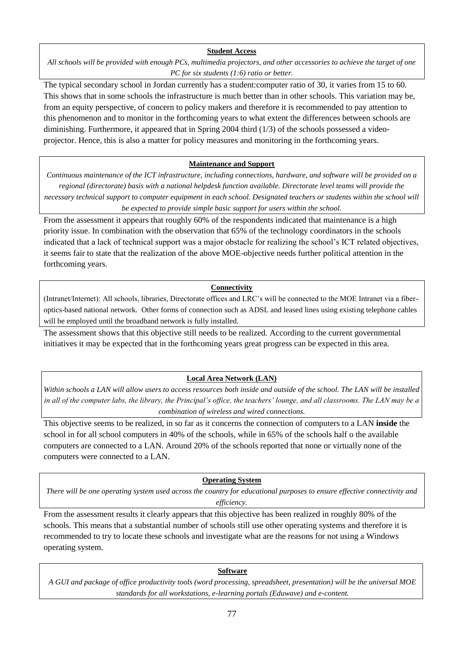### **Student Access**

*All schools will be provided with enough PCs, multimedia projectors, and other accessories to achieve the target of one PC for six students (1:6) ratio or better.*

The typical secondary school in Jordan currently has a student:computer ratio of 30, it varies from 15 to 60. This shows that in some schools the infrastructure is much better than in other schools. This variation may be, from an equity perspective, of concern to policy makers and therefore it is recommended to pay attention to this phenomenon and to monitor in the forthcoming years to what extent the differences between schools are diminishing. Furthermore, it appeared that in Spring 2004 third (1/3) of the schools possessed a videoprojector. Hence, this is also a matter for policy measures and monitoring in the forthcoming years.

# **Maintenance and Support**

*Continuous maintenance of the ICT infrastructure, including connections, hardware, and software will be provided on a regional (directorate) basis with a national helpdesk function available. Directorate level teams will provide the necessary technical support to computer equipment in each school. Designated teachers or students within the school will be expected to provide simple basic support for users within the school.*

From the assessment it appears that roughly 60% of the respondents indicated that maintenance is a high priority issue. In combination with the observation that 65% of the technology coordinators in the schools indicated that a lack of technical support was a major obstacle for realizing the school's ICT related objectives, it seems fair to state that the realization of the above MOE-objective needs further political attention in the forthcoming years.

## **Connectivity**

(Intranet/Internet): All schools, libraries, Directorate offices and LRC's will be connected to the MOE Intranet via a fiberoptics-based national network. Other forms of connection such as ADSL and leased lines using existing telephone cables will be employed until the broadband network is fully installed.

The assessment shows that this objective still needs to be realized. According to the current governmental initiatives it may be expected that in the forthcoming years great progress can be expected in this area.

# **Local Area Network (LAN)**

*Within schools a LAN will allow users to access resources both inside and outside of the school. The LAN will be installed in all of the computer labs, the library, the Principal's office, the teachers' lounge, and all classrooms. The LAN may be a combination of wireless and wired connections.*

This objective seems to be realized, in so far as it concerns the connection of computers to a LAN **inside** the school in for all school computers in 40% of the schools, while in 65% of the schools half o the available computers are connected to a LAN. Around 20% of the schools reported that none or virtually none of the computers were connected to a LAN.

# **Operating System**

*There will be one operating system used across the country for educational purposes to ensure effective connectivity and efficiency.*

From the assessment results it clearly appears that this objective has been realized in roughly 80% of the schools. This means that a substantial number of schools still use other operating systems and therefore it is recommended to try to locate these schools and investigate what are the reasons for not using a Windows operating system.

# **Software**

*A GUI and package of office productivity tools (word processing, spreadsheet, presentation) will be the universal MOE standards for all workstations, e-learning portals (Eduwave) and e-content.*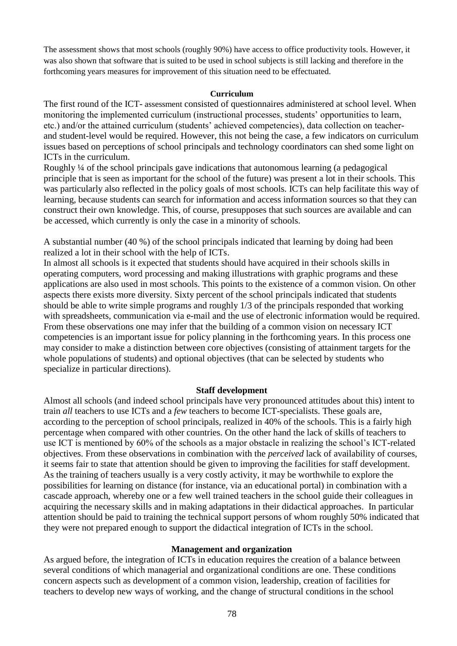The assessment shows that most schools (roughly 90%) have access to office productivity tools. However, it was also shown that software that is suited to be used in school subjects is still lacking and therefore in the forthcoming years measures for improvement of this situation need to be effectuated.

### **Curriculum**

The first round of the ICT- assessment consisted of questionnaires administered at school level. When monitoring the implemented curriculum (instructional processes, students' opportunities to learn, etc.) and/or the attained curriculum (students' achieved competencies), data collection on teacherand student-level would be required. However, this not being the case, a few indicators on curriculum issues based on perceptions of school principals and technology coordinators can shed some light on ICTs in the curriculum.

Roughly ¼ of the school principals gave indications that autonomous learning (a pedagogical principle that is seen as important for the school of the future) was present a lot in their schools. This was particularly also reflected in the policy goals of most schools. ICTs can help facilitate this way of learning, because students can search for information and access information sources so that they can construct their own knowledge. This, of course, presupposes that such sources are available and can be accessed, which currently is only the case in a minority of schools.

A substantial number (40 %) of the school principals indicated that learning by doing had been realized a lot in their school with the help of ICTs.

In almost all schools is it expected that students should have acquired in their schools skills in operating computers, word processing and making illustrations with graphic programs and these applications are also used in most schools. This points to the existence of a common vision. On other aspects there exists more diversity. Sixty percent of the school principals indicated that students should be able to write simple programs and roughly 1/3 of the principals responded that working with spreadsheets, communication via e-mail and the use of electronic information would be required. From these observations one may infer that the building of a common vision on necessary ICT competencies is an important issue for policy planning in the forthcoming years. In this process one may consider to make a distinction between core objectives (consisting of attainment targets for the whole populations of students) and optional objectives (that can be selected by students who specialize in particular directions).

# **Staff development**

Almost all schools (and indeed school principals have very pronounced attitudes about this) intent to train *all* teachers to use ICTs and a *few* teachers to become ICT-specialists. These goals are, according to the perception of school principals, realized in 40% of the schools. This is a fairly high percentage when compared with other countries. On the other hand the lack of skills of teachers to use ICT is mentioned by 60% of the schools as a major obstacle in realizing the school's ICT-related objectives. From these observations in combination with the *perceived* lack of availability of courses, it seems fair to state that attention should be given to improving the facilities for staff development. As the training of teachers usually is a very costly activity, it may be worthwhile to explore the possibilities for learning on distance (for instance, via an educational portal) in combination with a cascade approach, whereby one or a few well trained teachers in the school guide their colleagues in acquiring the necessary skills and in making adaptations in their didactical approaches. In particular attention should be paid to training the technical support persons of whom roughly 50% indicated that they were not prepared enough to support the didactical integration of ICTs in the school.

### **Management and organization**

As argued before, the integration of ICTs in education requires the creation of a balance between several conditions of which managerial and organizational conditions are one. These conditions concern aspects such as development of a common vision, leadership, creation of facilities for teachers to develop new ways of working, and the change of structural conditions in the school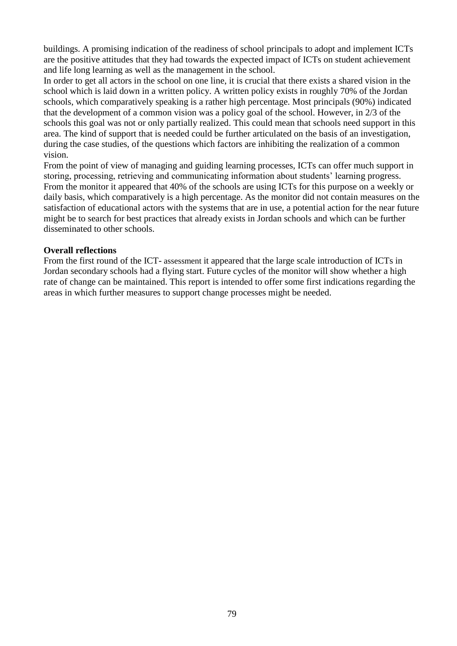buildings. A promising indication of the readiness of school principals to adopt and implement ICTs are the positive attitudes that they had towards the expected impact of ICTs on student achievement and life long learning as well as the management in the school.

In order to get all actors in the school on one line, it is crucial that there exists a shared vision in the school which is laid down in a written policy. A written policy exists in roughly 70% of the Jordan schools, which comparatively speaking is a rather high percentage. Most principals (90%) indicated that the development of a common vision was a policy goal of the school. However, in 2/3 of the schools this goal was not or only partially realized. This could mean that schools need support in this area. The kind of support that is needed could be further articulated on the basis of an investigation, during the case studies, of the questions which factors are inhibiting the realization of a common vision.

From the point of view of managing and guiding learning processes, ICTs can offer much support in storing, processing, retrieving and communicating information about students' learning progress. From the monitor it appeared that 40% of the schools are using ICTs for this purpose on a weekly or daily basis, which comparatively is a high percentage. As the monitor did not contain measures on the satisfaction of educational actors with the systems that are in use, a potential action for the near future might be to search for best practices that already exists in Jordan schools and which can be further disseminated to other schools.

# **Overall reflections**

From the first round of the ICT- assessment it appeared that the large scale introduction of ICTs in Jordan secondary schools had a flying start. Future cycles of the monitor will show whether a high rate of change can be maintained. This report is intended to offer some first indications regarding the areas in which further measures to support change processes might be needed.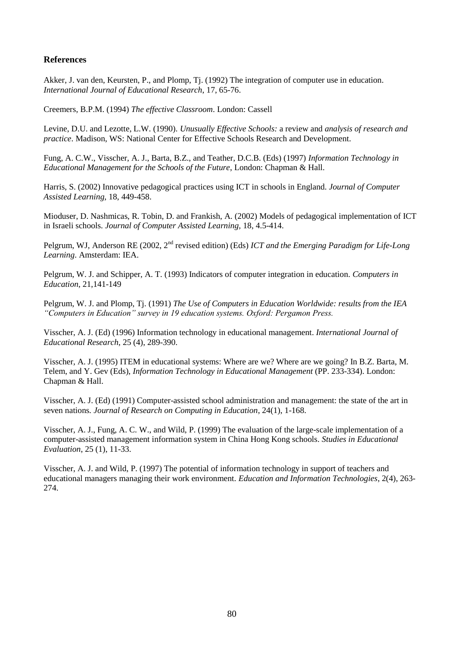# **References**

Akker, J. van den, Keursten, P., and Plomp, Tj. (1992) The integration of computer use in education. *International Journal of Educational Research*, 17, 65-76.

Creemers, B.P.M. (1994) *The effective Classroom*. London: Cassell

Levine, D.U. and Lezotte, L.W. (1990)*. Unusually Effective Schools:* a review and *analysis of research and practice*. Madison, WS: National Center for Effective Schools Research and Development.

Fung, A. C.W., Visscher, A. J., Barta, B.Z., and Teather, D.C.B. (Eds) (1997) *Information Technology in Educational Management for the Schools of the Future*, London: Chapman & Hall.

Harris, S. (2002) Innovative pedagogical practices using ICT in schools in England. *Journal of Computer Assisted Learning,* 18, 449-458.

Mioduser, D. Nashmicas, R. Tobin, D. and Frankish, A. (2002) Models of pedagogical implementation of ICT in Israeli schools. *Journal of Computer Assisted Learning,* 18, 4.5-414.

Pelgrum, WJ, Anderson RE (2002, 2nd revised edition) (Eds) *ICT and the Emerging Paradigm for Life-Long Learning*. Amsterdam: IEA.

Pelgrum, W. J. and Schipper, A. T. (1993) Indicators of computer integration in education*. Computers in Education*, 21,141-149

Pelgrum, W. J. and Plomp, Tj. (1991) *The Use of Computers in Education Worldwide: results from the IEA "Computers in Education" survey in 19 education systems. Oxford: Pergamon Press.* 

Visscher, A. J. (Ed) (1996) Information technology in educational management. *International Journal of Educational Research*, 25 (4), 289-390.

Visscher, A. J. (1995) ITEM in educational systems: Where are we? Where are we going? In B.Z. Barta, M. Telem, and Y. Gev (Eds), *Information Technology in Educational Management* (PP. 233-334). London: Chapman & Hall.

Visscher, A. J. (Ed) (1991) Computer-assisted school administration and management: the state of the art in seven nations*. Journal of Research on Computing in Education*, 24(1), 1-168.

Visscher, A. J., Fung, A. C. W., and Wild, P. (1999) The evaluation of the large-scale implementation of a computer-assisted management information system in China Hong Kong schools. *Studies in Educational Evaluation*, 25 (1), 11-33.

Visscher, A. J. and Wild, P. (1997) The potential of information technology in support of teachers and educational managers managing their work environment. *Education and Information Technologies*, 2(4), 263- 274.